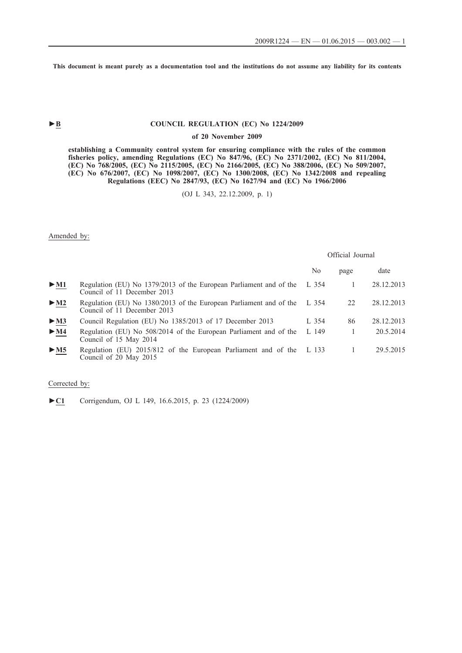**This document is meant purely as a documentation tool and the institutions do not assume any liability for its contents**

# ► **B** COUNCIL REGULATION (EC) No 1224/2009

#### **of 20 November 2009**

**establishing a Community control system for ensuring compliance with the rules of the common fisheries policy, amending Regulations (EC) No 847/96, (EC) No 2371/2002, (EC) No 811/2004, (EC) No 768/2005, (EC) No 2115/2005, (EC) No 2166/2005, (EC) No 388/2006, (EC) No 509/2007, (EC) No 676/2007, (EC) No 1098/2007, (EC) No 1300/2008, (EC) No 1342/2008 and repealing Regulations (EEC) No 2847/93, (EC) No 1627/94 and (EC) No 1966/2006**

(OJ L 343, 22.12.2009, p. 1)

Amended by:

|                                 |                                                                                                   | Official Journal |      |            |
|---------------------------------|---------------------------------------------------------------------------------------------------|------------------|------|------------|
|                                 |                                                                                                   | No               | page | date       |
| $\blacktriangleright$ <u>M1</u> | Regulation (EU) No 1379/2013 of the European Parliament and of the<br>Council of 11 December 2013 | L 354            |      | 28.12.2013 |
| $\blacktriangleright$ M2        | Regulation (EU) No 1380/2013 of the European Parliament and of the<br>Council of 11 December 2013 | L 354            | 22   | 28.12.2013 |
| > M3                            | Council Regulation (EU) No 1385/2013 of 17 December 2013                                          | L $354$          | 86   | 28.12.2013 |
| $\blacktriangleright$ M4        | Regulation (EU) No 508/2014 of the European Parliament and of the<br>Council of 15 May 2014       | L149             |      | 20.5.2014  |
| > M5                            | Regulation (EU) 2015/812 of the European Parliament and of the L 133<br>Council of 20 May 2015    |                  |      | 29.5.2015  |

### Corrected by:

►**C1** Corrigendum, OJ L 149, 16.6.2015, p. 23 (1224/2009)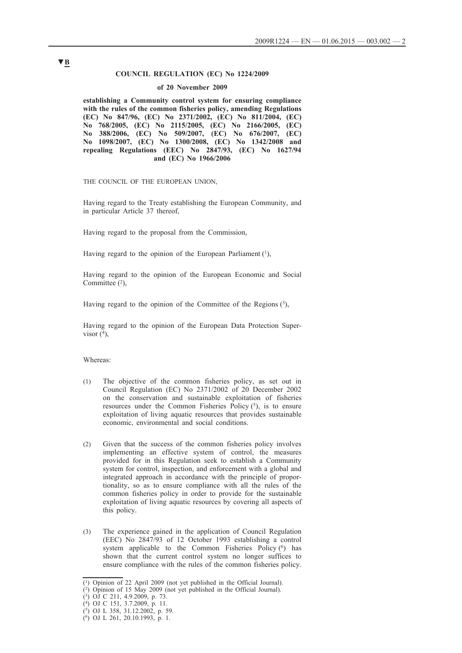### **COUNCIL REGULATION (EC) No 1224/2009**

#### **of 20 November 2009**

**establishing a Community control system for ensuring compliance with the rules of the common fisheries policy, amending Regulations (EC) No 847/96, (EC) No 2371/2002, (EC) No 811/2004, (EC) No 768/2005, (EC) No 2115/2005, (EC) No 2166/2005, (EC) No 388/2006, (EC) No 509/2007, (EC) No 676/2007, (EC) No 1098/2007, (EC) No 1300/2008, (EC) No 1342/2008 and repealing Regulations (EEC) No 2847/93, (EC) No 1627/94 and (EC) No 1966/2006**

THE COUNCIL OF THE EUROPEAN UNION,

Having regard to the Treaty establishing the European Community, and in particular Article 37 thereof,

Having regard to the proposal from the Commission,

Having regard to the opinion of the European Parliament  $(1)$ ,

Having regard to the opinion of the European Economic and Social Committee  $(2)$ ,

Having regard to the opinion of the Committee of the Regions  $(3)$ ,

Having regard to the opinion of the European Data Protection Supervisor  $(4)$ ,

Whereas:

- (1) The objective of the common fisheries policy, as set out in Council Regulation (EC) No 2371/2002 of 20 December 2002 on the conservation and sustainable exploitation of fisheries resources under the Common Fisheries Policy  $(5)$ , is to ensure exploitation of living aquatic resources that provides sustainable economic, environmental and social conditions.
- (2) Given that the success of the common fisheries policy involves implementing an effective system of control, the measures provided for in this Regulation seek to establish a Community system for control, inspection, and enforcement with a global and integrated approach in accordance with the principle of proportionality, so as to ensure compliance with all the rules of the common fisheries policy in order to provide for the sustainable exploitation of living aquatic resources by covering all aspects of this policy.
- (3) The experience gained in the application of Council Regulation (EEC) No 2847/93 of 12 October 1993 establishing a control system applicable to the Common Fisheries Policy  $(6)$  has shown that the current control system no longer suffices to ensure compliance with the rules of the common fisheries policy.

<sup>(1)</sup> Opinion of 22 April 2009 (not yet published in the Official Journal).

<sup>(2)</sup> Opinion of 15 May 2009 (not yet published in the Official Journal).

<sup>(3)</sup> OJ C 211, 4.9.2009, p. 73.

<sup>(4)</sup> OJ C 151, 3.7.2009, p. 11.

<sup>(5)</sup> OJ L 358, 31.12.2002, p. 59.

<sup>(6)</sup> OJ L 261, 20.10.1993, p. 1.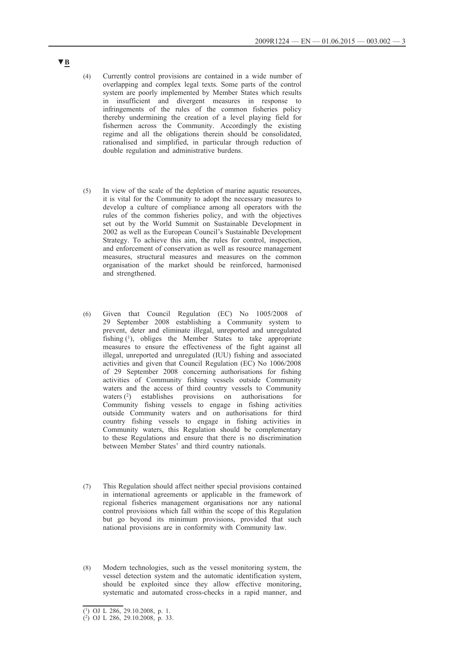- (4) Currently control provisions are contained in a wide number of overlapping and complex legal texts. Some parts of the control system are poorly implemented by Member States which results in insufficient and divergent measures in response to infringements of the rules of the common fisheries policy thereby undermining the creation of a level playing field for fishermen across the Community. Accordingly the existing regime and all the obligations therein should be consolidated, rationalised and simplified, in particular through reduction of double regulation and administrative burdens.
- (5) In view of the scale of the depletion of marine aquatic resources, it is vital for the Community to adopt the necessary measures to develop a culture of compliance among all operators with the rules of the common fisheries policy, and with the objectives set out by the World Summit on Sustainable Development in 2002 as well as the European Council's Sustainable Development Strategy. To achieve this aim, the rules for control, inspection, and enforcement of conservation as well as resource management measures, structural measures and measures on the common organisation of the market should be reinforced, harmonised and strengthened.
- (6) Given that Council Regulation (EC) No 1005/2008 of 29 September 2008 establishing a Community system to prevent, deter and eliminate illegal, unreported and unregulated fishing  $(1)$ , obliges the Member States to take appropriate measures to ensure the effectiveness of the fight against all illegal, unreported and unregulated (IUU) fishing and associated activities and given that Council Regulation (EC) No 1006/2008 of 29 September 2008 concerning authorisations for fishing activities of Community fishing vessels outside Community waters and the access of third country vessels to Community waters  $(2)$  establishes provisions on authorisations for Community fishing vessels to engage in fishing activities outside Community waters and on authorisations for third country fishing vessels to engage in fishing activities in Community waters, this Regulation should be complementary to these Regulations and ensure that there is no discrimination between Member States' and third country nationals.
- (7) This Regulation should affect neither special provisions contained in international agreements or applicable in the framework of regional fisheries management organisations nor any national control provisions which fall within the scope of this Regulation but go beyond its minimum provisions, provided that such national provisions are in conformity with Community law.
- (8) Modern technologies, such as the vessel monitoring system, the vessel detection system and the automatic identification system, should be exploited since they allow effective monitoring, systematic and automated cross-checks in a rapid manner, and

<sup>(1)</sup> OJ L 286, 29.10.2008, p. 1.

<sup>(2)</sup> OJ L 286, 29.10.2008, p. 33.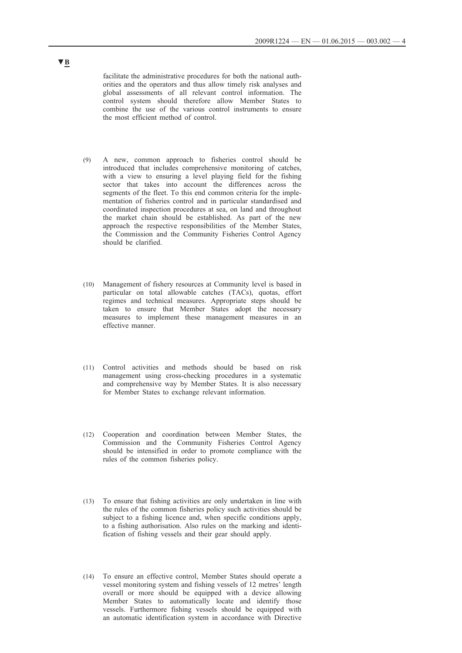facilitate the administrative procedures for both the national authorities and the operators and thus allow timely risk analyses and global assessments of all relevant control information. The control system should therefore allow Member States to combine the use of the various control instruments to ensure the most efficient method of control.

- (9) A new, common approach to fisheries control should be introduced that includes comprehensive monitoring of catches, with a view to ensuring a level playing field for the fishing sector that takes into account the differences across the segments of the fleet. To this end common criteria for the implementation of fisheries control and in particular standardised and coordinated inspection procedures at sea, on land and throughout the market chain should be established. As part of the new approach the respective responsibilities of the Member States, the Commission and the Community Fisheries Control Agency should be clarified.
- (10) Management of fishery resources at Community level is based in particular on total allowable catches (TACs), quotas, effort regimes and technical measures. Appropriate steps should be taken to ensure that Member States adopt the necessary measures to implement these management measures in an effective manner.
- (11) Control activities and methods should be based on risk management using cross-checking procedures in a systematic and comprehensive way by Member States. It is also necessary for Member States to exchange relevant information.
- (12) Cooperation and coordination between Member States, the Commission and the Community Fisheries Control Agency should be intensified in order to promote compliance with the rules of the common fisheries policy.
- (13) To ensure that fishing activities are only undertaken in line with the rules of the common fisheries policy such activities should be subject to a fishing licence and, when specific conditions apply, to a fishing authorisation. Also rules on the marking and identification of fishing vessels and their gear should apply.
- (14) To ensure an effective control, Member States should operate a vessel monitoring system and fishing vessels of 12 metres' length overall or more should be equipped with a device allowing Member States to automatically locate and identify those vessels. Furthermore fishing vessels should be equipped with an automatic identification system in accordance with Directive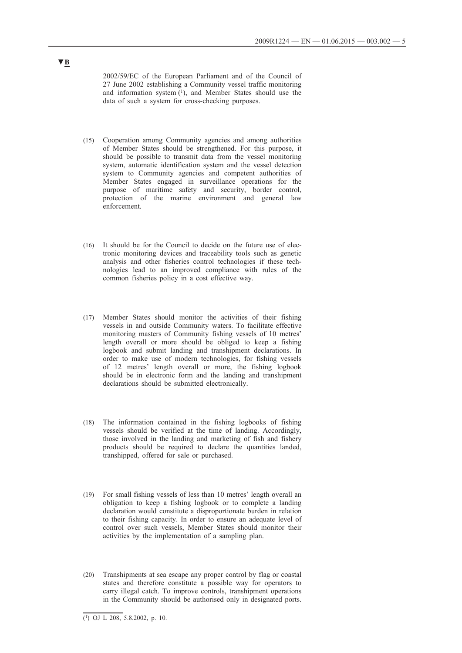2002/59/EC of the European Parliament and of the Council of 27 June 2002 establishing a Community vessel traffic monitoring and information system (1), and Member States should use the data of such a system for cross-checking purposes.

- (15) Cooperation among Community agencies and among authorities of Member States should be strengthened. For this purpose, it should be possible to transmit data from the vessel monitoring system, automatic identification system and the vessel detection system to Community agencies and competent authorities of Member States engaged in surveillance operations for the purpose of maritime safety and security, border control, protection of the marine environment and general law enforcement.
- (16) It should be for the Council to decide on the future use of electronic monitoring devices and traceability tools such as genetic analysis and other fisheries control technologies if these technologies lead to an improved compliance with rules of the common fisheries policy in a cost effective way.
- (17) Member States should monitor the activities of their fishing vessels in and outside Community waters. To facilitate effective monitoring masters of Community fishing vessels of 10 metres' length overall or more should be obliged to keep a fishing logbook and submit landing and transhipment declarations. In order to make use of modern technologies, for fishing vessels of 12 metres' length overall or more, the fishing logbook should be in electronic form and the landing and transhipment declarations should be submitted electronically.
- (18) The information contained in the fishing logbooks of fishing vessels should be verified at the time of landing. Accordingly, those involved in the landing and marketing of fish and fishery products should be required to declare the quantities landed, transhipped, offered for sale or purchased.
- (19) For small fishing vessels of less than 10 metres' length overall an obligation to keep a fishing logbook or to complete a landing declaration would constitute a disproportionate burden in relation to their fishing capacity. In order to ensure an adequate level of control over such vessels, Member States should monitor their activities by the implementation of a sampling plan.
- (20) Transhipments at sea escape any proper control by flag or coastal states and therefore constitute a possible way for operators to carry illegal catch. To improve controls, transhipment operations in the Community should be authorised only in designated ports.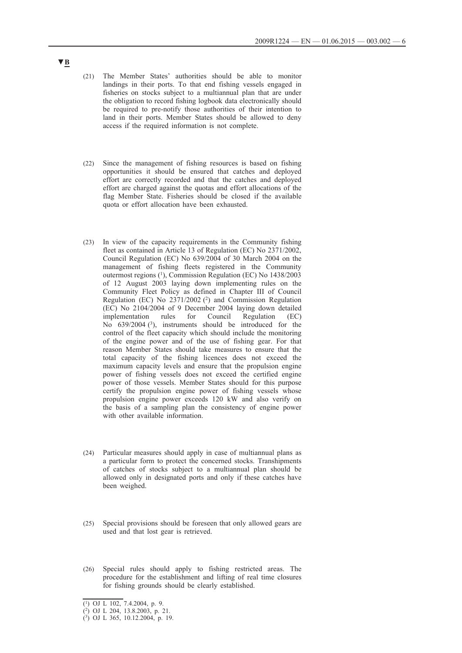- (21) The Member States' authorities should be able to monitor landings in their ports. To that end fishing vessels engaged in fisheries on stocks subject to a multiannual plan that are under the obligation to record fishing logbook data electronically should be required to pre-notify those authorities of their intention to land in their ports. Member States should be allowed to deny access if the required information is not complete.
- (22) Since the management of fishing resources is based on fishing opportunities it should be ensured that catches and deployed effort are correctly recorded and that the catches and deployed effort are charged against the quotas and effort allocations of the flag Member State. Fisheries should be closed if the available quota or effort allocation have been exhausted.
- (23) In view of the capacity requirements in the Community fishing fleet as contained in Article 13 of Regulation (EC) No 2371/2002, Council Regulation (EC) No 639/2004 of 30 March 2004 on the management of fishing fleets registered in the Community outermost regions (1), Commission Regulation (EC) No 1438/2003 of 12 August 2003 laying down implementing rules on the Community Fleet Policy as defined in Chapter III of Council Regulation (EC) No 2371/2002 (2) and Commission Regulation (EC) No 2104/2004 of 9 December 2004 laying down detailed implementation rules for Council Regulation (EC) No 639/2004<sup>(3)</sup>, instruments should be introduced for the control of the fleet capacity which should include the monitoring of the engine power and of the use of fishing gear. For that reason Member States should take measures to ensure that the total capacity of the fishing licences does not exceed the maximum capacity levels and ensure that the propulsion engine power of fishing vessels does not exceed the certified engine power of those vessels. Member States should for this purpose certify the propulsion engine power of fishing vessels whose propulsion engine power exceeds 120 kW and also verify on the basis of a sampling plan the consistency of engine power with other available information.
- (24) Particular measures should apply in case of multiannual plans as a particular form to protect the concerned stocks. Transhipments of catches of stocks subject to a multiannual plan should be allowed only in designated ports and only if these catches have been weighed.
- (25) Special provisions should be foreseen that only allowed gears are used and that lost gear is retrieved.
- (26) Special rules should apply to fishing restricted areas. The procedure for the establishment and lifting of real time closures for fishing grounds should be clearly established.

<sup>(1)</sup> OJ L 102, 7.4.2004, p. 9.

<sup>(2)</sup> OJ L 204, 13.8.2003, p. 21.

<sup>(3)</sup> OJ L 365, 10.12.2004, p. 19.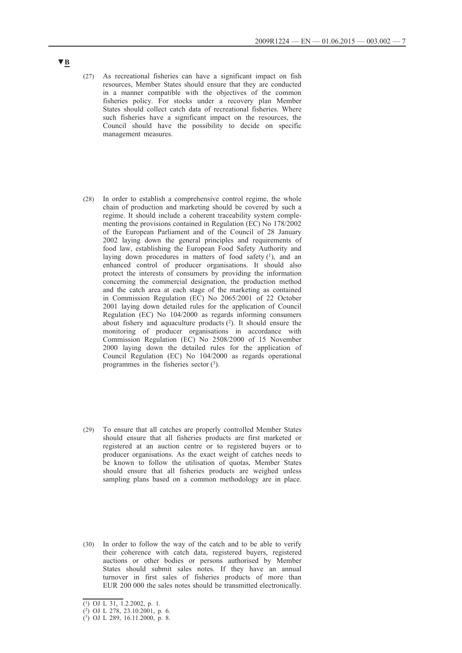- (27) As recreational fisheries can have a significant impact on fish resources, Member States should ensure that they are conducted in a manner compatible with the objectives of the common fisheries policy. For stocks under a recovery plan Member States should collect catch data of recreational fisheries. Where such fisheries have a significant impact on the resources, the Council should have the possibility to decide on specific management measures.
- (28) In order to establish a comprehensive control regime, the whole chain of production and marketing should be covered by such a regime. It should include a coherent traceability system complementing the provisions contained in Regulation (EC) No 178/2002 of the European Parliament and of the Council of 28 January 2002 laying down the general principles and requirements of food law, establishing the European Food Safety Authority and laying down procedures in matters of food safety  $(1)$ , and an enhanced control of producer organisations. It should also protect the interests of consumers by providing the information concerning the commercial designation, the production method and the catch area at each stage of the marketing as contained in Commission Regulation (EC) No 2065/2001 of 22 October 2001 laying down detailed rules for the application of Council Regulation (EC) No 104/2000 as regards informing consumers about fishery and aquaculture products  $(2)$ . It should ensure the monitoring of producer organisations in accordance with Commission Regulation (EC) No 2508/2000 of 15 November 2000 laying down the detailed rules for the application of Council Regulation (EC) No 104/2000 as regards operational programmes in the fisheries sector  $(3)$ .
- (29) To ensure that all catches are properly controlled Member States should ensure that all fisheries products are first marketed or registered at an auction centre or to registered buyers or to producer organisations. As the exact weight of catches needs to be known to follow the utilisation of quotas, Member States should ensure that all fisheries products are weighed unless sampling plans based on a common methodology are in place.
- (30) In order to follow the way of the catch and to be able to verify their coherence with catch data, registered buyers, registered auctions or other bodies or persons authorised by Member States should submit sales notes. If they have an annual turnover in first sales of fisheries products of more than EUR 200 000 the sales notes should be transmitted electronically.

<sup>(1)</sup> OJ L 31, 1.2.2002, p. 1.

<sup>(2)</sup> OJ L 278, 23.10.2001, p. 6.

<sup>(3)</sup> OJ L 289, 16.11.2000, p. 8.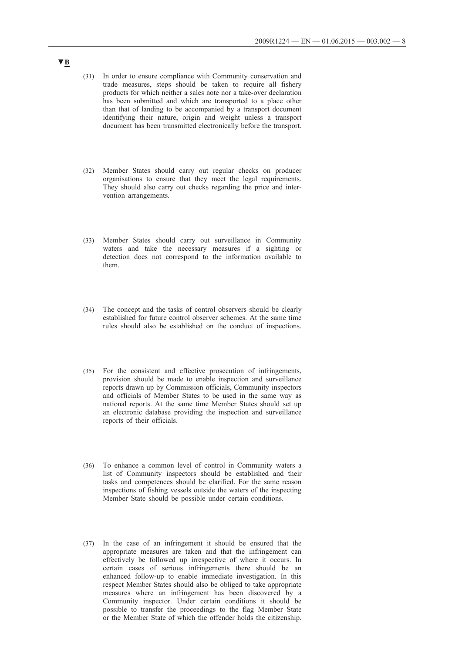- (31) In order to ensure compliance with Community conservation and trade measures, steps should be taken to require all fishery products for which neither a sales note nor a take-over declaration has been submitted and which are transported to a place other than that of landing to be accompanied by a transport document identifying their nature, origin and weight unless a transport document has been transmitted electronically before the transport.
- (32) Member States should carry out regular checks on producer organisations to ensure that they meet the legal requirements. They should also carry out checks regarding the price and intervention arrangements.
- (33) Member States should carry out surveillance in Community waters and take the necessary measures if a sighting or detection does not correspond to the information available to them.
- (34) The concept and the tasks of control observers should be clearly established for future control observer schemes. At the same time rules should also be established on the conduct of inspections.
- (35) For the consistent and effective prosecution of infringements, provision should be made to enable inspection and surveillance reports drawn up by Commission officials, Community inspectors and officials of Member States to be used in the same way as national reports. At the same time Member States should set up an electronic database providing the inspection and surveillance reports of their officials.
- (36) To enhance a common level of control in Community waters a list of Community inspectors should be established and their tasks and competences should be clarified. For the same reason inspections of fishing vessels outside the waters of the inspecting Member State should be possible under certain conditions.
- (37) In the case of an infringement it should be ensured that the appropriate measures are taken and that the infringement can effectively be followed up irrespective of where it occurs. In certain cases of serious infringements there should be an enhanced follow-up to enable immediate investigation. In this respect Member States should also be obliged to take appropriate measures where an infringement has been discovered by a Community inspector. Under certain conditions it should be possible to transfer the proceedings to the flag Member State or the Member State of which the offender holds the citizenship.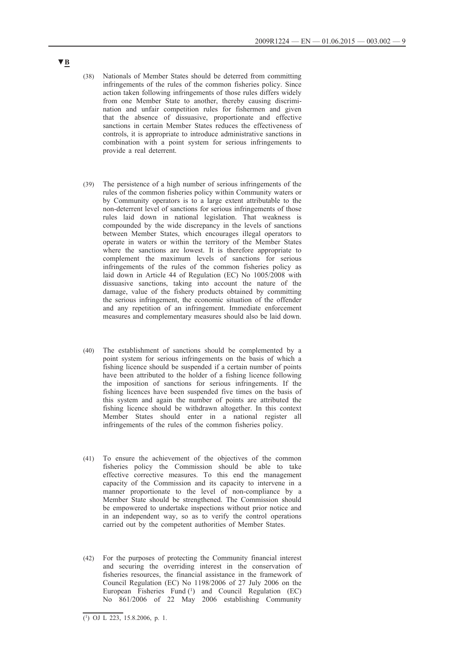- (38) Nationals of Member States should be deterred from committing infringements of the rules of the common fisheries policy. Since action taken following infringements of those rules differs widely from one Member State to another, thereby causing discrimination and unfair competition rules for fishermen and given that the absence of dissuasive, proportionate and effective sanctions in certain Member States reduces the effectiveness of controls, it is appropriate to introduce administrative sanctions in combination with a point system for serious infringements to provide a real deterrent.
- (39) The persistence of a high number of serious infringements of the rules of the common fisheries policy within Community waters or by Community operators is to a large extent attributable to the non-deterrent level of sanctions for serious infringements of those rules laid down in national legislation. That weakness is compounded by the wide discrepancy in the levels of sanctions between Member States, which encourages illegal operators to operate in waters or within the territory of the Member States where the sanctions are lowest. It is therefore appropriate to complement the maximum levels of sanctions for serious infringements of the rules of the common fisheries policy as laid down in Article 44 of Regulation (EC) No 1005/2008 with dissuasive sanctions, taking into account the nature of the damage, value of the fishery products obtained by committing the serious infringement, the economic situation of the offender and any repetition of an infringement. Immediate enforcement measures and complementary measures should also be laid down.
- (40) The establishment of sanctions should be complemented by a point system for serious infringements on the basis of which a fishing licence should be suspended if a certain number of points have been attributed to the holder of a fishing licence following the imposition of sanctions for serious infringements. If the fishing licences have been suspended five times on the basis of this system and again the number of points are attributed the fishing licence should be withdrawn altogether. In this context Member States should enter in a national register all infringements of the rules of the common fisheries policy.
- (41) To ensure the achievement of the objectives of the common fisheries policy the Commission should be able to take effective corrective measures. To this end the management capacity of the Commission and its capacity to intervene in a manner proportionate to the level of non-compliance by a Member State should be strengthened. The Commission should be empowered to undertake inspections without prior notice and in an independent way, so as to verify the control operations carried out by the competent authorities of Member States.
- (42) For the purposes of protecting the Community financial interest and securing the overriding interest in the conservation of fisheries resources, the financial assistance in the framework of Council Regulation (EC) No 1198/2006 of 27 July 2006 on the European Fisheries Fund (1) and Council Regulation (EC) No 861/2006 of 22 May 2006 establishing Community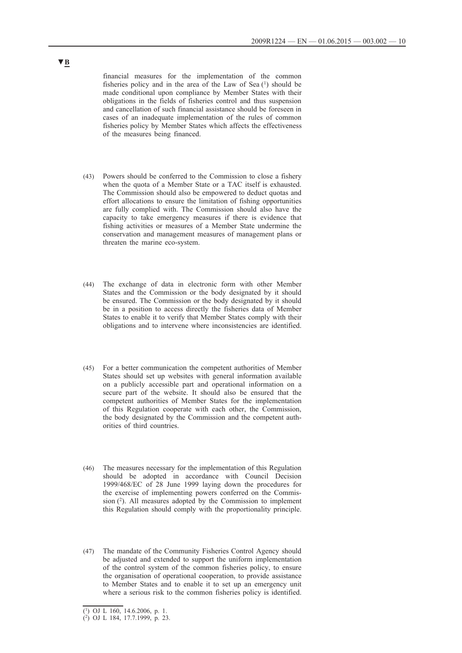financial measures for the implementation of the common fisheries policy and in the area of the Law of Sea  $(1)$  should be made conditional upon compliance by Member States with their obligations in the fields of fisheries control and thus suspension and cancellation of such financial assistance should be foreseen in cases of an inadequate implementation of the rules of common fisheries policy by Member States which affects the effectiveness of the measures being financed.

- (43) Powers should be conferred to the Commission to close a fishery when the quota of a Member State or a TAC itself is exhausted. The Commission should also be empowered to deduct quotas and effort allocations to ensure the limitation of fishing opportunities are fully complied with. The Commission should also have the capacity to take emergency measures if there is evidence that fishing activities or measures of a Member State undermine the conservation and management measures of management plans or threaten the marine eco-system.
- (44) The exchange of data in electronic form with other Member States and the Commission or the body designated by it should be ensured. The Commission or the body designated by it should be in a position to access directly the fisheries data of Member States to enable it to verify that Member States comply with their obligations and to intervene where inconsistencies are identified.
- (45) For a better communication the competent authorities of Member States should set up websites with general information available on a publicly accessible part and operational information on a secure part of the website. It should also be ensured that the competent authorities of Member States for the implementation of this Regulation cooperate with each other, the Commission, the body designated by the Commission and the competent authorities of third countries.
- (46) The measures necessary for the implementation of this Regulation should be adopted in accordance with Council Decision 1999/468/EC of 28 June 1999 laying down the procedures for the exercise of implementing powers conferred on the Commission (2). All measures adopted by the Commission to implement this Regulation should comply with the proportionality principle.
- (47) The mandate of the Community Fisheries Control Agency should be adjusted and extended to support the uniform implementation of the control system of the common fisheries policy, to ensure the organisation of operational cooperation, to provide assistance to Member States and to enable it to set up an emergency unit where a serious risk to the common fisheries policy is identified.

<sup>(1)</sup> OJ L 160, 14.6.2006, p. 1.

<sup>(2)</sup> OJ L 184, 17.7.1999, p. 23.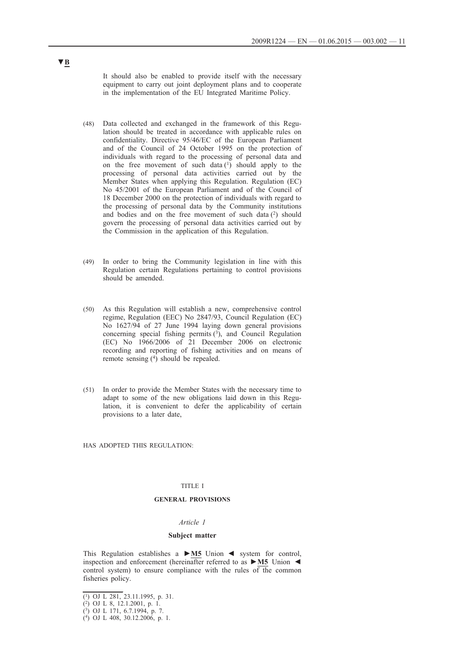It should also be enabled to provide itself with the necessary equipment to carry out joint deployment plans and to cooperate in the implementation of the EU Integrated Maritime Policy.

- (48) Data collected and exchanged in the framework of this Regulation should be treated in accordance with applicable rules on confidentiality. Directive 95/46/EC of the European Parliament and of the Council of 24 October 1995 on the protection of individuals with regard to the processing of personal data and on the free movement of such data (1) should apply to the processing of personal data activities carried out by the Member States when applying this Regulation. Regulation (EC) No 45/2001 of the European Parliament and of the Council of 18 December 2000 on the protection of individuals with regard to the processing of personal data by the Community institutions and bodies and on the free movement of such data  $(2)$  should govern the processing of personal data activities carried out by the Commission in the application of this Regulation.
- (49) In order to bring the Community legislation in line with this Regulation certain Regulations pertaining to control provisions should be amended.
- (50) As this Regulation will establish a new, comprehensive control regime, Regulation (EEC) No 2847/93, Council Regulation (EC) No 1627/94 of 27 June 1994 laying down general provisions concerning special fishing permits  $(3)$ , and Council Regulation (EC) No 1966/2006 of 21 December 2006 on electronic recording and reporting of fishing activities and on means of remote sensing (4) should be repealed.
- (51) In order to provide the Member States with the necessary time to adapt to some of the new obligations laid down in this Regulation, it is convenient to defer the applicability of certain provisions to a later date,

HAS ADOPTED THIS REGULATION:

### TITLE I

### **GENERAL PROVISIONS**

#### *Article 1*

#### **Subject matter**

This Regulation establishes a **►M5** Union ◄ system for control, inspection and enforcement (hereinafter referred to as **►M5** Union ◄ control system) to ensure compliance with the rules of the common fisheries policy.

<sup>(1)</sup> OJ L 281, 23.11.1995, p. 31.

<sup>(2)</sup> OJ L 8, 12.1.2001, p. 1.

<sup>(3)</sup> OJ L 171, 6.7.1994, p. 7.

<sup>(4)</sup> OJ L 408, 30.12.2006, p. 1.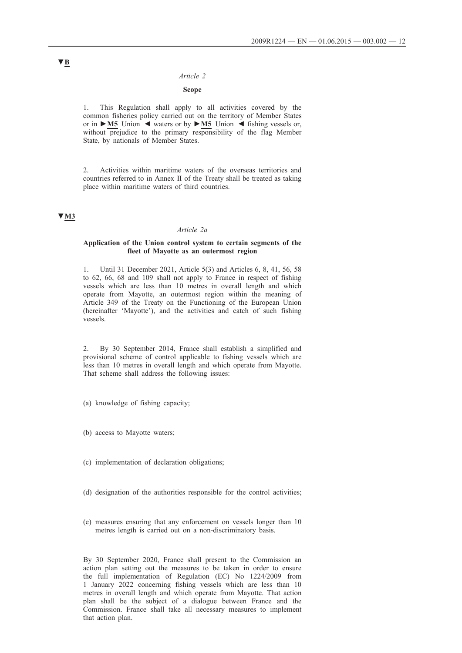#### *Article 2*

### **Scope**

1. This Regulation shall apply to all activities covered by the common fisheries policy carried out on the territory of Member States or in **►M5** Union ◄ waters or by **►M5** Union ◄ fishing vessels or, without prejudice to the primary responsibility of the flag Member State, by nationals of Member States.

2. Activities within maritime waters of the overseas territories and countries referred to in Annex II of the Treaty shall be treated as taking place within maritime waters of third countries.

### **▼M3**

#### *Article 2a*

#### **Application of the Union control system to certain segments of the fleet of Mayotte as an outermost region**

1. Until 31 December 2021, Article 5(3) and Articles 6, 8, 41, 56, 58 to 62, 66, 68 and 109 shall not apply to France in respect of fishing vessels which are less than 10 metres in overall length and which operate from Mayotte, an outermost region within the meaning of Article 349 of the Treaty on the Functioning of the European Union (hereinafter 'Mayotte'), and the activities and catch of such fishing vessels.

2. By 30 September 2014, France shall establish a simplified and provisional scheme of control applicable to fishing vessels which are less than 10 metres in overall length and which operate from Mayotte. That scheme shall address the following issues:

- (a) knowledge of fishing capacity;
- (b) access to Mayotte waters;
- (c) implementation of declaration obligations;
- (d) designation of the authorities responsible for the control activities;
- (e) measures ensuring that any enforcement on vessels longer than 10 metres length is carried out on a non-discriminatory basis.

By 30 September 2020, France shall present to the Commission an action plan setting out the measures to be taken in order to ensure the full implementation of Regulation (EC) No 1224/2009 from 1 January 2022 concerning fishing vessels which are less than 10 metres in overall length and which operate from Mayotte. That action plan shall be the subject of a dialogue between France and the Commission. France shall take all necessary measures to implement that action plan.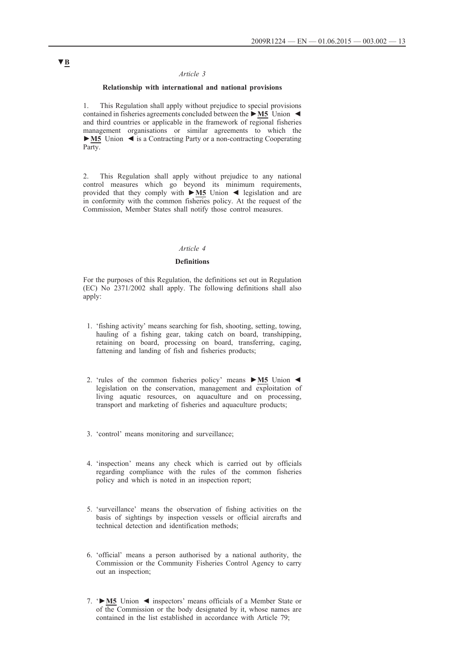### *Article 3*

### **Relationship with international and national provisions**

1. This Regulation shall apply without prejudice to special provisions contained in fisheries agreements concluded between the **►M5** Union ◄ and third countries or applicable in the framework of regional fisheries management organisations or similar agreements to which the **►M5** Union ◄ is a Contracting Party or a non-contracting Cooperating Party.

2. This Regulation shall apply without prejudice to any national control measures which go beyond its minimum requirements, provided that they comply with **►M5** Union ◄ legislation and are in conformity with the common fisheries policy. At the request of the Commission, Member States shall notify those control measures.

### *Article 4*

### **Definitions**

For the purposes of this Regulation, the definitions set out in Regulation (EC) No 2371/2002 shall apply. The following definitions shall also apply:

- 1. 'fishing activity' means searching for fish, shooting, setting, towing, hauling of a fishing gear, taking catch on board, transhipping, retaining on board, processing on board, transferring, caging, fattening and landing of fish and fisheries products;
- 2. 'rules of the common fisheries policy' means **►M5** Union ◄ legislation on the conservation, management and exploitation of living aquatic resources, on aquaculture and on processing, transport and marketing of fisheries and aquaculture products;
- 3. 'control' means monitoring and surveillance;
- 4. 'inspection' means any check which is carried out by officials regarding compliance with the rules of the common fisheries policy and which is noted in an inspection report;
- 5. 'surveillance' means the observation of fishing activities on the basis of sightings by inspection vessels or official aircrafts and technical detection and identification methods;
- 6. 'official' means a person authorised by a national authority, the Commission or the Community Fisheries Control Agency to carry out an inspection;
- 7. '**►M5** Union ◄ inspectors' means officials of a Member State or of the Commission or the body designated by it, whose names are contained in the list established in accordance with Article 79;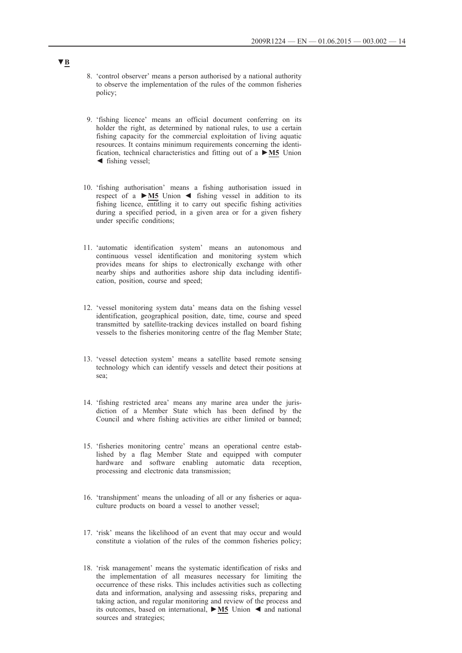- 8. 'control observer' means a person authorised by a national authority to observe the implementation of the rules of the common fisheries policy;
- 9. 'fishing licence' means an official document conferring on its holder the right, as determined by national rules, to use a certain fishing capacity for the commercial exploitation of living aquatic resources. It contains minimum requirements concerning the identification, technical characteristics and fitting out of a **►M5** Union ◄ fishing vessel;
- 10. 'fishing authorisation' means a fishing authorisation issued in respect of a **►M5** Union ◄ fishing vessel in addition to its fishing licence, entitling it to carry out specific fishing activities during a specified period, in a given area or for a given fishery under specific conditions;
- 11. 'automatic identification system' means an autonomous and continuous vessel identification and monitoring system which provides means for ships to electronically exchange with other nearby ships and authorities ashore ship data including identification, position, course and speed;
- 12. 'vessel monitoring system data' means data on the fishing vessel identification, geographical position, date, time, course and speed transmitted by satellite-tracking devices installed on board fishing vessels to the fisheries monitoring centre of the flag Member State;
- 13. 'vessel detection system' means a satellite based remote sensing technology which can identify vessels and detect their positions at sea;
- 14. 'fishing restricted area' means any marine area under the jurisdiction of a Member State which has been defined by the Council and where fishing activities are either limited or banned;
- 15. 'fisheries monitoring centre' means an operational centre established by a flag Member State and equipped with computer hardware and software enabling automatic data reception, processing and electronic data transmission;
- 16. 'transhipment' means the unloading of all or any fisheries or aquaculture products on board a vessel to another vessel;
- 17. 'risk' means the likelihood of an event that may occur and would constitute a violation of the rules of the common fisheries policy;
- 18. 'risk management' means the systematic identification of risks and the implementation of all measures necessary for limiting the occurrence of these risks. This includes activities such as collecting data and information, analysing and assessing risks, preparing and taking action, and regular monitoring and review of the process and its outcomes, based on international, **►M5** Union ◄ and national sources and strategies;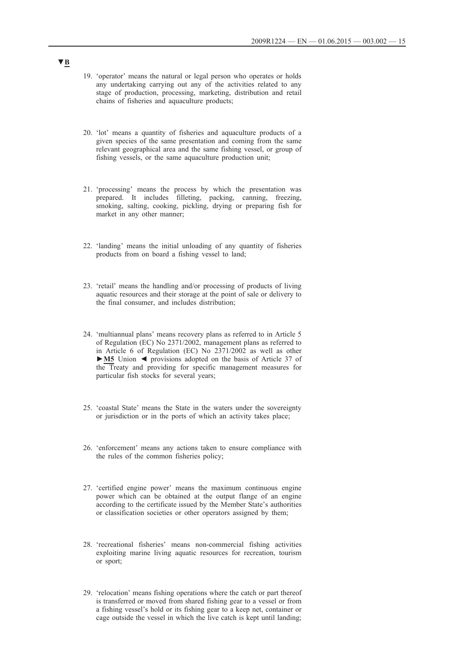- 19. 'operator' means the natural or legal person who operates or holds any undertaking carrying out any of the activities related to any stage of production, processing, marketing, distribution and retail chains of fisheries and aquaculture products;
- 20. 'lot' means a quantity of fisheries and aquaculture products of a given species of the same presentation and coming from the same relevant geographical area and the same fishing vessel, or group of fishing vessels, or the same aquaculture production unit;
- 21. 'processing' means the process by which the presentation was prepared. It includes filleting, packing, canning, freezing, smoking, salting, cooking, pickling, drying or preparing fish for market in any other manner;
- 22. 'landing' means the initial unloading of any quantity of fisheries products from on board a fishing vessel to land;
- 23. 'retail' means the handling and/or processing of products of living aquatic resources and their storage at the point of sale or delivery to the final consumer, and includes distribution;
- 24. 'multiannual plans' means recovery plans as referred to in Article 5 of Regulation (EC) No 2371/2002, management plans as referred to in Article 6 of Regulation (EC) No 2371/2002 as well as other **►M5** Union ◄ provisions adopted on the basis of Article 37 of the Treaty and providing for specific management measures for particular fish stocks for several years;
- 25. 'coastal State' means the State in the waters under the sovereignty or jurisdiction or in the ports of which an activity takes place;
- 26. 'enforcement' means any actions taken to ensure compliance with the rules of the common fisheries policy;
- 27. 'certified engine power' means the maximum continuous engine power which can be obtained at the output flange of an engine according to the certificate issued by the Member State's authorities or classification societies or other operators assigned by them;
- 28. 'recreational fisheries' means non-commercial fishing activities exploiting marine living aquatic resources for recreation, tourism or sport;
- 29. 'relocation' means fishing operations where the catch or part thereof is transferred or moved from shared fishing gear to a vessel or from a fishing vessel's hold or its fishing gear to a keep net, container or cage outside the vessel in which the live catch is kept until landing;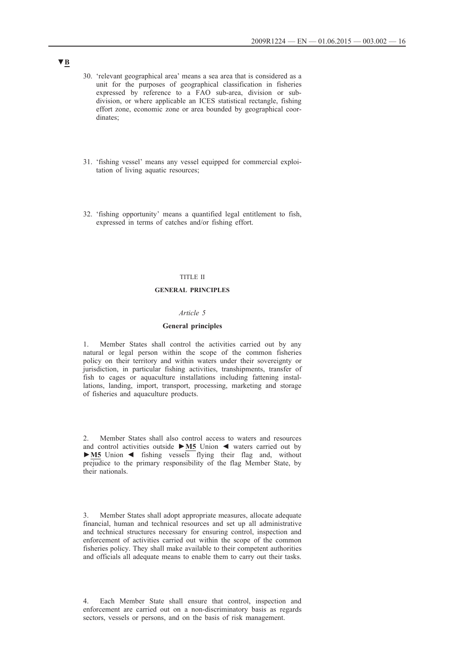- 30. 'relevant geographical area' means a sea area that is considered as a unit for the purposes of geographical classification in fisheries expressed by reference to a FAO sub-area, division or subdivision, or where applicable an ICES statistical rectangle, fishing effort zone, economic zone or area bounded by geographical coordinates;
- 31. 'fishing vessel' means any vessel equipped for commercial exploitation of living aquatic resources;
- 32. 'fishing opportunity' means a quantified legal entitlement to fish, expressed in terms of catches and/or fishing effort.

### TITLE II

### **GENERAL PRINCIPLES**

#### *Article 5*

#### **General principles**

1. Member States shall control the activities carried out by any natural or legal person within the scope of the common fisheries policy on their territory and within waters under their sovereignty or jurisdiction, in particular fishing activities, transhipments, transfer of fish to cages or aquaculture installations including fattening installations, landing, import, transport, processing, marketing and storage of fisheries and aquaculture products.

2. Member States shall also control access to waters and resources and control activities outside **►M5** Union ◄ waters carried out by **►M5** Union ◄ fishing vessels flying their flag and, without prejudice to the primary responsibility of the flag Member State, by their nationals.

Member States shall adopt appropriate measures, allocate adequate financial, human and technical resources and set up all administrative and technical structures necessary for ensuring control, inspection and enforcement of activities carried out within the scope of the common fisheries policy. They shall make available to their competent authorities and officials all adequate means to enable them to carry out their tasks.

4. Each Member State shall ensure that control, inspection and enforcement are carried out on a non-discriminatory basis as regards sectors, vessels or persons, and on the basis of risk management.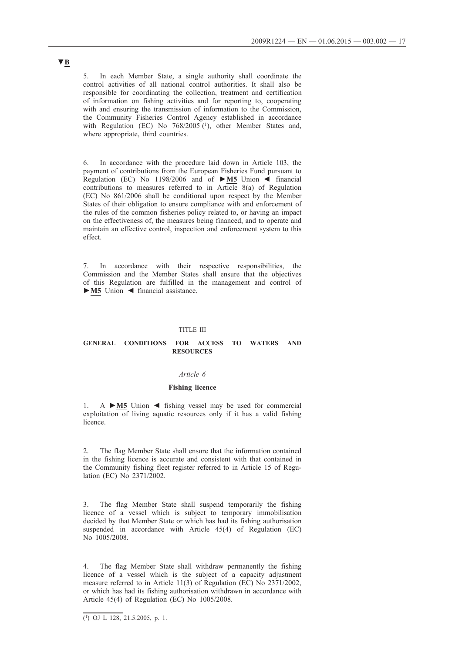5. In each Member State, a single authority shall coordinate the control activities of all national control authorities. It shall also be responsible for coordinating the collection, treatment and certification of information on fishing activities and for reporting to, cooperating with and ensuring the transmission of information to the Commission, the Community Fisheries Control Agency established in accordance with Regulation (EC) No 768/2005 (1), other Member States and, where appropriate, third countries.

6. In accordance with the procedure laid down in Article 103, the payment of contributions from the European Fisheries Fund pursuant to Regulation (EC) No 1198/2006 and of **►M5** Union ◄ financial contributions to measures referred to in Article 8(a) of Regulation (EC) No 861/2006 shall be conditional upon respect by the Member States of their obligation to ensure compliance with and enforcement of the rules of the common fisheries policy related to, or having an impact on the effectiveness of, the measures being financed, and to operate and maintain an effective control, inspection and enforcement system to this effect.

7. In accordance with their respective responsibilities, the Commission and the Member States shall ensure that the objectives of this Regulation are fulfilled in the management and control of **►M5** Union ◄ financial assistance.

#### TITLE III

#### **GENERAL CONDITIONS FOR ACCESS TO WATERS AND RESOURCES**

#### *Article 6*

### **Fishing licence**

1. A **►M5** Union ◄ fishing vessel may be used for commercial exploitation of living aquatic resources only if it has a valid fishing licence.

2. The flag Member State shall ensure that the information contained in the fishing licence is accurate and consistent with that contained in the Community fishing fleet register referred to in Article 15 of Regulation (EC) No 2371/2002.

The flag Member State shall suspend temporarily the fishing licence of a vessel which is subject to temporary immobilisation decided by that Member State or which has had its fishing authorisation suspended in accordance with Article 45(4) of Regulation (EC) No 1005/2008.

4. The flag Member State shall withdraw permanently the fishing licence of a vessel which is the subject of a capacity adjustment measure referred to in Article 11(3) of Regulation (EC) No 2371/2002, or which has had its fishing authorisation withdrawn in accordance with Article 45(4) of Regulation (EC) No 1005/2008.

 $\overline{(^1)}$  OJ L 128, 21.5.2005, p. 1.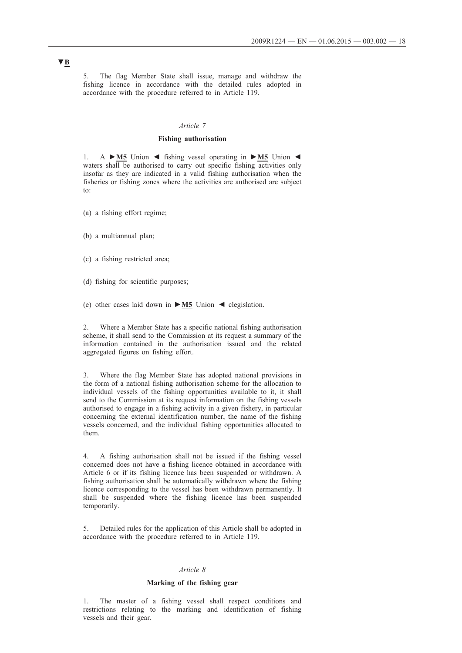5. The flag Member State shall issue, manage and withdraw the fishing licence in accordance with the detailed rules adopted in accordance with the procedure referred to in Article 119.

### *Article 7*

### **Fishing authorisation**

1. A **►M5** Union ◄ fishing vessel operating in **►M5** Union ◄ waters shall be authorised to carry out specific fishing activities only insofar as they are indicated in a valid fishing authorisation when the fisheries or fishing zones where the activities are authorised are subject to:

- (a) a fishing effort regime;
- (b) a multiannual plan;
- (c) a fishing restricted area;
- (d) fishing for scientific purposes;
- (e) other cases laid down in **►M5** Union ◄ clegislation.

2. Where a Member State has a specific national fishing authorisation scheme, it shall send to the Commission at its request a summary of the information contained in the authorisation issued and the related aggregated figures on fishing effort.

3. Where the flag Member State has adopted national provisions in the form of a national fishing authorisation scheme for the allocation to individual vessels of the fishing opportunities available to it, it shall send to the Commission at its request information on the fishing vessels authorised to engage in a fishing activity in a given fishery, in particular concerning the external identification number, the name of the fishing vessels concerned, and the individual fishing opportunities allocated to them.

4. A fishing authorisation shall not be issued if the fishing vessel concerned does not have a fishing licence obtained in accordance with Article 6 or if its fishing licence has been suspended or withdrawn. A fishing authorisation shall be automatically withdrawn where the fishing licence corresponding to the vessel has been withdrawn permanently. It shall be suspended where the fishing licence has been suspended temporarily.

5. Detailed rules for the application of this Article shall be adopted in accordance with the procedure referred to in Article 119.

#### *Article 8*

#### **Marking of the fishing gear**

1. The master of a fishing vessel shall respect conditions and restrictions relating to the marking and identification of fishing vessels and their gear.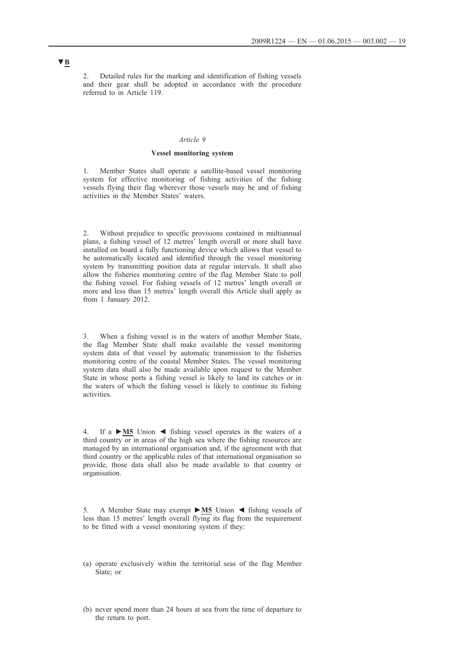2. Detailed rules for the marking and identification of fishing vessels and their gear shall be adopted in accordance with the procedure referred to in Article 119.

### *Article 9*

### **Vessel monitoring system**

1. Member States shall operate a satellite-based vessel monitoring system for effective monitoring of fishing activities of the fishing vessels flying their flag wherever those vessels may be and of fishing activities in the Member States' waters.

2. Without prejudice to specific provisions contained in multiannual plans, a fishing vessel of 12 metres' length overall or more shall have installed on board a fully functioning device which allows that vessel to be automatically located and identified through the vessel monitoring system by transmitting position data at regular intervals. It shall also allow the fisheries monitoring centre of the flag Member State to poll the fishing vessel. For fishing vessels of 12 metres' length overall or more and less than 15 metres' length overall this Article shall apply as from 1 January 2012.

3. When a fishing vessel is in the waters of another Member State, the flag Member State shall make available the vessel monitoring system data of that vessel by automatic transmission to the fisheries monitoring centre of the coastal Member States. The vessel monitoring system data shall also be made available upon request to the Member State in whose ports a fishing vessel is likely to land its catches or in the waters of which the fishing vessel is likely to continue its fishing activities.

4. If a **►M5** Union ◄ fishing vessel operates in the waters of a third country or in areas of the high sea where the fishing resources are managed by an international organisation and, if the agreement with that third country or the applicable rules of that international organisation so provide, those data shall also be made available to that country or organisation.

5. A Member State may exempt **►M5** Union ◄ fishing vessels of less than 15 metres' length overall flying its flag from the requirement to be fitted with a vessel monitoring system if they:

- (a) operate exclusively within the territorial seas of the flag Member State; or
- (b) never spend more than 24 hours at sea from the time of departure to the return to port.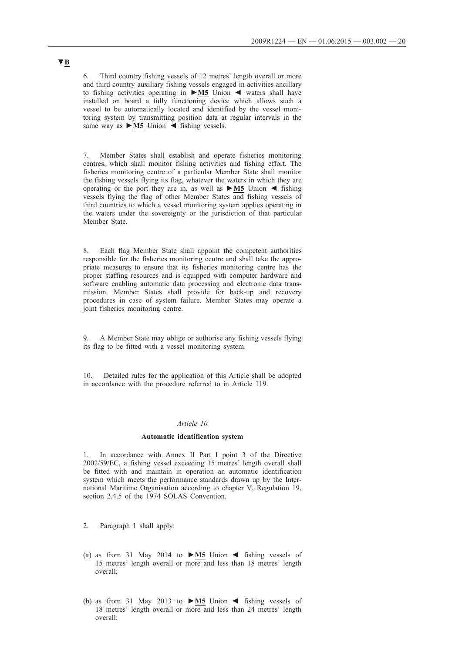6. Third country fishing vessels of 12 metres' length overall or more and third country auxiliary fishing vessels engaged in activities ancillary to fishing activities operating in **►M5** Union ◄ waters shall have installed on board a fully functioning device which allows such a vessel to be automatically located and identified by the vessel monitoring system by transmitting position data at regular intervals in the same way as **►M5** Union ◄ fishing vessels.

7. Member States shall establish and operate fisheries monitoring centres, which shall monitor fishing activities and fishing effort. The fisheries monitoring centre of a particular Member State shall monitor the fishing vessels flying its flag, whatever the waters in which they are operating or the port they are in, as well as **►M5** Union ◄ fishing vessels flying the flag of other Member States and fishing vessels of third countries to which a vessel monitoring system applies operating in the waters under the sovereignty or the jurisdiction of that particular Member State.

8. Each flag Member State shall appoint the competent authorities responsible for the fisheries monitoring centre and shall take the appropriate measures to ensure that its fisheries monitoring centre has the proper staffing resources and is equipped with computer hardware and software enabling automatic data processing and electronic data transmission. Member States shall provide for back-up and recovery procedures in case of system failure. Member States may operate a joint fisheries monitoring centre.

9. A Member State may oblige or authorise any fishing vessels flying its flag to be fitted with a vessel monitoring system.

10. Detailed rules for the application of this Article shall be adopted in accordance with the procedure referred to in Article 119.

### *Article 10*

### **Automatic identification system**

In accordance with Annex II Part I point 3 of the Directive 2002/59/EC, a fishing vessel exceeding 15 metres' length overall shall be fitted with and maintain in operation an automatic identification system which meets the performance standards drawn up by the International Maritime Organisation according to chapter V, Regulation 19, section 2.4.5 of the 1974 SOLAS Convention.

- 2. Paragraph 1 shall apply:
- (a) as from 31 May 2014 to **►M5** Union ◄ fishing vessels of 15 metres' length overall or more and less than 18 metres' length overall;
- (b) as from 31 May 2013 to **►M5** Union ◄ fishing vessels of 18 metres' length overall or more and less than 24 metres' length overall;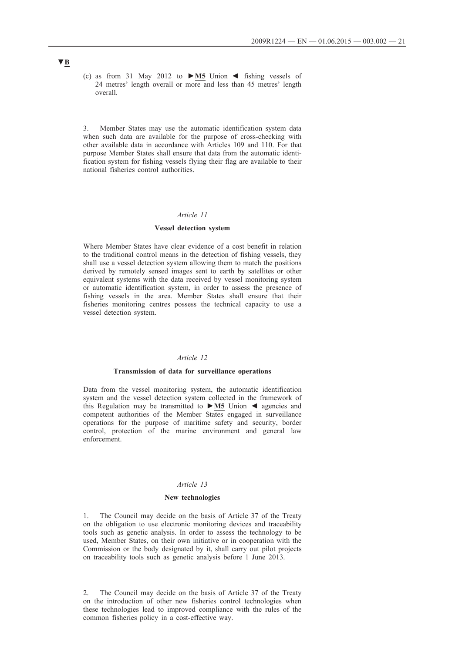(c) as from 31 May 2012 to **►M5** Union ◄ fishing vessels of 24 metres' length overall or more and less than 45 metres' length overall.

3. Member States may use the automatic identification system data when such data are available for the purpose of cross-checking with other available data in accordance with Articles 109 and 110. For that purpose Member States shall ensure that data from the automatic identification system for fishing vessels flying their flag are available to their national fisheries control authorities.

#### *Article 11*

#### **Vessel detection system**

Where Member States have clear evidence of a cost benefit in relation to the traditional control means in the detection of fishing vessels, they shall use a vessel detection system allowing them to match the positions derived by remotely sensed images sent to earth by satellites or other equivalent systems with the data received by vessel monitoring system or automatic identification system, in order to assess the presence of fishing vessels in the area. Member States shall ensure that their fisheries monitoring centres possess the technical capacity to use a vessel detection system.

### *Article 12*

#### **Transmission of data for surveillance operations**

Data from the vessel monitoring system, the automatic identification system and the vessel detection system collected in the framework of this Regulation may be transmitted to **►M5** Union ◄ agencies and competent authorities of the Member States engaged in surveillance operations for the purpose of maritime safety and security, border control, protection of the marine environment and general law enforcement.

#### *Article 13*

#### **New technologies**

1. The Council may decide on the basis of Article 37 of the Treaty on the obligation to use electronic monitoring devices and traceability tools such as genetic analysis. In order to assess the technology to be used, Member States, on their own initiative or in cooperation with the Commission or the body designated by it, shall carry out pilot projects on traceability tools such as genetic analysis before 1 June 2013.

2. The Council may decide on the basis of Article 37 of the Treaty on the introduction of other new fisheries control technologies when these technologies lead to improved compliance with the rules of the common fisheries policy in a cost-effective way.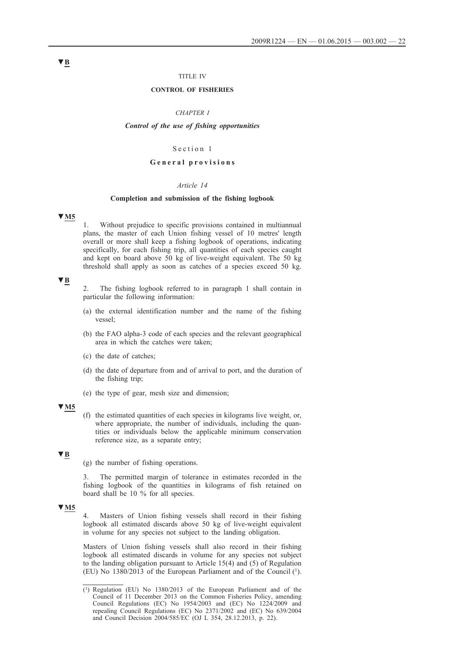### TITLE IV

#### **CONTROL OF FISHERIES**

#### *CHAPTER I*

#### *Control of the use of fishing opportunities*

### Section 1

#### **G e n e r a l p r o v i s i o n s**

#### *Article 14*

### **Completion and submission of the fishing logbook**

### **▼M5**

1. Without prejudice to specific provisions contained in multiannual plans, the master of each Union fishing vessel of 10 metres' length overall or more shall keep a fishing logbook of operations, indicating specifically, for each fishing trip, all quantities of each species caught and kept on board above 50 kg of live-weight equivalent. The 50 kg threshold shall apply as soon as catches of a species exceed 50 kg.

### **▼B**

- 2. The fishing logbook referred to in paragraph 1 shall contain in particular the following information:
- (a) the external identification number and the name of the fishing vessel;
- (b) the FAO alpha-3 code of each species and the relevant geographical area in which the catches were taken;
- (c) the date of catches;
- (d) the date of departure from and of arrival to port, and the duration of the fishing trip;
- (e) the type of gear, mesh size and dimension;

### **▼M5**

(f) the estimated quantities of each species in kilograms live weight, or, where appropriate, the number of individuals, including the quantities or individuals below the applicable minimum conservation reference size, as a separate entry;

### **▼B**

(g) the number of fishing operations.

3. The permitted margin of tolerance in estimates recorded in the fishing logbook of the quantities in kilograms of fish retained on board shall be 10 % for all species.

### **▼M5**

4. Masters of Union fishing vessels shall record in their fishing logbook all estimated discards above 50 kg of live-weight equivalent in volume for any species not subject to the landing obligation.

Masters of Union fishing vessels shall also record in their fishing logbook all estimated discards in volume for any species not subject to the landing obligation pursuant to Article 15(4) and (5) of Regulation (EU) No 1380/2013 of the European Parliament and of the Council (1).

<sup>(1)</sup> Regulation (EU) No 1380/2013 of the European Parliament and of the Council of 11 December 2013 on the Common Fisheries Policy, amending Council Regulations (EC) No 1954/2003 and (EC) No 1224/2009 and repealing Council Regulations (EC) No 2371/2002 and (EC) No 639/2004 and Council Decision 2004/585/EC (OJ L 354, 28.12.2013, p. 22).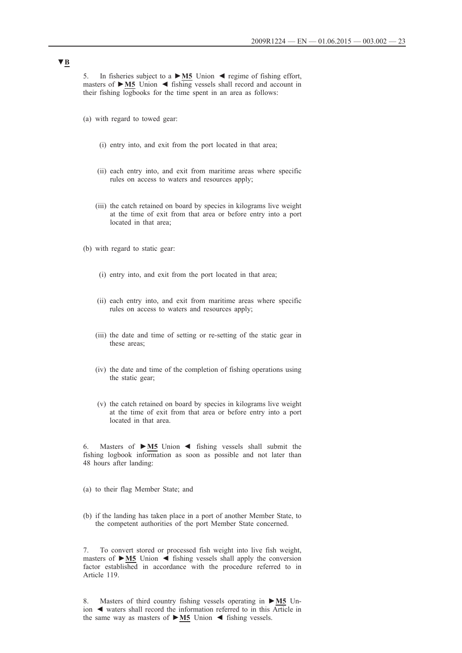5. In fisheries subject to a **►M5** Union ◄ regime of fishing effort, masters of **►M5** Union ◄ fishing vessels shall record and account in their fishing logbooks for the time spent in an area as follows:

- (a) with regard to towed gear:
	- (i) entry into, and exit from the port located in that area;
	- (ii) each entry into, and exit from maritime areas where specific rules on access to waters and resources apply;
	- (iii) the catch retained on board by species in kilograms live weight at the time of exit from that area or before entry into a port located in that area;
- (b) with regard to static gear:
	- (i) entry into, and exit from the port located in that area;
	- (ii) each entry into, and exit from maritime areas where specific rules on access to waters and resources apply;
	- (iii) the date and time of setting or re-setting of the static gear in these areas;
	- (iv) the date and time of the completion of fishing operations using the static gear;
	- (v) the catch retained on board by species in kilograms live weight at the time of exit from that area or before entry into a port located in that area.

6. Masters of **►M5** Union ◄ fishing vessels shall submit the fishing logbook information as soon as possible and not later than 48 hours after landing:

- (a) to their flag Member State; and
- (b) if the landing has taken place in a port of another Member State, to the competent authorities of the port Member State concerned.

7. To convert stored or processed fish weight into live fish weight, masters of **►M5** Union ◄ fishing vessels shall apply the conversion factor established in accordance with the procedure referred to in Article 119.

8. Masters of third country fishing vessels operating in **►M5** Union ◄ waters shall record the information referred to in this Article in the same way as masters of **►M5** Union ◄ fishing vessels.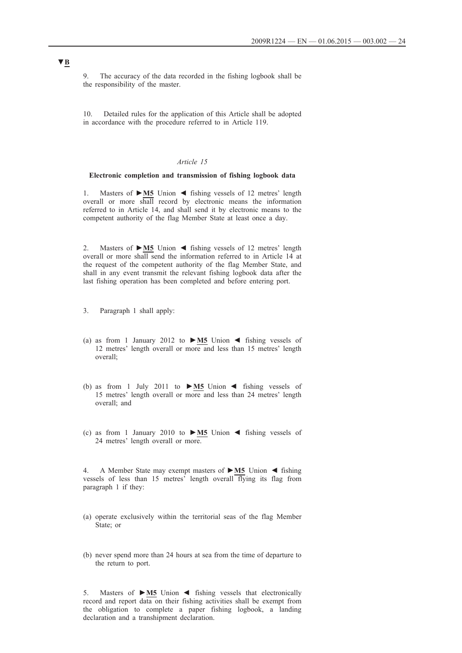9. The accuracy of the data recorded in the fishing logbook shall be the responsibility of the master.

10. Detailed rules for the application of this Article shall be adopted in accordance with the procedure referred to in Article 119.

### *Article 15*

### **Electronic completion and transmission of fishing logbook data**

1. Masters of **►M5** Union ◄ fishing vessels of 12 metres' length overall or more shall record by electronic means the information referred to in Article 14, and shall send it by electronic means to the competent authority of the flag Member State at least once a day.

2. Masters of **►M5** Union ◄ fishing vessels of 12 metres' length overall or more shall send the information referred to in Article 14 at the request of the competent authority of the flag Member State, and shall in any event transmit the relevant fishing logbook data after the last fishing operation has been completed and before entering port.

- 3. Paragraph 1 shall apply:
- (a) as from 1 January 2012 to **►M5** Union ◄ fishing vessels of 12 metres' length overall or more and less than 15 metres' length overall;
- (b) as from 1 July 2011 to **►M5** Union ◄ fishing vessels of 15 metres' length overall or more and less than 24 metres' length overall; and
- (c) as from 1 January 2010 to **►M5** Union ◄ fishing vessels of 24 metres' length overall or more.

4. A Member State may exempt masters of **►M5** Union ◄ fishing vessels of less than 15 metres' length overall flying its flag from paragraph 1 if they:

- (a) operate exclusively within the territorial seas of the flag Member State; or
- (b) never spend more than 24 hours at sea from the time of departure to the return to port.

5. Masters of **►M5** Union ◄ fishing vessels that electronically record and report data on their fishing activities shall be exempt from the obligation to complete a paper fishing logbook, a landing declaration and a transhipment declaration.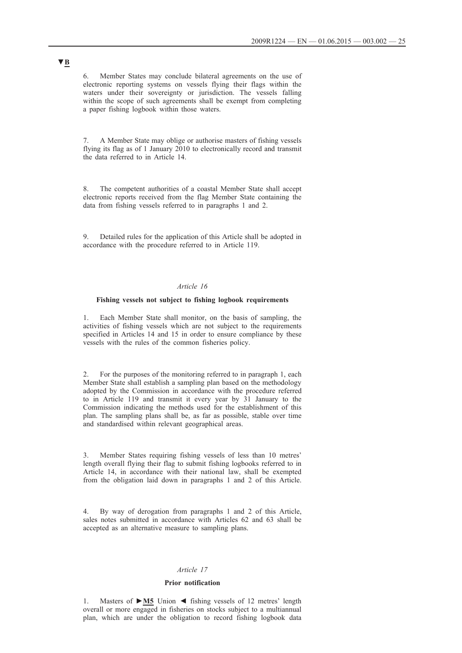6. Member States may conclude bilateral agreements on the use of electronic reporting systems on vessels flying their flags within the waters under their sovereignty or jurisdiction. The vessels falling within the scope of such agreements shall be exempt from completing a paper fishing logbook within those waters.

7. A Member State may oblige or authorise masters of fishing vessels flying its flag as of 1 January 2010 to electronically record and transmit the data referred to in Article 14.

8. The competent authorities of a coastal Member State shall accept electronic reports received from the flag Member State containing the data from fishing vessels referred to in paragraphs 1 and 2.

9. Detailed rules for the application of this Article shall be adopted in accordance with the procedure referred to in Article 119.

### *Article 16*

#### **Fishing vessels not subject to fishing logbook requirements**

1. Each Member State shall monitor, on the basis of sampling, the activities of fishing vessels which are not subject to the requirements specified in Articles 14 and 15 in order to ensure compliance by these vessels with the rules of the common fisheries policy.

2. For the purposes of the monitoring referred to in paragraph 1, each Member State shall establish a sampling plan based on the methodology adopted by the Commission in accordance with the procedure referred to in Article 119 and transmit it every year by 31 January to the Commission indicating the methods used for the establishment of this plan. The sampling plans shall be, as far as possible, stable over time and standardised within relevant geographical areas.

3. Member States requiring fishing vessels of less than 10 metres' length overall flying their flag to submit fishing logbooks referred to in Article 14, in accordance with their national law, shall be exempted from the obligation laid down in paragraphs 1 and 2 of this Article.

4. By way of derogation from paragraphs 1 and 2 of this Article, sales notes submitted in accordance with Articles 62 and 63 shall be accepted as an alternative measure to sampling plans.

#### *Article 17*

### **Prior notification**

1. Masters of **►M5** Union ◄ fishing vessels of 12 metres' length overall or more engaged in fisheries on stocks subject to a multiannual plan, which are under the obligation to record fishing logbook data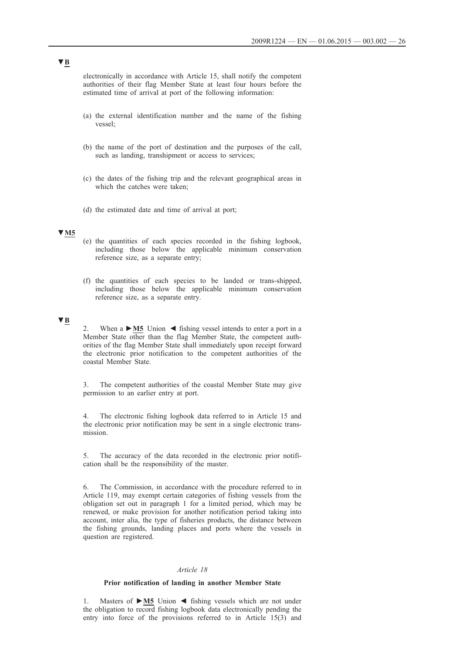electronically in accordance with Article 15, shall notify the competent authorities of their flag Member State at least four hours before the estimated time of arrival at port of the following information:

- (a) the external identification number and the name of the fishing vessel;
- (b) the name of the port of destination and the purposes of the call, such as landing, transhipment or access to services;
- (c) the dates of the fishing trip and the relevant geographical areas in which the catches were taken;
- (d) the estimated date and time of arrival at port;

# **▼M5**

- (e) the quantities of each species recorded in the fishing logbook, including those below the applicable minimum conservation reference size, as a separate entry;
- (f) the quantities of each species to be landed or trans-shipped, including those below the applicable minimum conservation reference size, as a separate entry.

# **▼B**

When  $a \triangleright M5$  Union  $\blacktriangleleft$  fishing vessel intends to enter a port in a Member State other than the flag Member State, the competent authorities of the flag Member State shall immediately upon receipt forward the electronic prior notification to the competent authorities of the coastal Member State.

3. The competent authorities of the coastal Member State may give permission to an earlier entry at port.

The electronic fishing logbook data referred to in Article 15 and the electronic prior notification may be sent in a single electronic transmission.

5. The accuracy of the data recorded in the electronic prior notification shall be the responsibility of the master.

6. The Commission, in accordance with the procedure referred to in Article 119, may exempt certain categories of fishing vessels from the obligation set out in paragraph 1 for a limited period, which may be renewed, or make provision for another notification period taking into account, inter alia, the type of fisheries products, the distance between the fishing grounds, landing places and ports where the vessels in question are registered.

#### *Article 18*

### **Prior notification of landing in another Member State**

1. Masters of **►M5** Union ◄ fishing vessels which are not under the obligation to record fishing logbook data electronically pending the entry into force of the provisions referred to in Article 15(3) and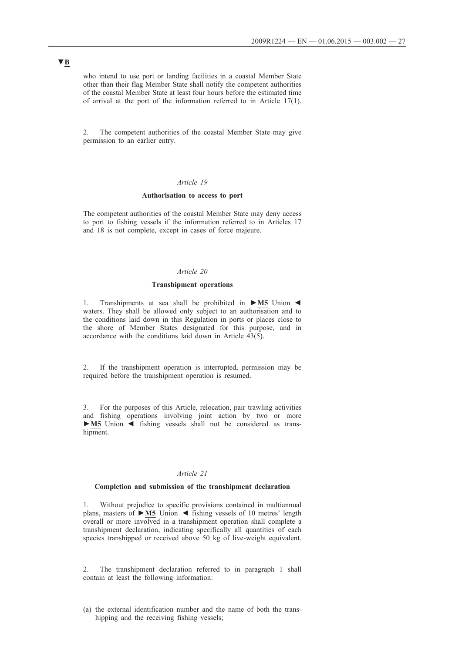who intend to use port or landing facilities in a coastal Member State other than their flag Member State shall notify the competent authorities of the coastal Member State at least four hours before the estimated time of arrival at the port of the information referred to in Article 17(1).

2. The competent authorities of the coastal Member State may give permission to an earlier entry.

### *Article 19*

#### **Authorisation to access to port**

The competent authorities of the coastal Member State may deny access to port to fishing vessels if the information referred to in Articles 17 and 18 is not complete, except in cases of force majeure.

### *Article 20*

### **Transhipment operations**

1. Transhipments at sea shall be prohibited in **►M5** Union ◄ waters. They shall be allowed only subject to an authorisation and to the conditions laid down in this Regulation in ports or places close to the shore of Member States designated for this purpose, and in accordance with the conditions laid down in Article  $\hat{43}(5)$ .

2. If the transhipment operation is interrupted, permission may be required before the transhipment operation is resumed.

3. For the purposes of this Article, relocation, pair trawling activities and fishing operations involving joint action by two or more **►M5** Union ◄ fishing vessels shall not be considered as transhipment.

### *Article 21*

#### **Completion and submission of the transhipment declaration**

1. Without prejudice to specific provisions contained in multiannual plans, masters of **►M5** Union ◄ fishing vessels of 10 metres' length overall or more involved in a transhipment operation shall complete a transhipment declaration, indicating specifically all quantities of each species transhipped or received above 50 kg of live-weight equivalent.

The transhipment declaration referred to in paragraph 1 shall contain at least the following information:

(a) the external identification number and the name of both the transhipping and the receiving fishing vessels;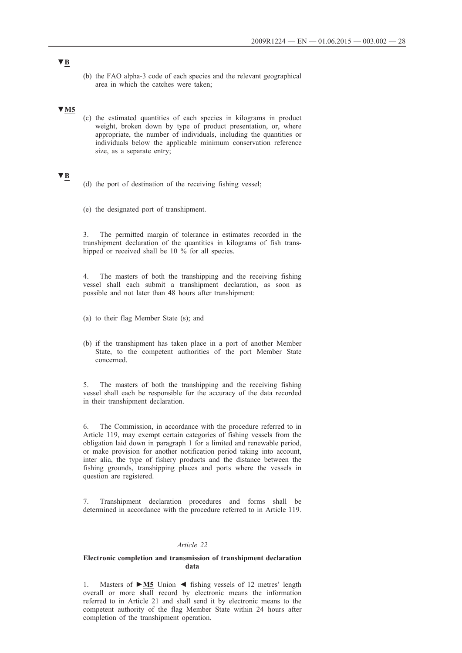(b) the FAO alpha-3 code of each species and the relevant geographical area in which the catches were taken;

# **▼M5**

(c) the estimated quantities of each species in kilograms in product weight, broken down by type of product presentation, or, where appropriate, the number of individuals, including the quantities or individuals below the applicable minimum conservation reference size, as a separate entry;

### **▼B**

- (d) the port of destination of the receiving fishing vessel;
- (e) the designated port of transhipment.

3. The permitted margin of tolerance in estimates recorded in the transhipment declaration of the quantities in kilograms of fish transhipped or received shall be 10 % for all species.

4. The masters of both the transhipping and the receiving fishing vessel shall each submit a transhipment declaration, as soon as possible and not later than 48 hours after transhipment:

- (a) to their flag Member State (s); and
- (b) if the transhipment has taken place in a port of another Member State, to the competent authorities of the port Member State concerned.

5. The masters of both the transhipping and the receiving fishing vessel shall each be responsible for the accuracy of the data recorded in their transhipment declaration.

6. The Commission, in accordance with the procedure referred to in Article 119, may exempt certain categories of fishing vessels from the obligation laid down in paragraph 1 for a limited and renewable period, or make provision for another notification period taking into account, inter alia, the type of fishery products and the distance between the fishing grounds, transhipping places and ports where the vessels in question are registered.

7. Transhipment declaration procedures and forms shall be determined in accordance with the procedure referred to in Article 119.

#### *Article 22*

#### **Electronic completion and transmission of transhipment declaration data**

1. Masters of **►M5** Union ◄ fishing vessels of 12 metres' length overall or more shall record by electronic means the information referred to in Article 21 and shall send it by electronic means to the competent authority of the flag Member State within 24 hours after completion of the transhipment operation.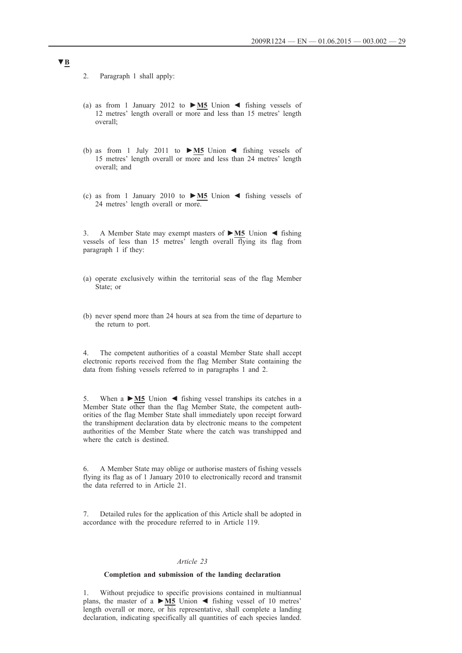2. Paragraph 1 shall apply:

- (a) as from 1 January 2012 to **►M5** Union ◄ fishing vessels of 12 metres' length overall or more and less than 15 metres' length overall;
- (b) as from 1 July 2011 to **►M5** Union ◄ fishing vessels of 15 metres' length overall or more and less than 24 metres' length overall; and
- (c) as from 1 January 2010 to **►M5** Union ◄ fishing vessels of 24 metres' length overall or more.

3. A Member State may exempt masters of **►M5** Union ◄ fishing vessels of less than 15 metres' length overall flying its flag from paragraph 1 if they:

- (a) operate exclusively within the territorial seas of the flag Member State; or
- (b) never spend more than 24 hours at sea from the time of departure to the return to port.

4. The competent authorities of a coastal Member State shall accept electronic reports received from the flag Member State containing the data from fishing vessels referred to in paragraphs 1 and 2.

5. When a **►M5** Union ◄ fishing vessel tranships its catches in a Member State other than the flag Member State, the competent authorities of the flag Member State shall immediately upon receipt forward the transhipment declaration data by electronic means to the competent authorities of the Member State where the catch was transhipped and where the catch is destined.

6. A Member State may oblige or authorise masters of fishing vessels flying its flag as of 1 January 2010 to electronically record and transmit the data referred to in Article 21.

7. Detailed rules for the application of this Article shall be adopted in accordance with the procedure referred to in Article 119.

### *Article 23*

#### **Completion and submission of the landing declaration**

1. Without prejudice to specific provisions contained in multiannual plans, the master of a **►M5** Union ◄ fishing vessel of 10 metres' length overall or more, or his representative, shall complete a landing declaration, indicating specifically all quantities of each species landed.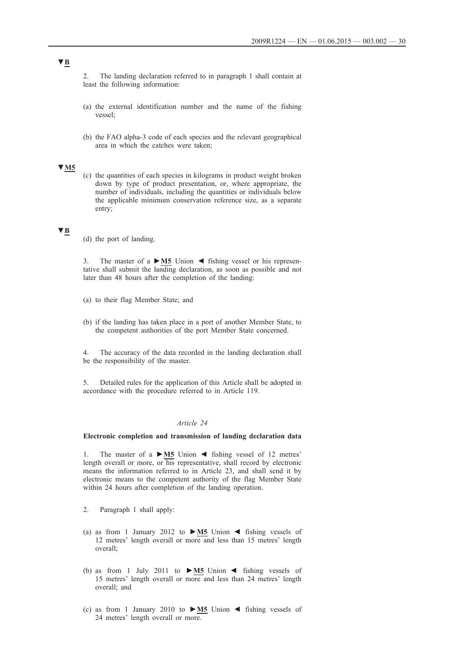2. The landing declaration referred to in paragraph 1 shall contain at least the following information:

- (a) the external identification number and the name of the fishing vessel;
- (b) the FAO alpha-3 code of each species and the relevant geographical area in which the catches were taken;

# **▼M5**

(c) the quantities of each species in kilograms in product weight broken down by type of product presentation, or, where appropriate, the number of individuals, including the quantities or individuals below the applicable minimum conservation reference size, as a separate entry;

### **▼B**

(d) the port of landing.

3. The master of a **►M5** Union ◄ fishing vessel or his representative shall submit the landing declaration, as soon as possible and not later than 48 hours after the completion of the landing:

- (a) to their flag Member State; and
- (b) if the landing has taken place in a port of another Member State, to the competent authorities of the port Member State concerned.

4. The accuracy of the data recorded in the landing declaration shall be the responsibility of the master.

5. Detailed rules for the application of this Article shall be adopted in accordance with the procedure referred to in Article 119.

### *Article 24*

### **Electronic completion and transmission of landing declaration data**

1. The master of a **►M5** Union ◄ fishing vessel of 12 metres' length overall or more, or his representative, shall record by electronic means the information referred to in Article 23, and shall send it by electronic means to the competent authority of the flag Member State within 24 hours after completion of the landing operation.

- 2. Paragraph 1 shall apply:
- (a) as from 1 January 2012 to **►M5** Union ◄ fishing vessels of 12 metres' length overall or more and less than 15 metres' length overall;
- (b) as from 1 July 2011 to **►M5** Union ◄ fishing vessels of 15 metres' length overall or more and less than 24 metres' length overall; and
- (c) as from 1 January 2010 to **►M5** Union ◄ fishing vessels of 24 metres' length overall or more.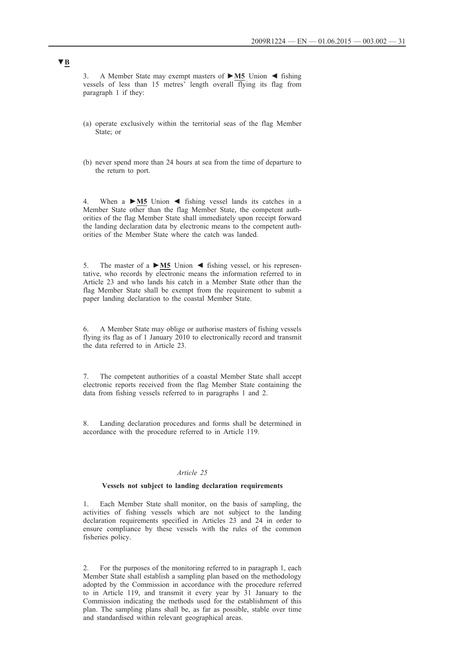3. A Member State may exempt masters of **►M5** Union ◄ fishing vessels of less than 15 metres' length overall flying its flag from paragraph 1 if they:

- (a) operate exclusively within the territorial seas of the flag Member State; or
- (b) never spend more than 24 hours at sea from the time of departure to the return to port.

4. When a **►M5** Union ◄ fishing vessel lands its catches in a Member State other than the flag Member State, the competent authorities of the flag Member State shall immediately upon receipt forward the landing declaration data by electronic means to the competent authorities of the Member State where the catch was landed.

5. The master of a **►M5** Union ◄ fishing vessel, or his representative, who records by electronic means the information referred to in Article 23 and who lands his catch in a Member State other than the flag Member State shall be exempt from the requirement to submit a paper landing declaration to the coastal Member State.

6. A Member State may oblige or authorise masters of fishing vessels flying its flag as of 1 January 2010 to electronically record and transmit the data referred to in Article 23.

7. The competent authorities of a coastal Member State shall accept electronic reports received from the flag Member State containing the data from fishing vessels referred to in paragraphs 1 and 2.

8. Landing declaration procedures and forms shall be determined in accordance with the procedure referred to in Article 119.

#### *Article 25*

### **Vessels not subject to landing declaration requirements**

1. Each Member State shall monitor, on the basis of sampling, the activities of fishing vessels which are not subject to the landing declaration requirements specified in Articles 23 and 24 in order to ensure compliance by these vessels with the rules of the common fisheries policy.

2. For the purposes of the monitoring referred to in paragraph 1, each Member State shall establish a sampling plan based on the methodology adopted by the Commission in accordance with the procedure referred to in Article 119, and transmit it every year by 31 January to the Commission indicating the methods used for the establishment of this plan. The sampling plans shall be, as far as possible, stable over time and standardised within relevant geographical areas.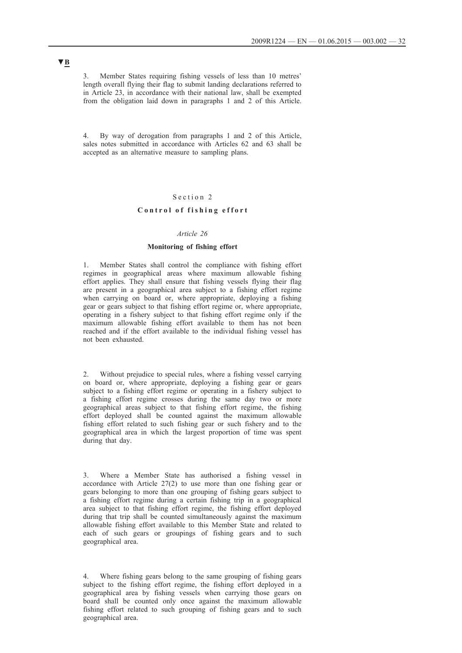3. Member States requiring fishing vessels of less than 10 metres' length overall flying their flag to submit landing declarations referred to in Article 23, in accordance with their national law, shall be exempted from the obligation laid down in paragraphs 1 and 2 of this Article.

4. By way of derogation from paragraphs 1 and 2 of this Article, sales notes submitted in accordance with Articles 62 and 63 shall be accepted as an alternative measure to sampling plans.

#### Section 2

### Control of fishing effort

# *Article 26*

### **Monitoring of fishing effort**

1. Member States shall control the compliance with fishing effort regimes in geographical areas where maximum allowable fishing effort applies. They shall ensure that fishing vessels flying their flag are present in a geographical area subject to a fishing effort regime when carrying on board or, where appropriate, deploying a fishing gear or gears subject to that fishing effort regime or, where appropriate, operating in a fishery subject to that fishing effort regime only if the maximum allowable fishing effort available to them has not been reached and if the effort available to the individual fishing vessel has not been exhausted.

Without prejudice to special rules, where a fishing vessel carrying on board or, where appropriate, deploying a fishing gear or gears subject to a fishing effort regime or operating in a fishery subject to a fishing effort regime crosses during the same day two or more geographical areas subject to that fishing effort regime, the fishing effort deployed shall be counted against the maximum allowable fishing effort related to such fishing gear or such fishery and to the geographical area in which the largest proportion of time was spent during that day.

3. Where a Member State has authorised a fishing vessel in accordance with Article 27(2) to use more than one fishing gear or gears belonging to more than one grouping of fishing gears subject to a fishing effort regime during a certain fishing trip in a geographical area subject to that fishing effort regime, the fishing effort deployed during that trip shall be counted simultaneously against the maximum allowable fishing effort available to this Member State and related to each of such gears or groupings of fishing gears and to such geographical area.

4. Where fishing gears belong to the same grouping of fishing gears subject to the fishing effort regime, the fishing effort deployed in a geographical area by fishing vessels when carrying those gears on board shall be counted only once against the maximum allowable fishing effort related to such grouping of fishing gears and to such geographical area.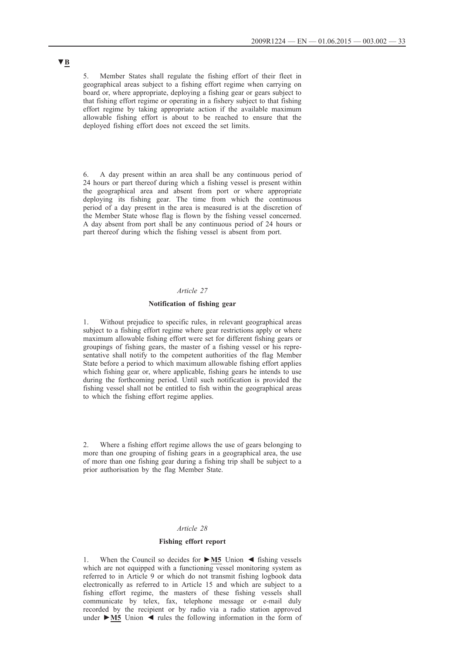5. Member States shall regulate the fishing effort of their fleet in geographical areas subject to a fishing effort regime when carrying on board or, where appropriate, deploying a fishing gear or gears subject to that fishing effort regime or operating in a fishery subject to that fishing effort regime by taking appropriate action if the available maximum allowable fishing effort is about to be reached to ensure that the deployed fishing effort does not exceed the set limits.

6. A day present within an area shall be any continuous period of 24 hours or part thereof during which a fishing vessel is present within the geographical area and absent from port or where appropriate deploying its fishing gear. The time from which the continuous period of a day present in the area is measured is at the discretion of the Member State whose flag is flown by the fishing vessel concerned. A day absent from port shall be any continuous period of 24 hours or part thereof during which the fishing vessel is absent from port.

#### *Article 27*

#### **Notification of fishing gear**

1. Without prejudice to specific rules, in relevant geographical areas subject to a fishing effort regime where gear restrictions apply or where maximum allowable fishing effort were set for different fishing gears or groupings of fishing gears, the master of a fishing vessel or his representative shall notify to the competent authorities of the flag Member State before a period to which maximum allowable fishing effort applies which fishing gear or, where applicable, fishing gears he intends to use during the forthcoming period. Until such notification is provided the fishing vessel shall not be entitled to fish within the geographical areas to which the fishing effort regime applies.

2. Where a fishing effort regime allows the use of gears belonging to more than one grouping of fishing gears in a geographical area, the use of more than one fishing gear during a fishing trip shall be subject to a prior authorisation by the flag Member State.

#### *Article 28*

### **Fishing effort report**

1. When the Council so decides for **►M5** Union ◄ fishing vessels which are not equipped with a functioning vessel monitoring system as referred to in Article 9 or which do not transmit fishing logbook data electronically as referred to in Article 15 and which are subject to a fishing effort regime, the masters of these fishing vessels shall communicate by telex, fax, telephone message or e-mail duly recorded by the recipient or by radio via a radio station approved under **►M5** Union ◄ rules the following information in the form of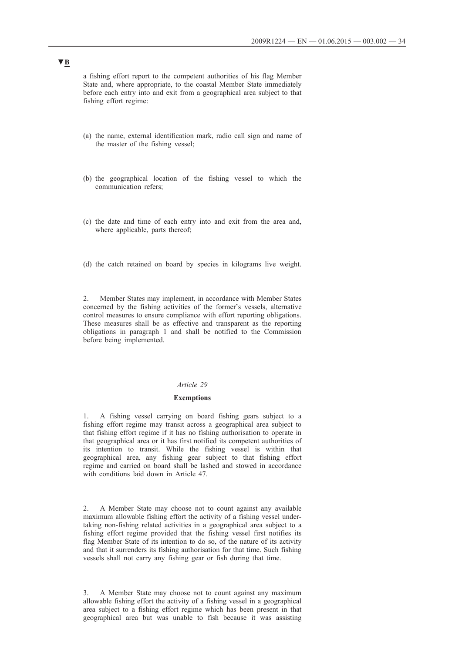a fishing effort report to the competent authorities of his flag Member State and, where appropriate, to the coastal Member State immediately before each entry into and exit from a geographical area subject to that fishing effort regime:

- (a) the name, external identification mark, radio call sign and name of the master of the fishing vessel;
- (b) the geographical location of the fishing vessel to which the communication refers;
- (c) the date and time of each entry into and exit from the area and, where applicable, parts thereof;
- (d) the catch retained on board by species in kilograms live weight.

2. Member States may implement, in accordance with Member States concerned by the fishing activities of the former's vessels, alternative control measures to ensure compliance with effort reporting obligations. These measures shall be as effective and transparent as the reporting obligations in paragraph 1 and shall be notified to the Commission before being implemented.

#### *Article 29*

#### **Exemptions**

1. A fishing vessel carrying on board fishing gears subject to a fishing effort regime may transit across a geographical area subject to that fishing effort regime if it has no fishing authorisation to operate in that geographical area or it has first notified its competent authorities of its intention to transit. While the fishing vessel is within that geographical area, any fishing gear subject to that fishing effort regime and carried on board shall be lashed and stowed in accordance with conditions laid down in Article 47.

2. A Member State may choose not to count against any available maximum allowable fishing effort the activity of a fishing vessel undertaking non-fishing related activities in a geographical area subject to a fishing effort regime provided that the fishing vessel first notifies its flag Member State of its intention to do so, of the nature of its activity and that it surrenders its fishing authorisation for that time. Such fishing vessels shall not carry any fishing gear or fish during that time.

3. A Member State may choose not to count against any maximum allowable fishing effort the activity of a fishing vessel in a geographical area subject to a fishing effort regime which has been present in that geographical area but was unable to fish because it was assisting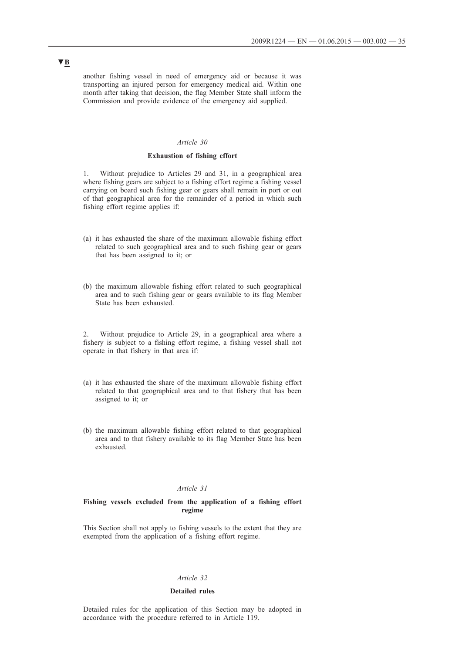another fishing vessel in need of emergency aid or because it was transporting an injured person for emergency medical aid. Within one month after taking that decision, the flag Member State shall inform the Commission and provide evidence of the emergency aid supplied.

### *Article 30*

#### **Exhaustion of fishing effort**

1. Without prejudice to Articles 29 and 31, in a geographical area where fishing gears are subject to a fishing effort regime a fishing vessel carrying on board such fishing gear or gears shall remain in port or out of that geographical area for the remainder of a period in which such fishing effort regime applies if:

- (a) it has exhausted the share of the maximum allowable fishing effort related to such geographical area and to such fishing gear or gears that has been assigned to it; or
- (b) the maximum allowable fishing effort related to such geographical area and to such fishing gear or gears available to its flag Member State has been exhausted.

2. Without prejudice to Article 29, in a geographical area where a fishery is subject to a fishing effort regime, a fishing vessel shall not operate in that fishery in that area if:

- (a) it has exhausted the share of the maximum allowable fishing effort related to that geographical area and to that fishery that has been assigned to it; or
- (b) the maximum allowable fishing effort related to that geographical area and to that fishery available to its flag Member State has been exhausted.

### *Article 31*

#### **Fishing vessels excluded from the application of a fishing effort regime**

This Section shall not apply to fishing vessels to the extent that they are exempted from the application of a fishing effort regime.

### *Article 32*

#### **Detailed rules**

Detailed rules for the application of this Section may be adopted in accordance with the procedure referred to in Article 119.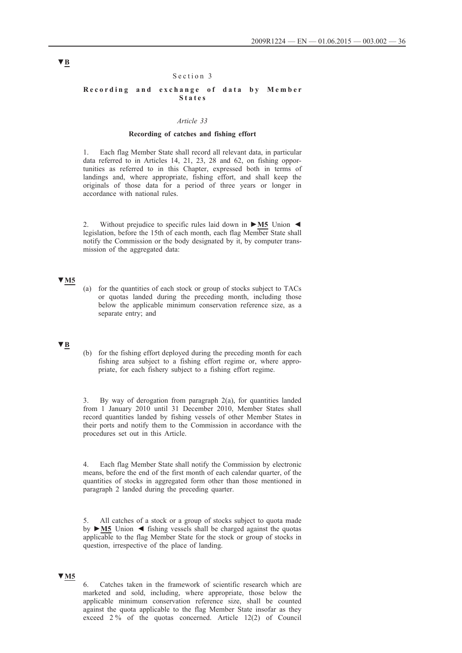### Section 3

#### Recording and exchange of data by Member **S t a t e s**

### *Article 33*

### **Recording of catches and fishing effort**

1. Each flag Member State shall record all relevant data, in particular data referred to in Articles 14, 21, 23, 28 and 62, on fishing opportunities as referred to in this Chapter, expressed both in terms of landings and, where appropriate, fishing effort, and shall keep the originals of those data for a period of three years or longer in accordance with national rules.

2. Without prejudice to specific rules laid down in **►M5** Union ◄ legislation, before the 15th of each month, each flag Member State shall notify the Commission or the body designated by it, by computer transmission of the aggregated data:

#### **▼M5**

(a) for the quantities of each stock or group of stocks subject to TACs or quotas landed during the preceding month, including those below the applicable minimum conservation reference size, as a separate entry; and

## **▼B**

(b) for the fishing effort deployed during the preceding month for each fishing area subject to a fishing effort regime or, where appropriate, for each fishery subject to a fishing effort regime.

3. By way of derogation from paragraph 2(a), for quantities landed from 1 January 2010 until 31 December 2010, Member States shall record quantities landed by fishing vessels of other Member States in their ports and notify them to the Commission in accordance with the procedures set out in this Article.

4. Each flag Member State shall notify the Commission by electronic means, before the end of the first month of each calendar quarter, of the quantities of stocks in aggregated form other than those mentioned in paragraph 2 landed during the preceding quarter.

5. All catches of a stock or a group of stocks subject to quota made by **►M5** Union ◄ fishing vessels shall be charged against the quotas applicable to the flag Member State for the stock or group of stocks in question, irrespective of the place of landing.

### **▼M5**

6. Catches taken in the framework of scientific research which are marketed and sold, including, where appropriate, those below the applicable minimum conservation reference size, shall be counted against the quota applicable to the flag Member State insofar as they exceed 2 % of the quotas concerned. Article 12(2) of Council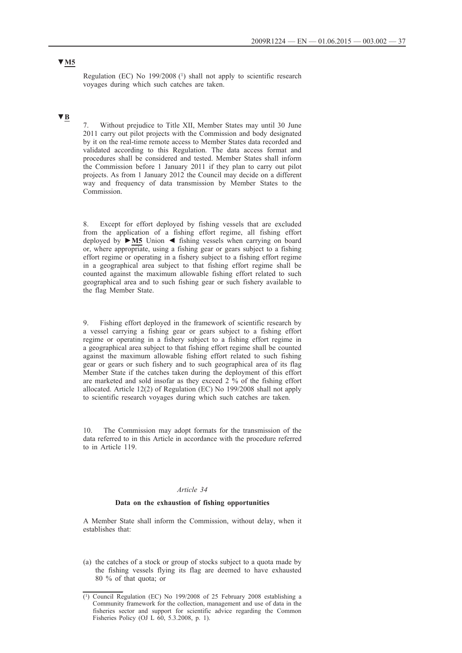**▼M5**

Regulation (EC) No  $199/2008$  (1) shall not apply to scientific research voyages during which such catches are taken.

# **▼B**

Without prejudice to Title XII, Member States may until 30 June 2011 carry out pilot projects with the Commission and body designated by it on the real-time remote access to Member States data recorded and validated according to this Regulation. The data access format and procedures shall be considered and tested. Member States shall inform the Commission before 1 January 2011 if they plan to carry out pilot projects. As from 1 January 2012 the Council may decide on a different way and frequency of data transmission by Member States to the Commission.

8. Except for effort deployed by fishing vessels that are excluded from the application of a fishing effort regime, all fishing effort deployed by **►M5** Union ◄ fishing vessels when carrying on board or, where appropriate, using a fishing gear or gears subject to a fishing effort regime or operating in a fishery subject to a fishing effort regime in a geographical area subject to that fishing effort regime shall be counted against the maximum allowable fishing effort related to such geographical area and to such fishing gear or such fishery available to the flag Member State.

9. Fishing effort deployed in the framework of scientific research by a vessel carrying a fishing gear or gears subject to a fishing effort regime or operating in a fishery subject to a fishing effort regime in a geographical area subject to that fishing effort regime shall be counted against the maximum allowable fishing effort related to such fishing gear or gears or such fishery and to such geographical area of its flag Member State if the catches taken during the deployment of this effort are marketed and sold insofar as they exceed  $2\frac{6}{10}$  of the fishing effort allocated. Article 12(2) of Regulation (EC) No 199/2008 shall not apply to scientific research voyages during which such catches are taken.

10. The Commission may adopt formats for the transmission of the data referred to in this Article in accordance with the procedure referred to in Article 119.

#### *Article 34*

# **Data on the exhaustion of fishing opportunities**

A Member State shall inform the Commission, without delay, when it establishes that:

(a) the catches of a stock or group of stocks subject to a quota made by the fishing vessels flying its flag are deemed to have exhausted 80 % of that quota; or

<sup>(1)</sup> Council Regulation (EC) No 199/2008 of 25 February 2008 establishing a Community framework for the collection, management and use of data in the fisheries sector and support for scientific advice regarding the Common Fisheries Policy (OJ L 60, 5.3.2008, p. 1).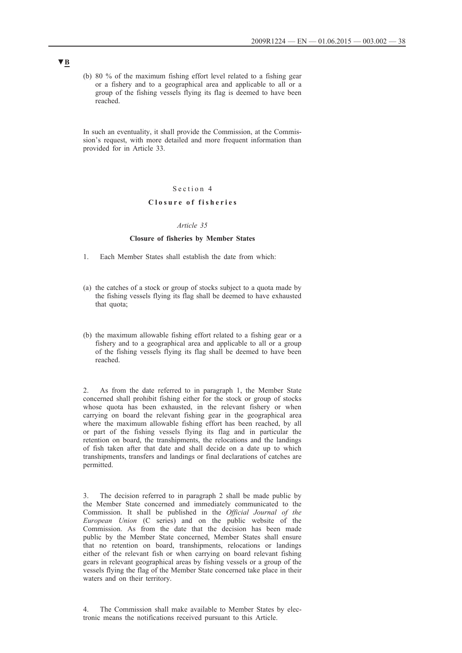(b) 80 % of the maximum fishing effort level related to a fishing gear or a fishery and to a geographical area and applicable to all or a group of the fishing vessels flying its flag is deemed to have been reached.

In such an eventuality, it shall provide the Commission, at the Commission's request, with more detailed and more frequent information than provided for in Article 33.

### Section 4

# **C l o s u r e o f f i s h e r i e s**

### *Article 35*

#### **Closure of fisheries by Member States**

- 1. Each Member States shall establish the date from which:
- (a) the catches of a stock or group of stocks subject to a quota made by the fishing vessels flying its flag shall be deemed to have exhausted that quota;
- (b) the maximum allowable fishing effort related to a fishing gear or a fishery and to a geographical area and applicable to all or a group of the fishing vessels flying its flag shall be deemed to have been reached.

2. As from the date referred to in paragraph 1, the Member State concerned shall prohibit fishing either for the stock or group of stocks whose quota has been exhausted, in the relevant fishery or when carrying on board the relevant fishing gear in the geographical area where the maximum allowable fishing effort has been reached, by all or part of the fishing vessels flying its flag and in particular the retention on board, the transhipments, the relocations and the landings of fish taken after that date and shall decide on a date up to which transhipments, transfers and landings or final declarations of catches are permitted.

The decision referred to in paragraph 2 shall be made public by the Member State concerned and immediately communicated to the Commission. It shall be published in the *Official Journal of the European Union* (C series) and on the public website of the Commission. As from the date that the decision has been made public by the Member State concerned, Member States shall ensure that no retention on board, transhipments, relocations or landings either of the relevant fish or when carrying on board relevant fishing gears in relevant geographical areas by fishing vessels or a group of the vessels flying the flag of the Member State concerned take place in their waters and on their territory.

4. The Commission shall make available to Member States by electronic means the notifications received pursuant to this Article.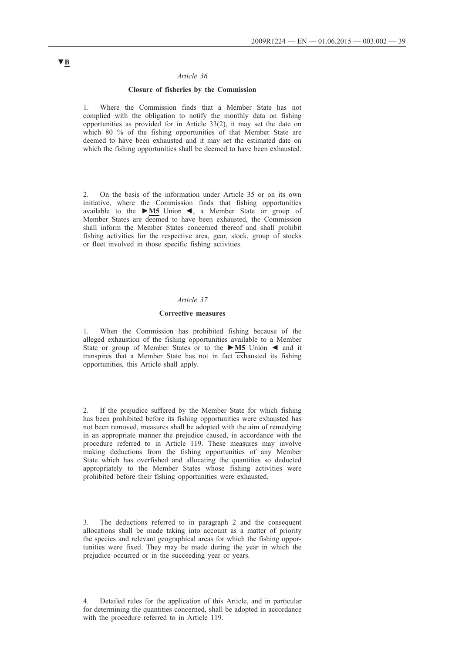#### *Article 36*

### **Closure of fisheries by the Commission**

Where the Commission finds that a Member State has not complied with the obligation to notify the monthly data on fishing opportunities as provided for in Article 33(2), it may set the date on which 80 % of the fishing opportunities of that Member State are deemed to have been exhausted and it may set the estimated date on which the fishing opportunities shall be deemed to have been exhausted.

2. On the basis of the information under Article 35 or on its own initiative, where the Commission finds that fishing opportunities available to the **►M5** Union ◄, a Member State or group of Member States are deemed to have been exhausted, the Commission shall inform the Member States concerned thereof and shall prohibit fishing activities for the respective area, gear, stock, group of stocks or fleet involved in those specific fishing activities.

#### *Article 37*

#### **Corrective measures**

1. When the Commission has prohibited fishing because of the alleged exhaustion of the fishing opportunities available to a Member State or group of Member States or to the **►M5** Union ◄ and it transpires that a Member State has not in fact exhausted its fishing opportunities, this Article shall apply.

2. If the prejudice suffered by the Member State for which fishing has been prohibited before its fishing opportunities were exhausted has not been removed, measures shall be adopted with the aim of remedying in an appropriate manner the prejudice caused, in accordance with the procedure referred to in Article 119. These measures may involve making deductions from the fishing opportunities of any Member State which has overfished and allocating the quantities so deducted appropriately to the Member States whose fishing activities were prohibited before their fishing opportunities were exhausted.

3. The deductions referred to in paragraph 2 and the consequent allocations shall be made taking into account as a matter of priority the species and relevant geographical areas for which the fishing opportunities were fixed. They may be made during the year in which the prejudice occurred or in the succeeding year or years.

4. Detailed rules for the application of this Article, and in particular for determining the quantities concerned, shall be adopted in accordance with the procedure referred to in Article 119.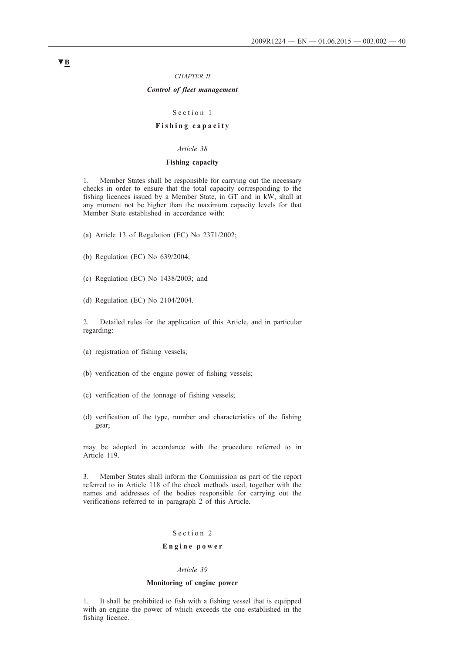#### *CHAPTER II*

### *Control of fleet management*

#### Section 1

# **F i s h i n g c a p a c i t y**

#### *Article 38*

### **Fishing capacity**

1. Member States shall be responsible for carrying out the necessary checks in order to ensure that the total capacity corresponding to the fishing licences issued by a Member State, in GT and in kW, shall at any moment not be higher than the maximum capacity levels for that Member State established in accordance with:

(a) Article 13 of Regulation (EC) No 2371/2002;

- (b) Regulation (EC) No 639/2004;
- (c) Regulation (EC) No 1438/2003; and
- (d) Regulation (EC) No 2104/2004.

2. Detailed rules for the application of this Article, and in particular regarding:

- (a) registration of fishing vessels;
- (b) verification of the engine power of fishing vessels;
- (c) verification of the tonnage of fishing vessels;
- (d) verification of the type, number and characteristics of the fishing gear;

may be adopted in accordance with the procedure referred to in Article 119.

3. Member States shall inform the Commission as part of the report referred to in Article 118 of the check methods used, together with the names and addresses of the bodies responsible for carrying out the verifications referred to in paragraph 2 of this Article.

# Section 2

# **E n g i n e p o w e r**

#### *Article 39*

### **Monitoring of engine power**

1. It shall be prohibited to fish with a fishing vessel that is equipped with an engine the power of which exceeds the one established in the fishing licence.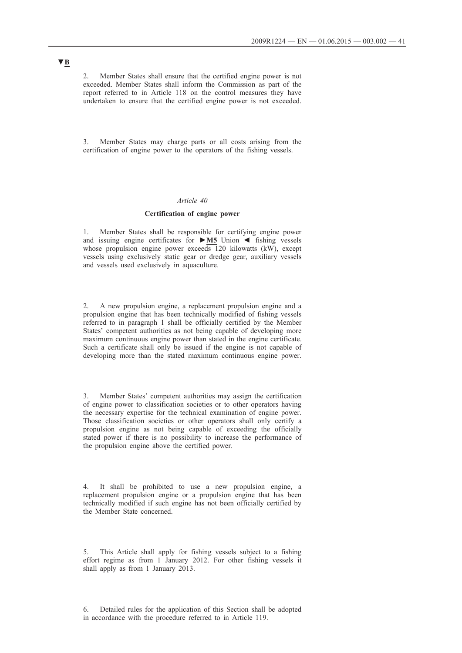2. Member States shall ensure that the certified engine power is not exceeded. Member States shall inform the Commission as part of the report referred to in Article 118 on the control measures they have undertaken to ensure that the certified engine power is not exceeded.

Member States may charge parts or all costs arising from the certification of engine power to the operators of the fishing vessels.

### *Article 40*

### **Certification of engine power**

1. Member States shall be responsible for certifying engine power and issuing engine certificates for **►M5** Union ◄ fishing vessels whose propulsion engine power exceeds 120 kilowatts (kW), except vessels using exclusively static gear or dredge gear, auxiliary vessels and vessels used exclusively in aquaculture.

2. A new propulsion engine, a replacement propulsion engine and a propulsion engine that has been technically modified of fishing vessels referred to in paragraph 1 shall be officially certified by the Member States' competent authorities as not being capable of developing more maximum continuous engine power than stated in the engine certificate. Such a certificate shall only be issued if the engine is not capable of developing more than the stated maximum continuous engine power.

3. Member States' competent authorities may assign the certification of engine power to classification societies or to other operators having the necessary expertise for the technical examination of engine power. Those classification societies or other operators shall only certify a propulsion engine as not being capable of exceeding the officially stated power if there is no possibility to increase the performance of the propulsion engine above the certified power.

It shall be prohibited to use a new propulsion engine, a replacement propulsion engine or a propulsion engine that has been technically modified if such engine has not been officially certified by the Member State concerned.

5. This Article shall apply for fishing vessels subject to a fishing effort regime as from 1 January 2012. For other fishing vessels it shall apply as from 1 January 2013.

6. Detailed rules for the application of this Section shall be adopted in accordance with the procedure referred to in Article 119.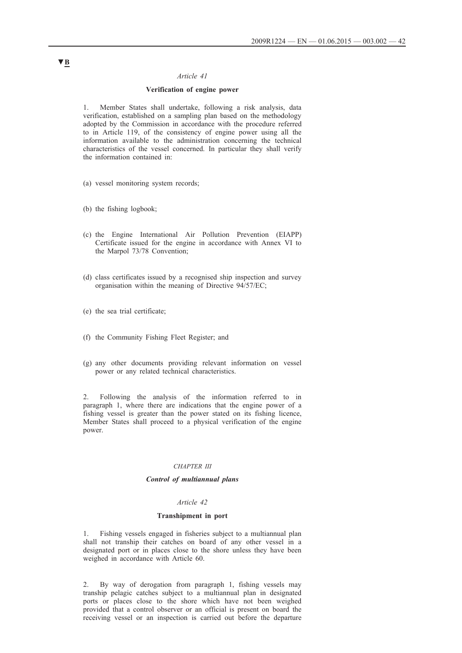#### *Article 41*

#### **Verification of engine power**

1. Member States shall undertake, following a risk analysis, data verification, established on a sampling plan based on the methodology adopted by the Commission in accordance with the procedure referred to in Article 119, of the consistency of engine power using all the information available to the administration concerning the technical characteristics of the vessel concerned. In particular they shall verify the information contained in:

- (a) vessel monitoring system records;
- (b) the fishing logbook;
- (c) the Engine International Air Pollution Prevention (EIAPP) Certificate issued for the engine in accordance with Annex VI to the Marpol 73/78 Convention;
- (d) class certificates issued by a recognised ship inspection and survey organisation within the meaning of Directive 94/57/EC;
- (e) the sea trial certificate;
- (f) the Community Fishing Fleet Register; and
- (g) any other documents providing relevant information on vessel power or any related technical characteristics.

2. Following the analysis of the information referred to in paragraph 1, where there are indications that the engine power of a fishing vessel is greater than the power stated on its fishing licence, Member States shall proceed to a physical verification of the engine power.

#### *CHAPTER III*

# *Control of multiannual plans*

#### *Article 42*

#### **Transhipment in port**

1. Fishing vessels engaged in fisheries subject to a multiannual plan shall not tranship their catches on board of any other vessel in a designated port or in places close to the shore unless they have been weighed in accordance with Article 60.

2. By way of derogation from paragraph 1, fishing vessels may tranship pelagic catches subject to a multiannual plan in designated ports or places close to the shore which have not been weighed provided that a control observer or an official is present on board the receiving vessel or an inspection is carried out before the departure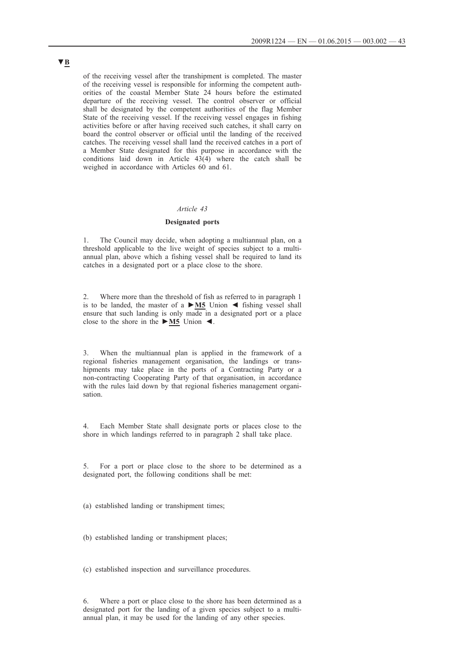of the receiving vessel after the transhipment is completed. The master of the receiving vessel is responsible for informing the competent authorities of the coastal Member State 24 hours before the estimated departure of the receiving vessel. The control observer or official shall be designated by the competent authorities of the flag Member State of the receiving vessel. If the receiving vessel engages in fishing activities before or after having received such catches, it shall carry on board the control observer or official until the landing of the received catches. The receiving vessel shall land the received catches in a port of a Member State designated for this purpose in accordance with the conditions laid down in Article 43(4) where the catch shall be weighed in accordance with Articles 60 and 61.

### *Article 43*

### **Designated ports**

1. The Council may decide, when adopting a multiannual plan, on a threshold applicable to the live weight of species subject to a multiannual plan, above which a fishing vessel shall be required to land its catches in a designated port or a place close to the shore.

2. Where more than the threshold of fish as referred to in paragraph 1 is to be landed, the master of a **►M5** Union ◄ fishing vessel shall ensure that such landing is only made in a designated port or a place close to the shore in the **►M5** Union ◄.

3. When the multiannual plan is applied in the framework of a regional fisheries management organisation, the landings or transhipments may take place in the ports of a Contracting Party or a non-contracting Cooperating Party of that organisation, in accordance with the rules laid down by that regional fisheries management organisation.

4. Each Member State shall designate ports or places close to the shore in which landings referred to in paragraph 2 shall take place.

5. For a port or place close to the shore to be determined as a designated port, the following conditions shall be met:

(a) established landing or transhipment times;

(b) established landing or transhipment places;

(c) established inspection and surveillance procedures.

6. Where a port or place close to the shore has been determined as a designated port for the landing of a given species subject to a multiannual plan, it may be used for the landing of any other species.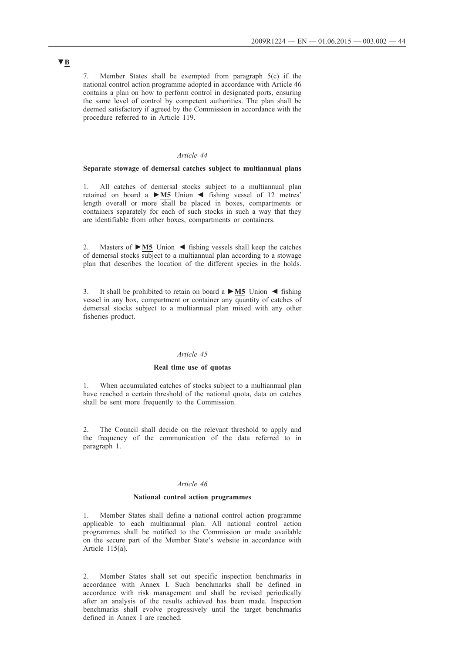7. Member States shall be exempted from paragraph 5(c) if the national control action programme adopted in accordance with Article 46 contains a plan on how to perform control in designated ports, ensuring the same level of control by competent authorities. The plan shall be deemed satisfactory if agreed by the Commission in accordance with the procedure referred to in Article 119.

### *Article 44*

### **Separate stowage of demersal catches subject to multiannual plans**

1. All catches of demersal stocks subject to a multiannual plan retained on board a **►M5** Union ◄ fishing vessel of 12 metres' length overall or more shall be placed in boxes, compartments or containers separately for each of such stocks in such a way that they are identifiable from other boxes, compartments or containers.

2. Masters of **►M5** Union ◄ fishing vessels shall keep the catches of demersal stocks subject to a multiannual plan according to a stowage plan that describes the location of the different species in the holds.

3. It shall be prohibited to retain on board a **►M5** Union ◄ fishing vessel in any box, compartment or container any quantity of catches of demersal stocks subject to a multiannual plan mixed with any other fisheries product.

#### *Article 45*

#### **Real time use of quotas**

1. When accumulated catches of stocks subject to a multiannual plan have reached a certain threshold of the national quota, data on catches shall be sent more frequently to the Commission.

2. The Council shall decide on the relevant threshold to apply and the frequency of the communication of the data referred to in paragraph 1.

#### *Article 46*

#### **National control action programmes**

1. Member States shall define a national control action programme applicable to each multiannual plan. All national control action programmes shall be notified to the Commission or made available on the secure part of the Member State's website in accordance with Article 115(a).

2. Member States shall set out specific inspection benchmarks in accordance with Annex I. Such benchmarks shall be defined in accordance with risk management and shall be revised periodically after an analysis of the results achieved has been made. Inspection benchmarks shall evolve progressively until the target benchmarks defined in Annex I are reached.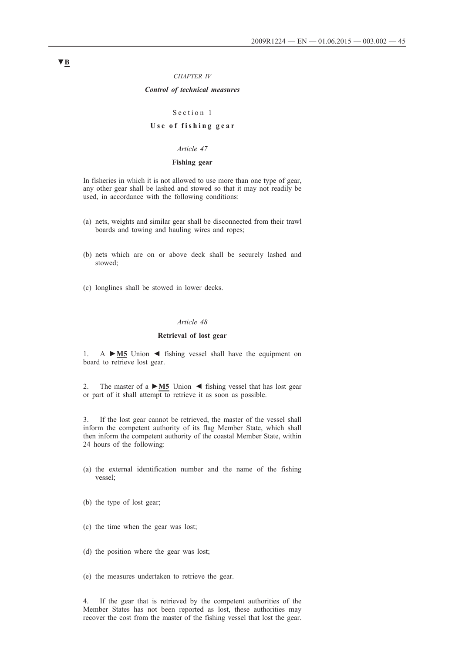#### *CHAPTER IV*

### *Control of technical measures*

#### Section 1

# Use of fishing gear

#### *Article 47*

### **Fishing gear**

In fisheries in which it is not allowed to use more than one type of gear, any other gear shall be lashed and stowed so that it may not readily be used, in accordance with the following conditions:

- (a) nets, weights and similar gear shall be disconnected from their trawl boards and towing and hauling wires and ropes;
- (b) nets which are on or above deck shall be securely lashed and stowed;
- (c) longlines shall be stowed in lower decks.

### *Article 48*

# **Retrieval of lost gear**

1. A **►M5** Union ◄ fishing vessel shall have the equipment on board to retrieve lost gear.

2. The master of a **►M5** Union ◄ fishing vessel that has lost gear or part of it shall attempt to retrieve it as soon as possible.

3. If the lost gear cannot be retrieved, the master of the vessel shall inform the competent authority of its flag Member State, which shall then inform the competent authority of the coastal Member State, within 24 hours of the following:

- (a) the external identification number and the name of the fishing vessel;
- (b) the type of lost gear;
- (c) the time when the gear was lost;
- (d) the position where the gear was lost;
- (e) the measures undertaken to retrieve the gear.

4. If the gear that is retrieved by the competent authorities of the Member States has not been reported as lost, these authorities may recover the cost from the master of the fishing vessel that lost the gear.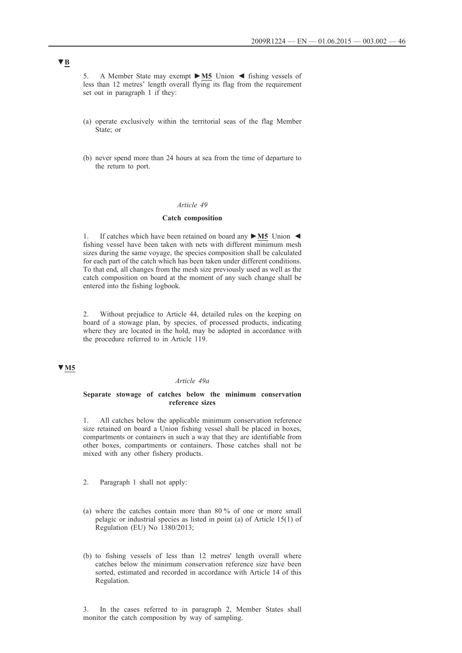5. A Member State may exempt **►M5** Union ◄ fishing vessels of less than 12 metres' length overall flying its flag from the requirement set out in paragraph 1 if they:

- (a) operate exclusively within the territorial seas of the flag Member State; or
- (b) never spend more than 24 hours at sea from the time of departure to the return to port.

#### *Article 49*

#### **Catch composition**

1. If catches which have been retained on board any **►M5** Union ◄ fishing vessel have been taken with nets with different minimum mesh sizes during the same voyage, the species composition shall be calculated for each part of the catch which has been taken under different conditions. To that end, all changes from the mesh size previously used as well as the catch composition on board at the moment of any such change shall be entered into the fishing logbook.

2. Without prejudice to Article 44, detailed rules on the keeping on board of a stowage plan, by species, of processed products, indicating where they are located in the hold, may be adopted in accordance with the procedure referred to in Article 119.

# **▼M5**

#### *Article 49a*

#### **Separate stowage of catches below the minimum conservation reference sizes**

1. All catches below the applicable minimum conservation reference size retained on board a Union fishing vessel shall be placed in boxes, compartments or containers in such a way that they are identifiable from other boxes, compartments or containers. Those catches shall not be mixed with any other fishery products.

- 2. Paragraph 1 shall not apply:
- (a) where the catches contain more than 80 % of one or more small pelagic or industrial species as listed in point (a) of Article 15(1) of Regulation (EU) No 1380/2013;
- (b) to fishing vessels of less than 12 metres' length overall where catches below the minimum conservation reference size have been sorted, estimated and recorded in accordance with Article 14 of this Regulation.

3. In the cases referred to in paragraph 2, Member States shall monitor the catch composition by way of sampling.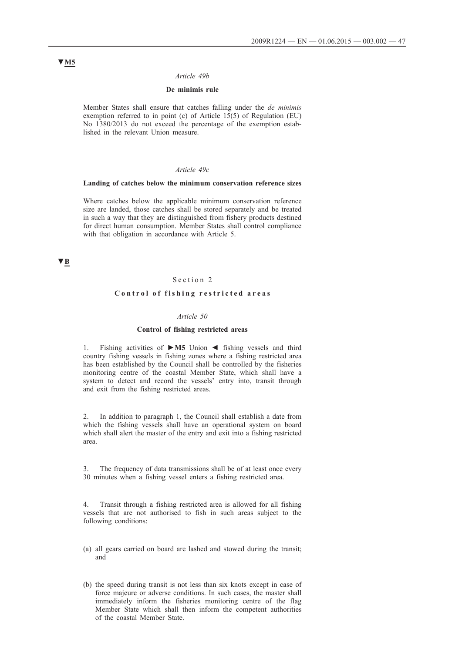#### *Article 49b*

### **De minimis rule**

Member States shall ensure that catches falling under the *de minimis* exemption referred to in point (c) of Article 15(5) of Regulation (EU) No 1380/2013 do not exceed the percentage of the exemption established in the relevant Union measure.

#### *Article 49c*

#### **Landing of catches below the minimum conservation reference sizes**

Where catches below the applicable minimum conservation reference size are landed, those catches shall be stored separately and be treated in such a way that they are distinguished from fishery products destined for direct human consumption. Member States shall control compliance with that obligation in accordance with Article 5.

# **▼B**

### Section 2

# **Control of fishing restricted areas**

#### *Article 50*

#### **Control of fishing restricted areas**

1. Fishing activities of **►M5** Union ◄ fishing vessels and third country fishing vessels in fishing zones where a fishing restricted area has been established by the Council shall be controlled by the fisheries monitoring centre of the coastal Member State, which shall have a system to detect and record the vessels' entry into, transit through and exit from the fishing restricted areas.

2. In addition to paragraph 1, the Council shall establish a date from which the fishing vessels shall have an operational system on board which shall alert the master of the entry and exit into a fishing restricted area.

The frequency of data transmissions shall be of at least once every 30 minutes when a fishing vessel enters a fishing restricted area.

4. Transit through a fishing restricted area is allowed for all fishing vessels that are not authorised to fish in such areas subject to the following conditions:

- (a) all gears carried on board are lashed and stowed during the transit; and
- (b) the speed during transit is not less than six knots except in case of force majeure or adverse conditions. In such cases, the master shall immediately inform the fisheries monitoring centre of the flag Member State which shall then inform the competent authorities of the coastal Member State.

# **▼M5**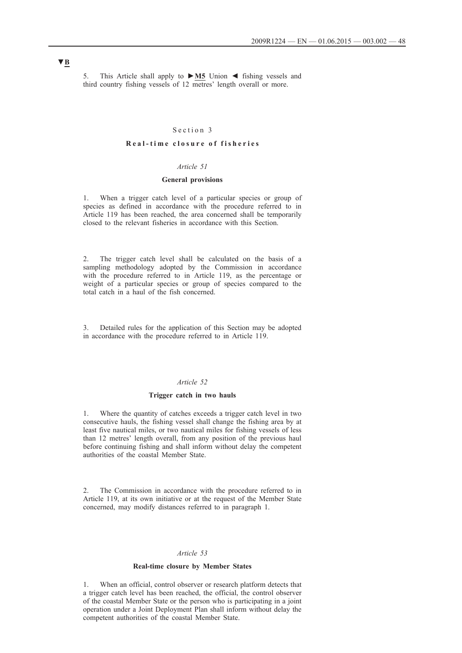5. This Article shall apply to **►M5** Union ◄ fishing vessels and third country fishing vessels of 12 metres' length overall or more.

### Section 3

### **R e a l - t i m e c l o s u r e o f f i s h e r i e s**

# *Article 51*

#### **General provisions**

1. When a trigger catch level of a particular species or group of species as defined in accordance with the procedure referred to in Article 119 has been reached, the area concerned shall be temporarily closed to the relevant fisheries in accordance with this Section.

2. The trigger catch level shall be calculated on the basis of a sampling methodology adopted by the Commission in accordance with the procedure referred to in Article 119, as the percentage or weight of a particular species or group of species compared to the total catch in a haul of the fish concerned.

3. Detailed rules for the application of this Section may be adopted in accordance with the procedure referred to in Article 119.

#### *Article 52*

#### **Trigger catch in two hauls**

1. Where the quantity of catches exceeds a trigger catch level in two consecutive hauls, the fishing vessel shall change the fishing area by at least five nautical miles, or two nautical miles for fishing vessels of less than 12 metres' length overall, from any position of the previous haul before continuing fishing and shall inform without delay the competent authorities of the coastal Member State.

2. The Commission in accordance with the procedure referred to in Article 119, at its own initiative or at the request of the Member State concerned, may modify distances referred to in paragraph 1.

#### *Article 53*

#### **Real-time closure by Member States**

1. When an official, control observer or research platform detects that a trigger catch level has been reached, the official, the control observer of the coastal Member State or the person who is participating in a joint operation under a Joint Deployment Plan shall inform without delay the competent authorities of the coastal Member State.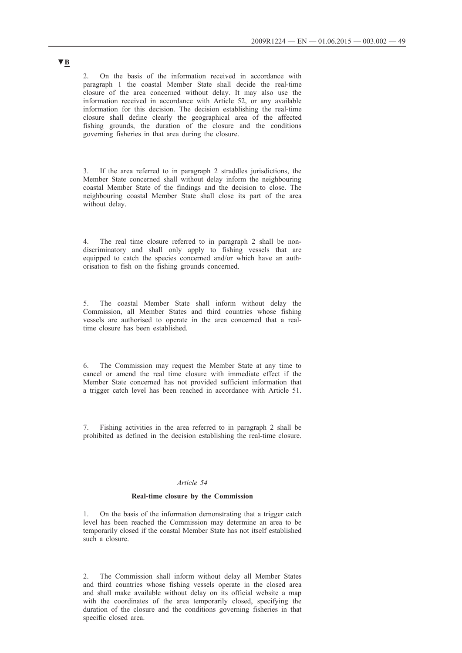2. On the basis of the information received in accordance with paragraph 1 the coastal Member State shall decide the real-time closure of the area concerned without delay. It may also use the information received in accordance with Article 52, or any available information for this decision. The decision establishing the real-time closure shall define clearly the geographical area of the affected fishing grounds, the duration of the closure and the conditions governing fisheries in that area during the closure.

3. If the area referred to in paragraph 2 straddles jurisdictions, the Member State concerned shall without delay inform the neighbouring coastal Member State of the findings and the decision to close. The neighbouring coastal Member State shall close its part of the area without delay.

4. The real time closure referred to in paragraph 2 shall be nondiscriminatory and shall only apply to fishing vessels that are equipped to catch the species concerned and/or which have an authorisation to fish on the fishing grounds concerned.

5. The coastal Member State shall inform without delay the Commission, all Member States and third countries whose fishing vessels are authorised to operate in the area concerned that a realtime closure has been established.

6. The Commission may request the Member State at any time to cancel or amend the real time closure with immediate effect if the Member State concerned has not provided sufficient information that a trigger catch level has been reached in accordance with Article 51.

7. Fishing activities in the area referred to in paragraph 2 shall be prohibited as defined in the decision establishing the real-time closure.

#### *Article 54*

#### **Real-time closure by the Commission**

1. On the basis of the information demonstrating that a trigger catch level has been reached the Commission may determine an area to be temporarily closed if the coastal Member State has not itself established such a closure.

2. The Commission shall inform without delay all Member States and third countries whose fishing vessels operate in the closed area and shall make available without delay on its official website a map with the coordinates of the area temporarily closed, specifying the duration of the closure and the conditions governing fisheries in that specific closed area.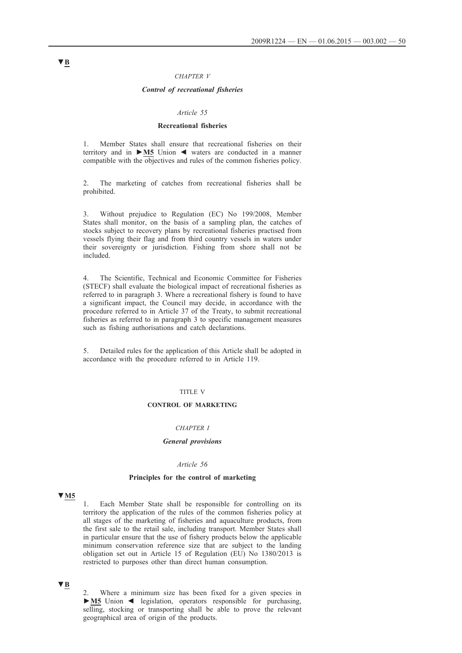#### *CHAPTER V*

#### *Control of recreational fisheries*

### *Article 55*

#### **Recreational fisheries**

1. Member States shall ensure that recreational fisheries on their territory and in **►M5** Union ◄ waters are conducted in a manner compatible with the objectives and rules of the common fisheries policy.

2. The marketing of catches from recreational fisheries shall be prohibited.

3. Without prejudice to Regulation (EC) No 199/2008, Member States shall monitor, on the basis of a sampling plan, the catches of stocks subject to recovery plans by recreational fisheries practised from vessels flying their flag and from third country vessels in waters under their sovereignty or jurisdiction. Fishing from shore shall not be included.

4. The Scientific, Technical and Economic Committee for Fisheries (STECF) shall evaluate the biological impact of recreational fisheries as referred to in paragraph 3. Where a recreational fishery is found to have a significant impact, the Council may decide, in accordance with the procedure referred to in Article 37 of the Treaty, to submit recreational fisheries as referred to in paragraph 3 to specific management measures such as fishing authorisations and catch declarations.

5. Detailed rules for the application of this Article shall be adopted in accordance with the procedure referred to in Article 119.

### TITLE V

#### **CONTROL OF MARKETING**

# *CHAPTER I*

#### *General provisions*

#### *Article 56*

#### **Principles for the control of marketing**

# **▼M5**

1. Each Member State shall be responsible for controlling on its territory the application of the rules of the common fisheries policy at all stages of the marketing of fisheries and aquaculture products, from the first sale to the retail sale, including transport. Member States shall in particular ensure that the use of fishery products below the applicable minimum conservation reference size that are subject to the landing obligation set out in Article 15 of Regulation (EU) No 1380/2013 is restricted to purposes other than direct human consumption.

# **▼B**

2. Where a minimum size has been fixed for a given species in **►M5** Union ◄ legislation, operators responsible for purchasing, selling, stocking or transporting shall be able to prove the relevant geographical area of origin of the products.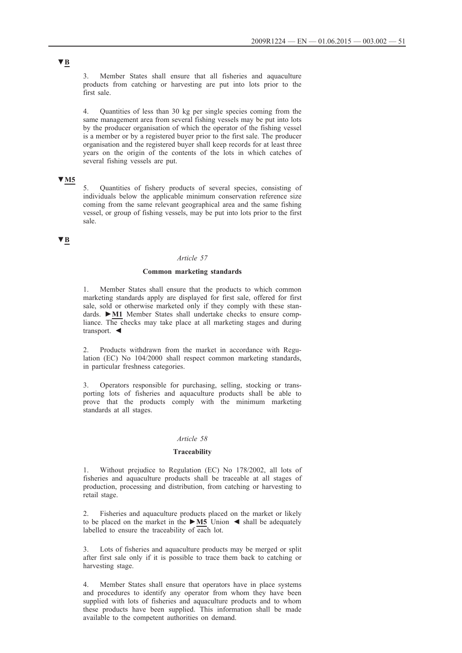3. Member States shall ensure that all fisheries and aquaculture products from catching or harvesting are put into lots prior to the first sale.

4. Quantities of less than 30 kg per single species coming from the same management area from several fishing vessels may be put into lots by the producer organisation of which the operator of the fishing vessel is a member or by a registered buyer prior to the first sale. The producer organisation and the registered buyer shall keep records for at least three years on the origin of the contents of the lots in which catches of several fishing vessels are put.

# **▼M5**

5. Quantities of fishery products of several species, consisting of individuals below the applicable minimum conservation reference size coming from the same relevant geographical area and the same fishing vessel, or group of fishing vessels, may be put into lots prior to the first sale.

# **▼B**

### *Article 57*

#### **Common marketing standards**

Member States shall ensure that the products to which common marketing standards apply are displayed for first sale, offered for first sale, sold or otherwise marketed only if they comply with these standards. **►M1** Member States shall undertake checks to ensure compliance. The checks may take place at all marketing stages and during transport. ◄

2. Products withdrawn from the market in accordance with Regulation (EC) No 104/2000 shall respect common marketing standards, in particular freshness categories.

3. Operators responsible for purchasing, selling, stocking or transporting lots of fisheries and aquaculture products shall be able to prove that the products comply with the minimum marketing standards at all stages.

# *Article 58*

#### **Traceability**

1. Without prejudice to Regulation (EC) No 178/2002, all lots of fisheries and aquaculture products shall be traceable at all stages of production, processing and distribution, from catching or harvesting to retail stage.

2. Fisheries and aquaculture products placed on the market or likely to be placed on the market in the **►M5** Union ◄ shall be adequately labelled to ensure the traceability of each lot.

3. Lots of fisheries and aquaculture products may be merged or split after first sale only if it is possible to trace them back to catching or harvesting stage.

4. Member States shall ensure that operators have in place systems and procedures to identify any operator from whom they have been supplied with lots of fisheries and aquaculture products and to whom these products have been supplied. This information shall be made available to the competent authorities on demand.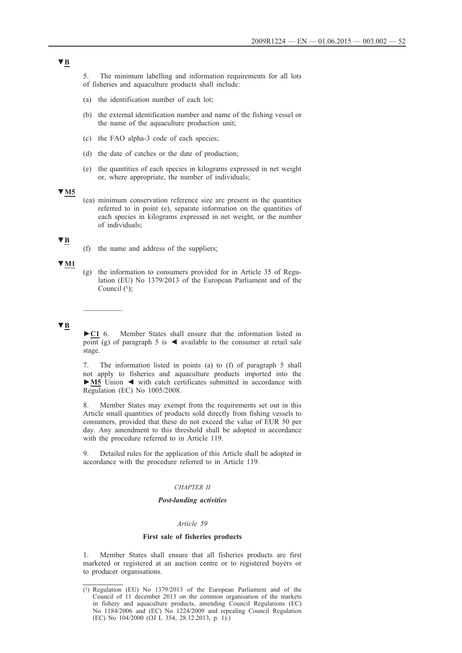5. The minimum labelling and information requirements for all lots of fisheries and aquaculture products shall include:

- (a) the identification number of each lot;
- (b) the external identification number and name of the fishing vessel or the name of the aquaculture production unit;
- (c) the FAO alpha-3 code of each species;
- (d) the date of catches or the date of production;
- (e) the quantities of each species in kilograms expressed in net weight or, where appropriate, the number of individuals;

### **▼M5**

(ea) minimum conservation reference size are present in the quantities referred to in point (e), separate information on the quantities of each species in kilograms expressed in net weight, or the number of individuals;

# **▼B**

(f) the name and address of the suppliers;

### **▼M1**

(g) the information to consumers provided for in Article 35 of Regulation (EU) No 1379/2013 of the European Parliament and of the Council  $(1)$ ;

### **▼B**

 $\frac{1}{2}$ 

**►C1** 6. Member States shall ensure that the information listed in point (g) of paragraph 5 is  $\triangleleft$  available to the consumer at retail sale stage.

7. The information listed in points (a) to (f) of paragraph 5 shall not apply to fisheries and aquaculture products imported into the **►M5** Union ◄ with catch certificates submitted in accordance with Regulation (EC) No 1005/2008.

8. Member States may exempt from the requirements set out in this Article small quantities of products sold directly from fishing vessels to consumers, provided that these do not exceed the value of EUR 50 per day. Any amendment to this threshold shall be adopted in accordance with the procedure referred to in Article 119.

9. Detailed rules for the application of this Article shall be adopted in accordance with the procedure referred to in Article 119.

### *CHAPTER II*

### *Post-landing activities*

#### *Article 59*

#### **First sale of fisheries products**

1. Member States shall ensure that all fisheries products are first marketed or registered at an auction centre or to registered buyers or to producer organisations.

<sup>(1)</sup> Regulation (EU) No 1379/2013 of the European Parliament and of the Council of 11 december 2013 on the common organisation of the markets in fishery and aquaculture products, amending Council Regulations (EC) No 1184/2006 and (EC) No 1224/2009 and repealing Council Regulation (EC) No 104/2000 (OJ L 354, 28.12.2013, p. 1).)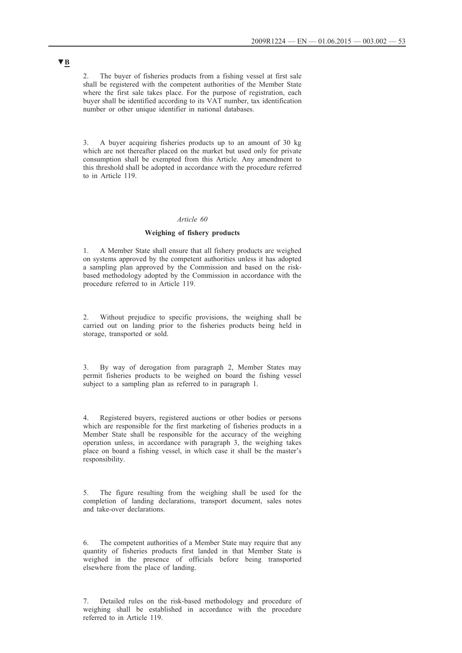2. The buyer of fisheries products from a fishing vessel at first sale shall be registered with the competent authorities of the Member State where the first sale takes place. For the purpose of registration, each buyer shall be identified according to its VAT number, tax identification number or other unique identifier in national databases.

3. A buyer acquiring fisheries products up to an amount of 30 kg which are not thereafter placed on the market but used only for private consumption shall be exempted from this Article. Any amendment to this threshold shall be adopted in accordance with the procedure referred to in Article 119.

#### *Article 60*

#### **Weighing of fishery products**

1. A Member State shall ensure that all fishery products are weighed on systems approved by the competent authorities unless it has adopted a sampling plan approved by the Commission and based on the riskbased methodology adopted by the Commission in accordance with the procedure referred to in Article 119.

2. Without prejudice to specific provisions, the weighing shall be carried out on landing prior to the fisheries products being held in storage, transported or sold.

3. By way of derogation from paragraph 2, Member States may permit fisheries products to be weighed on board the fishing vessel subject to a sampling plan as referred to in paragraph 1.

4. Registered buyers, registered auctions or other bodies or persons which are responsible for the first marketing of fisheries products in a Member State shall be responsible for the accuracy of the weighing operation unless, in accordance with paragraph 3, the weighing takes place on board a fishing vessel, in which case it shall be the master's responsibility.

5. The figure resulting from the weighing shall be used for the completion of landing declarations, transport document, sales notes and take-over declarations.

6. The competent authorities of a Member State may require that any quantity of fisheries products first landed in that Member State is weighed in the presence of officials before being transported elsewhere from the place of landing.

<sup>7.</sup> Detailed rules on the risk-based methodology and procedure of weighing shall be established in accordance with the procedure referred to in Article 119.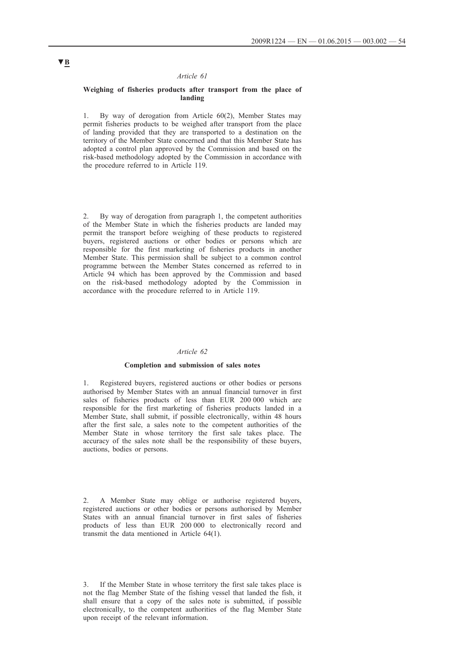#### *Article 61*

#### **Weighing of fisheries products after transport from the place of landing**

1. By way of derogation from Article 60(2), Member States may permit fisheries products to be weighed after transport from the place of landing provided that they are transported to a destination on the territory of the Member State concerned and that this Member State has adopted a control plan approved by the Commission and based on the risk-based methodology adopted by the Commission in accordance with the procedure referred to in Article 119.

2. By way of derogation from paragraph 1, the competent authorities of the Member State in which the fisheries products are landed may permit the transport before weighing of these products to registered buyers, registered auctions or other bodies or persons which are responsible for the first marketing of fisheries products in another Member State. This permission shall be subject to a common control programme between the Member States concerned as referred to in Article 94 which has been approved by the Commission and based on the risk-based methodology adopted by the Commission in accordance with the procedure referred to in Article 119.

#### *Article 62*

#### **Completion and submission of sales notes**

1. Registered buyers, registered auctions or other bodies or persons authorised by Member States with an annual financial turnover in first sales of fisheries products of less than EUR 200 000 which are responsible for the first marketing of fisheries products landed in a Member State, shall submit, if possible electronically, within 48 hours after the first sale, a sales note to the competent authorities of the Member State in whose territory the first sale takes place. The accuracy of the sales note shall be the responsibility of these buyers, auctions, bodies or persons.

2. A Member State may oblige or authorise registered buyers, registered auctions or other bodies or persons authorised by Member States with an annual financial turnover in first sales of fisheries products of less than EUR 200 000 to electronically record and transmit the data mentioned in Article 64(1).

3. If the Member State in whose territory the first sale takes place is not the flag Member State of the fishing vessel that landed the fish, it shall ensure that a copy of the sales note is submitted, if possible electronically, to the competent authorities of the flag Member State upon receipt of the relevant information.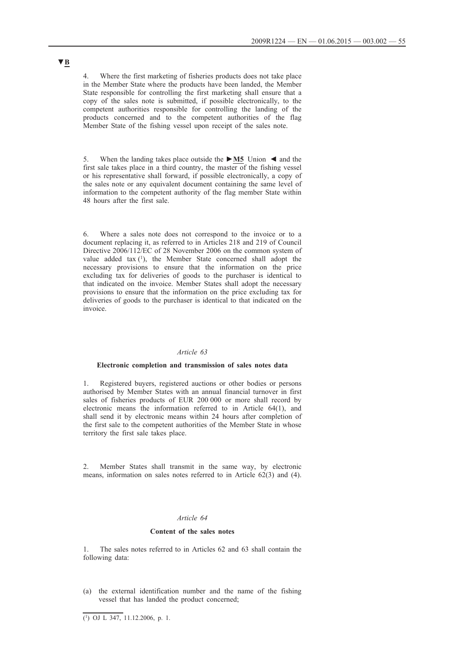4. Where the first marketing of fisheries products does not take place in the Member State where the products have been landed, the Member State responsible for controlling the first marketing shall ensure that a copy of the sales note is submitted, if possible electronically, to the competent authorities responsible for controlling the landing of the products concerned and to the competent authorities of the flag Member State of the fishing vessel upon receipt of the sales note.

5. When the landing takes place outside the **►M5** Union ◄ and the first sale takes place in a third country, the master of the fishing vessel or his representative shall forward, if possible electronically, a copy of the sales note or any equivalent document containing the same level of information to the competent authority of the flag member State within 48 hours after the first sale.

6. Where a sales note does not correspond to the invoice or to a document replacing it, as referred to in Articles 218 and 219 of Council Directive 2006/112/EC of 28 November 2006 on the common system of value added tax  $(1)$ , the Member State concerned shall adopt the necessary provisions to ensure that the information on the price excluding tax for deliveries of goods to the purchaser is identical to that indicated on the invoice. Member States shall adopt the necessary provisions to ensure that the information on the price excluding tax for deliveries of goods to the purchaser is identical to that indicated on the invoice.

#### *Article 63*

#### **Electronic completion and transmission of sales notes data**

1. Registered buyers, registered auctions or other bodies or persons authorised by Member States with an annual financial turnover in first sales of fisheries products of EUR 200 000 or more shall record by electronic means the information referred to in Article 64(1), and shall send it by electronic means within 24 hours after completion of the first sale to the competent authorities of the Member State in whose territory the first sale takes place.

2. Member States shall transmit in the same way, by electronic means, information on sales notes referred to in Article 62(3) and (4).

#### *Article 64*

#### **Content of the sales notes**

1. The sales notes referred to in Articles 62 and 63 shall contain the following data:

(a) the external identification number and the name of the fishing vessel that has landed the product concerned;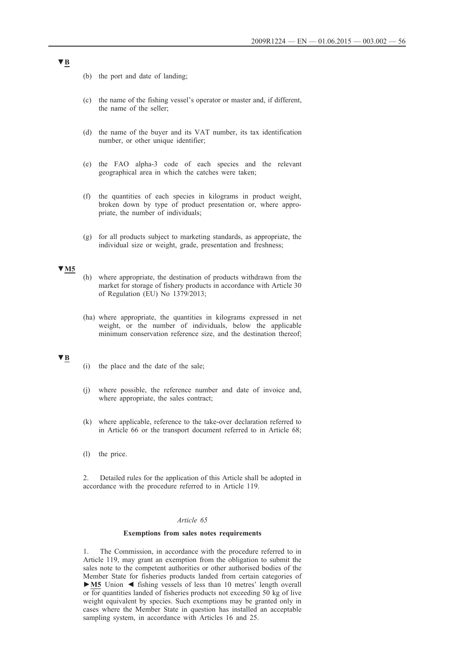- (b) the port and date of landing;
- (c) the name of the fishing vessel's operator or master and, if different, the name of the seller;
- (d) the name of the buyer and its VAT number, its tax identification number, or other unique identifier;
- (e) the FAO alpha-3 code of each species and the relevant geographical area in which the catches were taken;
- (f) the quantities of each species in kilograms in product weight, broken down by type of product presentation or, where appropriate, the number of individuals;
- (g) for all products subject to marketing standards, as appropriate, the individual size or weight, grade, presentation and freshness;

# **▼M5**

- (h) where appropriate, the destination of products withdrawn from the market for storage of fishery products in accordance with Article 30 of Regulation (EU) No 1379/2013;
- (ha) where appropriate, the quantities in kilograms expressed in net weight, or the number of individuals, below the applicable minimum conservation reference size, and the destination thereof;

### **▼B**

- (i) the place and the date of the sale;
- (j) where possible, the reference number and date of invoice and, where appropriate, the sales contract;
- (k) where applicable, reference to the take-over declaration referred to in Article 66 or the transport document referred to in Article 68;
- (l) the price.

2. Detailed rules for the application of this Article shall be adopted in accordance with the procedure referred to in Article 119.

#### *Article 65*

#### **Exemptions from sales notes requirements**

1. The Commission, in accordance with the procedure referred to in Article 119, may grant an exemption from the obligation to submit the sales note to the competent authorities or other authorised bodies of the Member State for fisheries products landed from certain categories of **►M5** Union ◄ fishing vessels of less than 10 metres' length overall or for quantities landed of fisheries products not exceeding 50 kg of live weight equivalent by species. Such exemptions may be granted only in cases where the Member State in question has installed an acceptable sampling system, in accordance with Articles 16 and 25.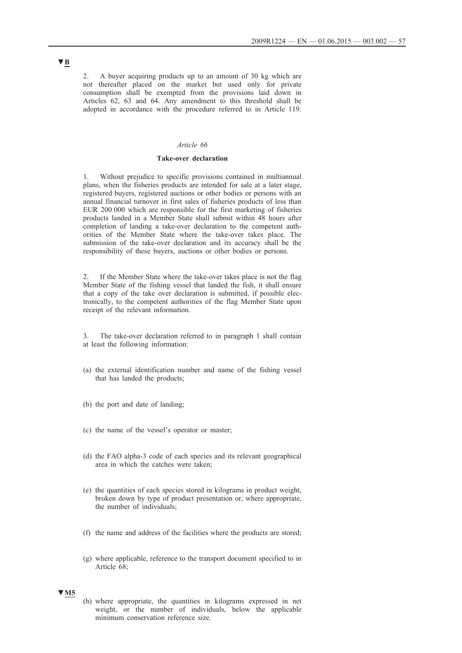2. A buyer acquiring products up to an amount of 30 kg which are not thereafter placed on the market but used only for private consumption shall be exempted from the provisions laid down in Articles 62, 63 and 64. Any amendment to this threshold shall be adopted in accordance with the procedure referred to in Article 119.

#### *Article 66*

#### **Take-over declaration**

Without prejudice to specific provisions contained in multiannual plans, when the fisheries products are intended for sale at a later stage, registered buyers, registered auctions or other bodies or persons with an annual financial turnover in first sales of fisheries products of less than EUR 200 000 which are responsible for the first marketing of fisheries products landed in a Member State shall submit within 48 hours after completion of landing a take-over declaration to the competent authorities of the Member State where the take-over takes place. The submission of the take-over declaration and its accuracy shall be the responsibility of these buyers, auctions or other bodies or persons.

2. If the Member State where the take-over takes place is not the flag Member State of the fishing vessel that landed the fish, it shall ensure that a copy of the take over declaration is submitted, if possible electronically, to the competent authorities of the flag Member State upon receipt of the relevant information.

3. The take-over declaration referred to in paragraph 1 shall contain at least the following information:

- (a) the external identification number and name of the fishing vessel that has landed the products;
- (b) the port and date of landing;
- (c) the name of the vessel's operator or master;
- (d) the FAO alpha-3 code of each species and its relevant geographical area in which the catches were taken;
- (e) the quantities of each species stored in kilograms in product weight, broken down by type of product presentation or, where appropriate, the number of individuals;
- (f) the name and address of the facilities where the products are stored;
- (g) where applicable, reference to the transport document specified to in Article 68;

# **▼M5**

(h) where appropriate, the quantities in kilograms expressed in net weight, or the number of individuals, below the applicable minimum conservation reference size.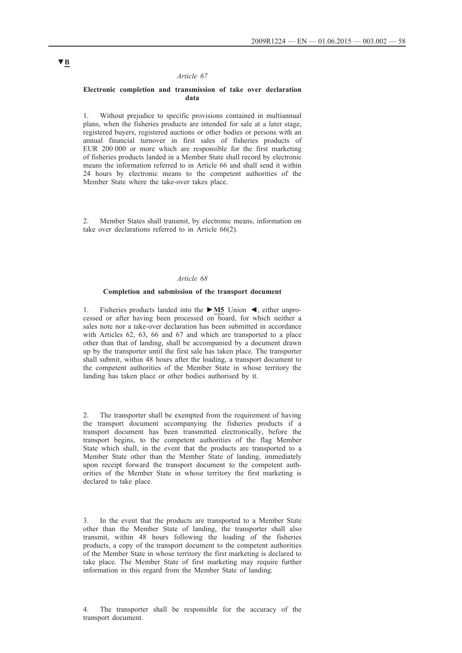#### *Article 67*

#### **Electronic completion and transmission of take over declaration data**

Without prejudice to specific provisions contained in multiannual plans, when the fisheries products are intended for sale at a later stage, registered buyers, registered auctions or other bodies or persons with an annual financial turnover in first sales of fisheries products of EUR 200 000 or more which are responsible for the first marketing of fisheries products landed in a Member State shall record by electronic means the information referred to in Article 66 and shall send it within 24 hours by electronic means to the competent authorities of the Member State where the take-over takes place.

Member States shall transmit, by electronic means, information on take over declarations referred to in Article 66(2).

#### *Article 68*

# **Completion and submission of the transport document**

1. Fisheries products landed into the **►M5** Union ◄, either unprocessed or after having been processed on board, for which neither a sales note nor a take-over declaration has been submitted in accordance with Articles 62, 63, 66 and 67 and which are transported to a place other than that of landing, shall be accompanied by a document drawn up by the transporter until the first sale has taken place. The transporter shall submit, within 48 hours after the loading, a transport document to the competent authorities of the Member State in whose territory the landing has taken place or other bodies authorised by it.

2. The transporter shall be exempted from the requirement of having the transport document accompanying the fisheries products if a transport document has been transmitted electronically, before the transport begins, to the competent authorities of the flag Member State which shall, in the event that the products are transported to a Member State other than the Member State of landing, immediately upon receipt forward the transport document to the competent authorities of the Member State in whose territory the first marketing is declared to take place.

3. In the event that the products are transported to a Member State other than the Member State of landing, the transporter shall also transmit, within 48 hours following the loading of the fisheries products, a copy of the transport document to the competent authorities of the Member State in whose territory the first marketing is declared to take place. The Member State of first marketing may require further information in this regard from the Member State of landing.

4. The transporter shall be responsible for the accuracy of the transport document.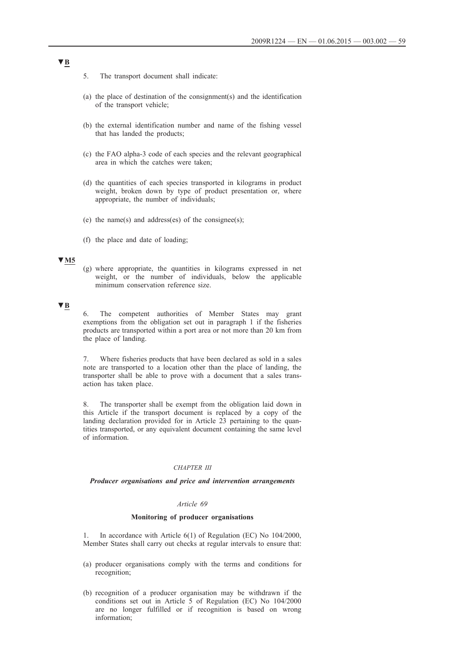- 5. The transport document shall indicate:
- (a) the place of destination of the consignment(s) and the identification of the transport vehicle;
- (b) the external identification number and name of the fishing vessel that has landed the products;
- (c) the FAO alpha-3 code of each species and the relevant geographical area in which the catches were taken;
- (d) the quantities of each species transported in kilograms in product weight, broken down by type of product presentation or, where appropriate, the number of individuals;
- (e) the name(s) and address(es) of the consignee(s);
- (f) the place and date of loading;

#### **▼M5**

(g) where appropriate, the quantities in kilograms expressed in net weight, or the number of individuals, below the applicable minimum conservation reference size.

### **▼B**

6. The competent authorities of Member States may grant exemptions from the obligation set out in paragraph 1 if the fisheries products are transported within a port area or not more than 20 km from the place of landing.

7. Where fisheries products that have been declared as sold in a sales note are transported to a location other than the place of landing, the transporter shall be able to prove with a document that a sales transaction has taken place.

8. The transporter shall be exempt from the obligation laid down in this Article if the transport document is replaced by a copy of the landing declaration provided for in Article 23 pertaining to the quantities transported, or any equivalent document containing the same level of information.

#### *CHAPTER III*

### *Producer organisations and price and intervention arrangements*

#### *Article 69*

#### **Monitoring of producer organisations**

1. In accordance with Article 6(1) of Regulation (EC) No 104/2000, Member States shall carry out checks at regular intervals to ensure that:

- (a) producer organisations comply with the terms and conditions for recognition;
- (b) recognition of a producer organisation may be withdrawn if the conditions set out in Article 5 of Regulation (EC) No 104/2000 are no longer fulfilled or if recognition is based on wrong information;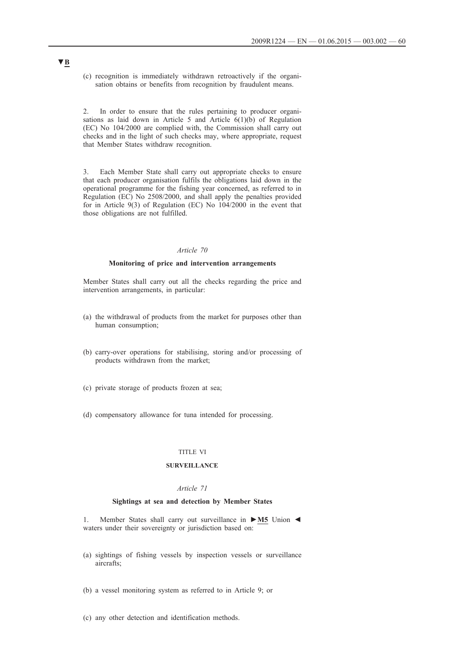(c) recognition is immediately withdrawn retroactively if the organisation obtains or benefits from recognition by fraudulent means.

2. In order to ensure that the rules pertaining to producer organisations as laid down in Article 5 and Article 6(1)(b) of Regulation (EC) No 104/2000 are complied with, the Commission shall carry out checks and in the light of such checks may, where appropriate, request that Member States withdraw recognition.

3. Each Member State shall carry out appropriate checks to ensure that each producer organisation fulfils the obligations laid down in the operational programme for the fishing year concerned, as referred to in Regulation (EC) No 2508/2000, and shall apply the penalties provided for in Article 9(3) of Regulation (EC) No 104/2000 in the event that those obligations are not fulfilled.

# *Article 70*

#### **Monitoring of price and intervention arrangements**

Member States shall carry out all the checks regarding the price and intervention arrangements, in particular:

- (a) the withdrawal of products from the market for purposes other than human consumption;
- (b) carry-over operations for stabilising, storing and/or processing of products withdrawn from the market;
- (c) private storage of products frozen at sea;
- (d) compensatory allowance for tuna intended for processing.

### TITLE VI

#### **SURVEILLANCE**

#### *Article 71*

#### **Sightings at sea and detection by Member States**

1. Member States shall carry out surveillance in **►M5** Union ◄ waters under their sovereignty or jurisdiction based on:

- (a) sightings of fishing vessels by inspection vessels or surveillance aircrafts;
- (b) a vessel monitoring system as referred to in Article 9; or
- (c) any other detection and identification methods.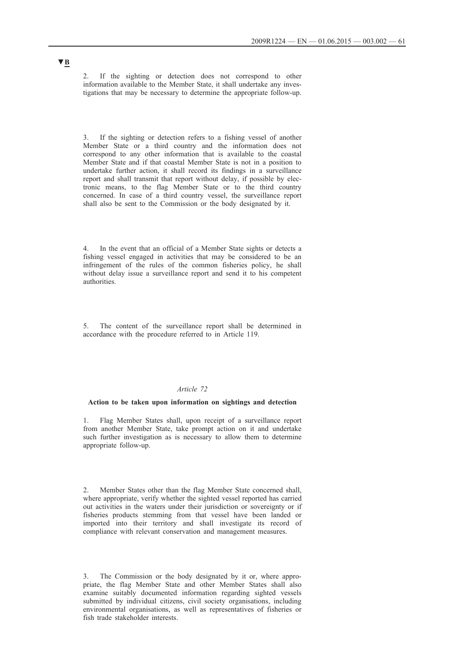2. If the sighting or detection does not correspond to other information available to the Member State, it shall undertake any investigations that may be necessary to determine the appropriate follow-up.

If the sighting or detection refers to a fishing vessel of another Member State or a third country and the information does not correspond to any other information that is available to the coastal Member State and if that coastal Member State is not in a position to undertake further action, it shall record its findings in a surveillance report and shall transmit that report without delay, if possible by electronic means, to the flag Member State or to the third country concerned. In case of a third country vessel, the surveillance report shall also be sent to the Commission or the body designated by it.

4. In the event that an official of a Member State sights or detects a fishing vessel engaged in activities that may be considered to be an infringement of the rules of the common fisheries policy, he shall without delay issue a surveillance report and send it to his competent authorities.

5. The content of the surveillance report shall be determined in accordance with the procedure referred to in Article 119.

### *Article 72*

#### **Action to be taken upon information on sightings and detection**

1. Flag Member States shall, upon receipt of a surveillance report from another Member State, take prompt action on it and undertake such further investigation as is necessary to allow them to determine appropriate follow-up.

2. Member States other than the flag Member State concerned shall, where appropriate, verify whether the sighted vessel reported has carried out activities in the waters under their jurisdiction or sovereignty or if fisheries products stemming from that vessel have been landed or imported into their territory and shall investigate its record of compliance with relevant conservation and management measures.

3. The Commission or the body designated by it or, where appropriate, the flag Member State and other Member States shall also examine suitably documented information regarding sighted vessels submitted by individual citizens, civil society organisations, including environmental organisations, as well as representatives of fisheries or fish trade stakeholder interests.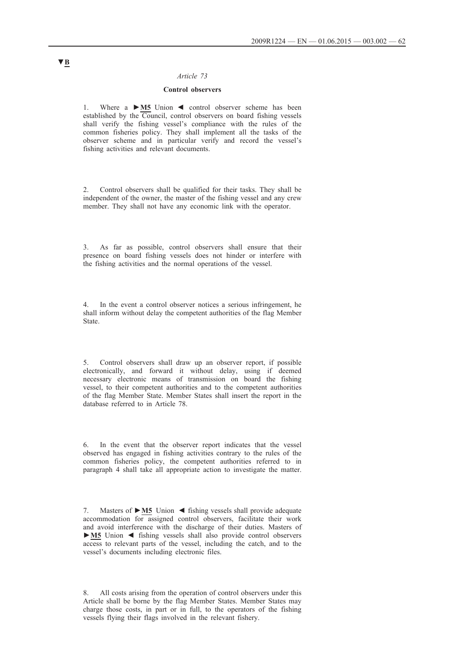### *Article 73*

# **Control observers**

1. Where a **►M5** Union ◄ control observer scheme has been established by the Council, control observers on board fishing vessels shall verify the fishing vessel's compliance with the rules of the common fisheries policy. They shall implement all the tasks of the observer scheme and in particular verify and record the vessel's fishing activities and relevant documents.

2. Control observers shall be qualified for their tasks. They shall be independent of the owner, the master of the fishing vessel and any crew member. They shall not have any economic link with the operator.

3. As far as possible, control observers shall ensure that their presence on board fishing vessels does not hinder or interfere with the fishing activities and the normal operations of the vessel.

4. In the event a control observer notices a serious infringement, he shall inform without delay the competent authorities of the flag Member State.

5. Control observers shall draw up an observer report, if possible electronically, and forward it without delay, using if deemed necessary electronic means of transmission on board the fishing vessel, to their competent authorities and to the competent authorities of the flag Member State. Member States shall insert the report in the database referred to in Article 78.

6. In the event that the observer report indicates that the vessel observed has engaged in fishing activities contrary to the rules of the common fisheries policy, the competent authorities referred to in paragraph 4 shall take all appropriate action to investigate the matter.

8. All costs arising from the operation of control observers under this Article shall be borne by the flag Member States. Member States may charge those costs, in part or in full, to the operators of the fishing vessels flying their flags involved in the relevant fishery.

<sup>7.</sup> Masters of **►M5** Union ◄ fishing vessels shall provide adequate accommodation for assigned control observers, facilitate their work and avoid interference with the discharge of their duties. Masters of **►M5** Union ◄ fishing vessels shall also provide control observers access to relevant parts of the vessel, including the catch, and to the vessel's documents including electronic files.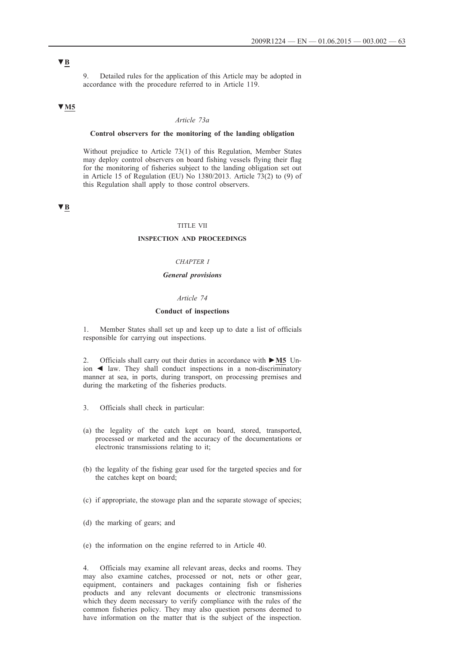9. Detailed rules for the application of this Article may be adopted in accordance with the procedure referred to in Article 119.

# **▼M5**

#### *Article 73a*

### **Control observers for the monitoring of the landing obligation**

Without prejudice to Article 73(1) of this Regulation, Member States may deploy control observers on board fishing vessels flying their flag for the monitoring of fisheries subject to the landing obligation set out in Article 15 of Regulation (EU) No 1380/2013. Article 73(2) to (9) of this Regulation shall apply to those control observers.

# **▼B**

#### TITLE VII

#### **INSPECTION AND PROCEEDINGS**

# *CHAPTER I*

### *General provisions*

#### *Article 74*

#### **Conduct of inspections**

1. Member States shall set up and keep up to date a list of officials responsible for carrying out inspections.

2. Officials shall carry out their duties in accordance with **►M5** Union ◄ law. They shall conduct inspections in a non-discriminatory manner at sea, in ports, during transport, on processing premises and during the marketing of the fisheries products.

- 3. Officials shall check in particular:
- (a) the legality of the catch kept on board, stored, transported, processed or marketed and the accuracy of the documentations or electronic transmissions relating to it;
- (b) the legality of the fishing gear used for the targeted species and for the catches kept on board;
- (c) if appropriate, the stowage plan and the separate stowage of species;
- (d) the marking of gears; and
- (e) the information on the engine referred to in Article 40.

4. Officials may examine all relevant areas, decks and rooms. They may also examine catches, processed or not, nets or other gear, equipment, containers and packages containing fish or fisheries products and any relevant documents or electronic transmissions which they deem necessary to verify compliance with the rules of the common fisheries policy. They may also question persons deemed to have information on the matter that is the subject of the inspection.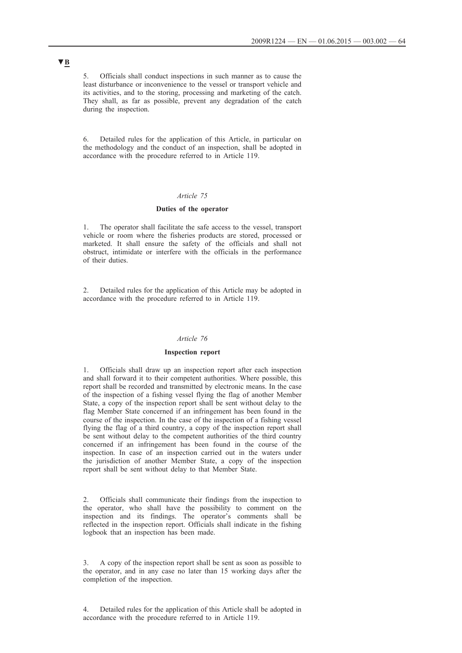5. Officials shall conduct inspections in such manner as to cause the least disturbance or inconvenience to the vessel or transport vehicle and its activities, and to the storing, processing and marketing of the catch. They shall, as far as possible, prevent any degradation of the catch during the inspection.

6. Detailed rules for the application of this Article, in particular on the methodology and the conduct of an inspection, shall be adopted in accordance with the procedure referred to in Article 119.

#### *Article 75*

#### **Duties of the operator**

1. The operator shall facilitate the safe access to the vessel, transport vehicle or room where the fisheries products are stored, processed or marketed. It shall ensure the safety of the officials and shall not obstruct, intimidate or interfere with the officials in the performance of their duties.

2. Detailed rules for the application of this Article may be adopted in accordance with the procedure referred to in Article 119.

# *Article 76*

#### **Inspection report**

1. Officials shall draw up an inspection report after each inspection and shall forward it to their competent authorities. Where possible, this report shall be recorded and transmitted by electronic means. In the case of the inspection of a fishing vessel flying the flag of another Member State, a copy of the inspection report shall be sent without delay to the flag Member State concerned if an infringement has been found in the course of the inspection. In the case of the inspection of a fishing vessel flying the flag of a third country, a copy of the inspection report shall be sent without delay to the competent authorities of the third country concerned if an infringement has been found in the course of the inspection. In case of an inspection carried out in the waters under the jurisdiction of another Member State, a copy of the inspection report shall be sent without delay to that Member State.

2. Officials shall communicate their findings from the inspection to the operator, who shall have the possibility to comment on the inspection and its findings. The operator's comments shall be reflected in the inspection report. Officials shall indicate in the fishing logbook that an inspection has been made.

3. A copy of the inspection report shall be sent as soon as possible to the operator, and in any case no later than 15 working days after the completion of the inspection.

4. Detailed rules for the application of this Article shall be adopted in accordance with the procedure referred to in Article 119.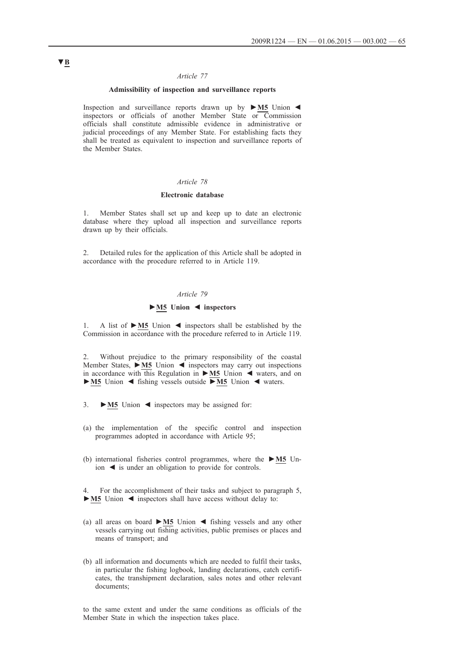#### *Article 77*

### **Admissibility of inspection and surveillance reports**

Inspection and surveillance reports drawn up by **►M5** Union ◄ inspectors or officials of another Member State or Commission officials shall constitute admissible evidence in administrative or judicial proceedings of any Member State. For establishing facts they shall be treated as equivalent to inspection and surveillance reports of the Member States.

# *Article 78*

#### **Electronic database**

1. Member States shall set up and keep up to date an electronic database where they upload all inspection and surveillance reports drawn up by their officials.

2. Detailed rules for the application of this Article shall be adopted in accordance with the procedure referred to in Article 119.

### *Article 79*

# **►M5 Union ◄ inspectors**

1. A list of **►M5** Union ◄ inspectors shall be established by the Commission in accordance with the procedure referred to in Article 119.

2. Without prejudice to the primary responsibility of the coastal Member States, **►M5** Union ◄ inspectors may carry out inspections in accordance with this Regulation in **►M5** Union ◄ waters, and on **►M5** Union ◄ fishing vessels outside **►M5** Union ◄ waters.

- 3. **►M5** Union ◄ inspectors may be assigned for:
- (a) the implementation of the specific control and inspection programmes adopted in accordance with Article 95;
- (b) international fisheries control programmes, where the **►M5** Union ◄ is under an obligation to provide for controls.

4. For the accomplishment of their tasks and subject to paragraph 5, **►M5** Union ◄ inspectors shall have access without delay to:

- (a) all areas on board **►M5** Union ◄ fishing vessels and any other vessels carrying out fishing activities, public premises or places and means of transport; and
- (b) all information and documents which are needed to fulfil their tasks, in particular the fishing logbook, landing declarations, catch certificates, the transhipment declaration, sales notes and other relevant documents;

to the same extent and under the same conditions as officials of the Member State in which the inspection takes place.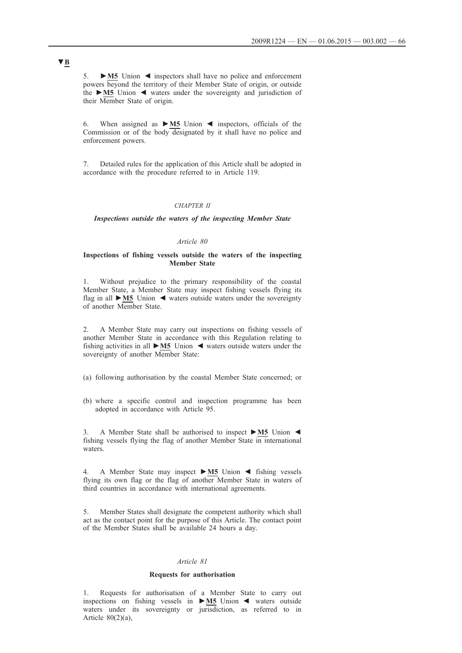5. **►M5** Union ◄ inspectors shall have no police and enforcement powers beyond the territory of their Member State of origin, or outside the **►M5** Union ◄ waters under the sovereignty and jurisdiction of their Member State of origin.

6. When assigned as **►M5** Union ◄ inspectors, officials of the Commission or of the body designated by it shall have no police and enforcement powers.

7. Detailed rules for the application of this Article shall be adopted in accordance with the procedure referred to in Article 119.

#### *CHAPTER II*

*Inspections outside the waters of the inspecting Member State*

### *Article 80*

#### **Inspections of fishing vessels outside the waters of the inspecting Member State**

1. Without prejudice to the primary responsibility of the coastal Member State, a Member State may inspect fishing vessels flying its flag in all **►M5** Union ◄ waters outside waters under the sovereignty of another Member State.

2. A Member State may carry out inspections on fishing vessels of another Member State in accordance with this Regulation relating to fishing activities in all **►M5** Union ◄ waters outside waters under the sovereignty of another Member State:

- (a) following authorisation by the coastal Member State concerned; or
- (b) where a specific control and inspection programme has been adopted in accordance with Article 95.

3. A Member State shall be authorised to inspect **►M5** Union ◄ fishing vessels flying the flag of another Member State in international waters.

4. A Member State may inspect **►M5** Union ◄ fishing vessels flying its own flag or the flag of another Member State in waters of third countries in accordance with international agreements.

5. Member States shall designate the competent authority which shall act as the contact point for the purpose of this Article. The contact point of the Member States shall be available 24 hours a day.

#### *Article 81*

#### **Requests for authorisation**

1. Requests for authorisation of a Member State to carry out inspections on fishing vessels in **►M5** Union ◄ waters outside waters under its sovereignty or jurisdiction, as referred to in Article  $80(2)(a)$ ,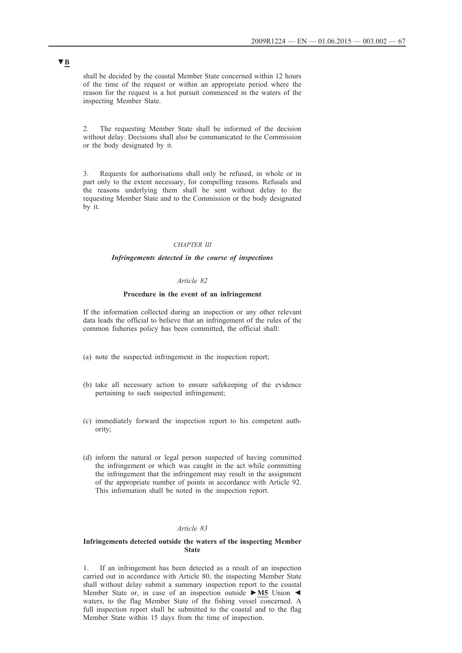shall be decided by the coastal Member State concerned within 12 hours of the time of the request or within an appropriate period where the reason for the request is a hot pursuit commenced in the waters of the inspecting Member State.

2. The requesting Member State shall be informed of the decision without delay. Decisions shall also be communicated to the Commission or the body designated by it.

3. Requests for authorisations shall only be refused, in whole or in part only to the extent necessary, for compelling reasons. Refusals and the reasons underlying them shall be sent without delay to the requesting Member State and to the Commission or the body designated by it.

### *CHAPTER III*

### *Infringements detected in the course of inspections*

#### *Article 82*

#### **Procedure in the event of an infringement**

If the information collected during an inspection or any other relevant data leads the official to believe that an infringement of the rules of the common fisheries policy has been committed, the official shall:

- (a) note the suspected infringement in the inspection report;
- (b) take all necessary action to ensure safekeeping of the evidence pertaining to such suspected infringement;
- (c) immediately forward the inspection report to his competent authority;
- (d) inform the natural or legal person suspected of having committed the infringement or which was caught in the act while committing the infringement that the infringement may result in the assignment of the appropriate number of points in accordance with Article 92. This information shall be noted in the inspection report.

#### *Article 83*

#### **Infringements detected outside the waters of the inspecting Member State**

1. If an infringement has been detected as a result of an inspection carried out in accordance with Article 80, the inspecting Member State shall without delay submit a summary inspection report to the coastal Member State or, in case of an inspection outside **►M5** Union ◄ waters, to the flag Member State of the fishing vessel concerned. A full inspection report shall be submitted to the coastal and to the flag Member State within 15 days from the time of inspection.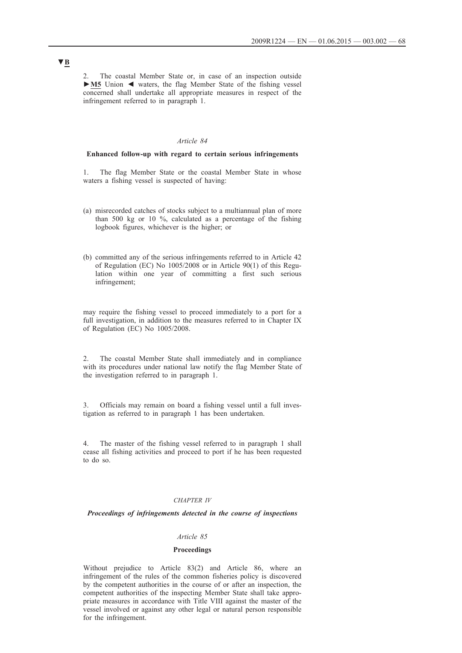The coastal Member State or, in case of an inspection outside **►M5** Union ◄ waters, the flag Member State of the fishing vessel concerned shall undertake all appropriate measures in respect of the infringement referred to in paragraph 1.

#### *Article 84*

#### **Enhanced follow-up with regard to certain serious infringements**

1. The flag Member State or the coastal Member State in whose waters a fishing vessel is suspected of having:

- (a) misrecorded catches of stocks subject to a multiannual plan of more than 500 kg or 10 %, calculated as a percentage of the fishing logbook figures, whichever is the higher; or
- (b) committed any of the serious infringements referred to in Article 42 of Regulation (EC) No 1005/2008 or in Article 90(1) of this Regulation within one year of committing a first such serious infringement;

may require the fishing vessel to proceed immediately to a port for a full investigation, in addition to the measures referred to in Chapter IX of Regulation (EC) No 1005/2008.

2. The coastal Member State shall immediately and in compliance with its procedures under national law notify the flag Member State of the investigation referred to in paragraph 1.

3. Officials may remain on board a fishing vessel until a full investigation as referred to in paragraph 1 has been undertaken.

4. The master of the fishing vessel referred to in paragraph 1 shall cease all fishing activities and proceed to port if he has been requested to do so.

#### *CHAPTER IV*

#### *Proceedings of infringements detected in the course of inspections*

#### *Article 85*

### **Proceedings**

Without prejudice to Article 83(2) and Article 86, where an infringement of the rules of the common fisheries policy is discovered by the competent authorities in the course of or after an inspection, the competent authorities of the inspecting Member State shall take appropriate measures in accordance with Title VIII against the master of the vessel involved or against any other legal or natural person responsible for the infringement.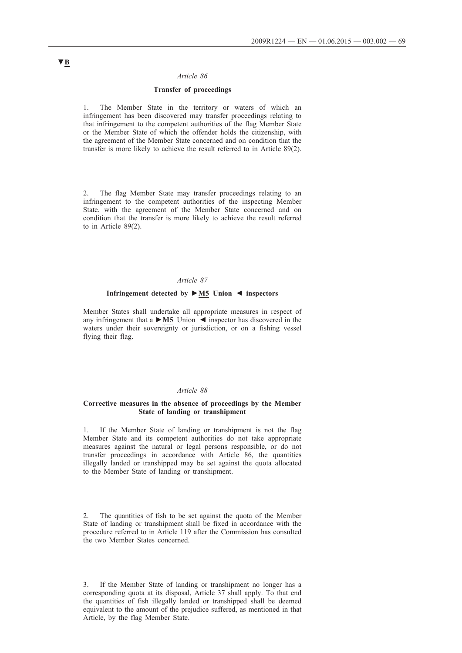#### *Article 86*

### **Transfer of proceedings**

1. The Member State in the territory or waters of which an infringement has been discovered may transfer proceedings relating to that infringement to the competent authorities of the flag Member State or the Member State of which the offender holds the citizenship, with the agreement of the Member State concerned and on condition that the transfer is more likely to achieve the result referred to in Article 89(2).

2. The flag Member State may transfer proceedings relating to an infringement to the competent authorities of the inspecting Member State, with the agreement of the Member State concerned and on condition that the transfer is more likely to achieve the result referred to in Article 89(2).

#### *Article 87*

#### **Infringement detected by ►M5 Union ◄ inspectors**

Member States shall undertake all appropriate measures in respect of any infringement that a **►M5** Union ◄ inspector has discovered in the waters under their sovereignty or jurisdiction, or on a fishing vessel flying their flag.

#### *Article 88*

### **Corrective measures in the absence of proceedings by the Member State of landing or transhipment**

1. If the Member State of landing or transhipment is not the flag Member State and its competent authorities do not take appropriate measures against the natural or legal persons responsible, or do not transfer proceedings in accordance with Article 86, the quantities illegally landed or transhipped may be set against the quota allocated to the Member State of landing or transhipment.

The quantities of fish to be set against the quota of the Member State of landing or transhipment shall be fixed in accordance with the procedure referred to in Article 119 after the Commission has consulted the two Member States concerned.

3. If the Member State of landing or transhipment no longer has a corresponding quota at its disposal, Article 37 shall apply. To that end the quantities of fish illegally landed or transhipped shall be deemed equivalent to the amount of the prejudice suffered, as mentioned in that Article, by the flag Member State.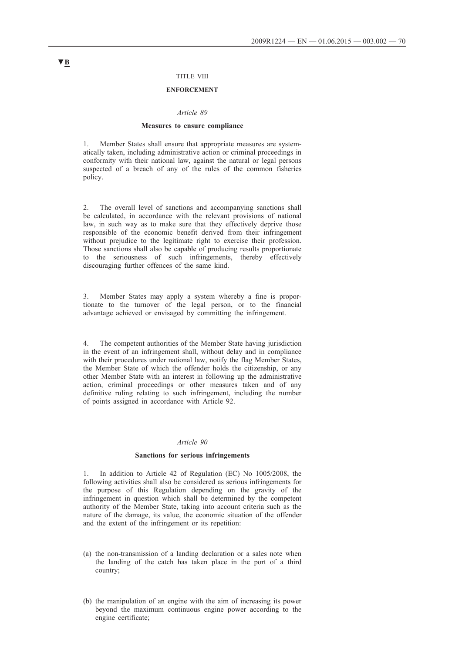### TITLE VIII

#### **ENFORCEMENT**

#### *Article 89*

#### **Measures to ensure compliance**

1. Member States shall ensure that appropriate measures are systematically taken, including administrative action or criminal proceedings in conformity with their national law, against the natural or legal persons suspected of a breach of any of the rules of the common fisheries policy.

2. The overall level of sanctions and accompanying sanctions shall be calculated, in accordance with the relevant provisions of national law, in such way as to make sure that they effectively deprive those responsible of the economic benefit derived from their infringement without prejudice to the legitimate right to exercise their profession. Those sanctions shall also be capable of producing results proportionate to the seriousness of such infringements, thereby effectively discouraging further offences of the same kind.

3. Member States may apply a system whereby a fine is proportionate to the turnover of the legal person, or to the financial advantage achieved or envisaged by committing the infringement.

4. The competent authorities of the Member State having jurisdiction in the event of an infringement shall, without delay and in compliance with their procedures under national law, notify the flag Member States, the Member State of which the offender holds the citizenship, or any other Member State with an interest in following up the administrative action, criminal proceedings or other measures taken and of any definitive ruling relating to such infringement, including the number of points assigned in accordance with Article 92.

#### *Article 90*

#### **Sanctions for serious infringements**

In addition to Article 42 of Regulation (EC) No 1005/2008, the following activities shall also be considered as serious infringements for the purpose of this Regulation depending on the gravity of the infringement in question which shall be determined by the competent authority of the Member State, taking into account criteria such as the nature of the damage, its value, the economic situation of the offender and the extent of the infringement or its repetition:

- (a) the non-transmission of a landing declaration or a sales note when the landing of the catch has taken place in the port of a third country;
- (b) the manipulation of an engine with the aim of increasing its power beyond the maximum continuous engine power according to the engine certificate;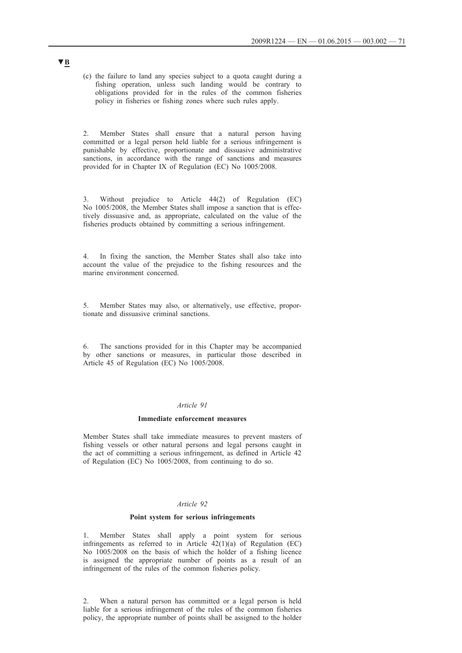(c) the failure to land any species subject to a quota caught during a fishing operation, unless such landing would be contrary to obligations provided for in the rules of the common fisheries policy in fisheries or fishing zones where such rules apply.

2. Member States shall ensure that a natural person having committed or a legal person held liable for a serious infringement is punishable by effective, proportionate and dissuasive administrative sanctions, in accordance with the range of sanctions and measures provided for in Chapter IX of Regulation (EC) No 1005/2008.

3. Without prejudice to Article 44(2) of Regulation (EC) No 1005/2008, the Member States shall impose a sanction that is effectively dissuasive and, as appropriate, calculated on the value of the fisheries products obtained by committing a serious infringement.

In fixing the sanction, the Member States shall also take into account the value of the prejudice to the fishing resources and the marine environment concerned.

5. Member States may also, or alternatively, use effective, proportionate and dissuasive criminal sanctions.

6. The sanctions provided for in this Chapter may be accompanied by other sanctions or measures, in particular those described in Article 45 of Regulation (EC) No 1005/2008.

#### *Article 91*

#### **Immediate enforcement measures**

Member States shall take immediate measures to prevent masters of fishing vessels or other natural persons and legal persons caught in the act of committing a serious infringement, as defined in Article 42 of Regulation (EC) No 1005/2008, from continuing to do so.

### *Article 92*

#### **Point system for serious infringements**

1. Member States shall apply a point system for serious infringements as referred to in Article  $42(1)(a)$  of Regulation (EC) No 1005/2008 on the basis of which the holder of a fishing licence is assigned the appropriate number of points as a result of an infringement of the rules of the common fisheries policy.

2. When a natural person has committed or a legal person is held liable for a serious infringement of the rules of the common fisheries policy, the appropriate number of points shall be assigned to the holder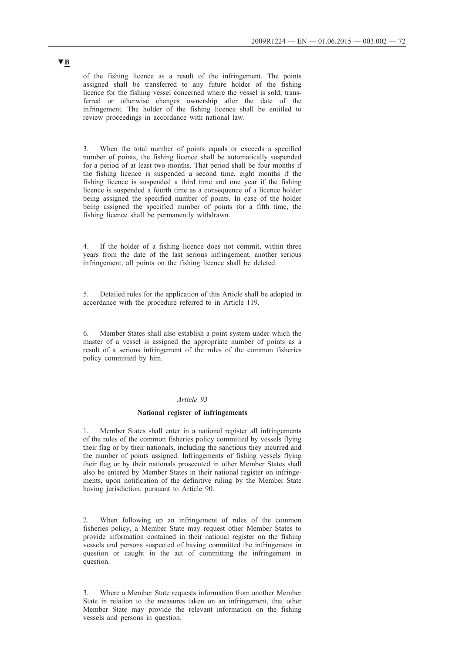of the fishing licence as a result of the infringement. The points assigned shall be transferred to any future holder of the fishing licence for the fishing vessel concerned where the vessel is sold, transferred or otherwise changes ownership after the date of the infringement. The holder of the fishing licence shall be entitled to review proceedings in accordance with national law.

3. When the total number of points equals or exceeds a specified number of points, the fishing licence shall be automatically suspended for a period of at least two months. That period shall be four months if the fishing licence is suspended a second time, eight months if the fishing licence is suspended a third time and one year if the fishing licence is suspended a fourth time as a consequence of a licence holder being assigned the specified number of points. In case of the holder being assigned the specified number of points for a fifth time, the fishing licence shall be permanently withdrawn.

If the holder of a fishing licence does not commit, within three years from the date of the last serious infringement, another serious infringement, all points on the fishing licence shall be deleted.

5. Detailed rules for the application of this Article shall be adopted in accordance with the procedure referred to in Article 119.

6. Member States shall also establish a point system under which the master of a vessel is assigned the appropriate number of points as a result of a serious infringement of the rules of the common fisheries policy committed by him.

#### *Article 93*

#### **National register of infringements**

1. Member States shall enter in a national register all infringements of the rules of the common fisheries policy committed by vessels flying their flag or by their nationals, including the sanctions they incurred and the number of points assigned. Infringements of fishing vessels flying their flag or by their nationals prosecuted in other Member States shall also be entered by Member States in their national register on infringements, upon notification of the definitive ruling by the Member State having jurisdiction, pursuant to Article 90.

When following up an infringement of rules of the common fisheries policy, a Member State may request other Member States to provide information contained in their national register on the fishing vessels and persons suspected of having committed the infringement in question or caught in the act of committing the infringement in question.

3. Where a Member State requests information from another Member State in relation to the measures taken on an infringement, that other Member State may provide the relevant information on the fishing vessels and persons in question.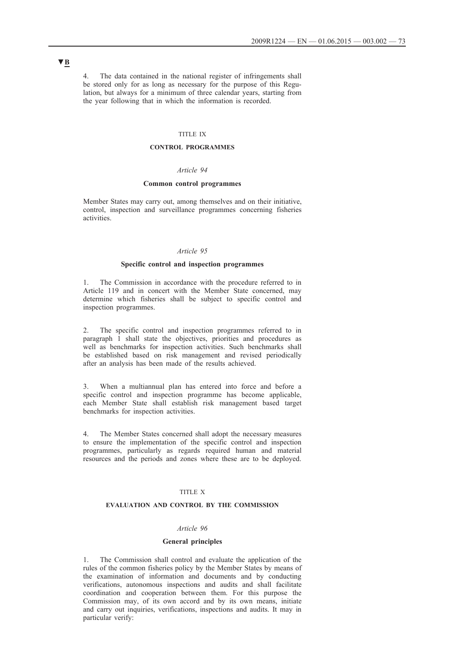4. The data contained in the national register of infringements shall be stored only for as long as necessary for the purpose of this Regulation, but always for a minimum of three calendar years, starting from the year following that in which the information is recorded.

## TITLE IX

### **CONTROL PROGRAMMES**

### *Article 94*

### **Common control programmes**

Member States may carry out, among themselves and on their initiative, control, inspection and surveillance programmes concerning fisheries activities.

### *Article 95*

### **Specific control and inspection programmes**

1. The Commission in accordance with the procedure referred to in Article 119 and in concert with the Member State concerned, may determine which fisheries shall be subject to specific control and inspection programmes.

2. The specific control and inspection programmes referred to in paragraph 1 shall state the objectives, priorities and procedures as well as benchmarks for inspection activities. Such benchmarks shall be established based on risk management and revised periodically after an analysis has been made of the results achieved.

3. When a multiannual plan has entered into force and before a specific control and inspection programme has become applicable, each Member State shall establish risk management based target benchmarks for inspection activities.

4. The Member States concerned shall adopt the necessary measures to ensure the implementation of the specific control and inspection programmes, particularly as regards required human and material resources and the periods and zones where these are to be deployed.

### TITLE X

## **EVALUATION AND CONTROL BY THE COMMISSION**

#### *Article 96*

#### **General principles**

1. The Commission shall control and evaluate the application of the rules of the common fisheries policy by the Member States by means of the examination of information and documents and by conducting verifications, autonomous inspections and audits and shall facilitate coordination and cooperation between them. For this purpose the Commission may, of its own accord and by its own means, initiate and carry out inquiries, verifications, inspections and audits. It may in particular verify: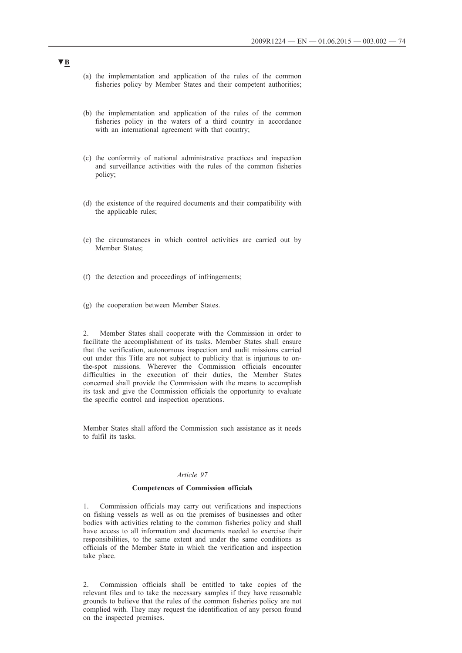- (a) the implementation and application of the rules of the common fisheries policy by Member States and their competent authorities;
- (b) the implementation and application of the rules of the common fisheries policy in the waters of a third country in accordance with an international agreement with that country;
- (c) the conformity of national administrative practices and inspection and surveillance activities with the rules of the common fisheries policy;
- (d) the existence of the required documents and their compatibility with the applicable rules;
- (e) the circumstances in which control activities are carried out by Member States;
- (f) the detection and proceedings of infringements;
- (g) the cooperation between Member States.

2. Member States shall cooperate with the Commission in order to facilitate the accomplishment of its tasks. Member States shall ensure that the verification, autonomous inspection and audit missions carried out under this Title are not subject to publicity that is injurious to onthe-spot missions. Wherever the Commission officials encounter difficulties in the execution of their duties, the Member States concerned shall provide the Commission with the means to accomplish its task and give the Commission officials the opportunity to evaluate the specific control and inspection operations.

Member States shall afford the Commission such assistance as it needs to fulfil its tasks.

### *Article 97*

## **Competences of Commission officials**

1. Commission officials may carry out verifications and inspections on fishing vessels as well as on the premises of businesses and other bodies with activities relating to the common fisheries policy and shall have access to all information and documents needed to exercise their responsibilities, to the same extent and under the same conditions as officials of the Member State in which the verification and inspection take place.

2. Commission officials shall be entitled to take copies of the relevant files and to take the necessary samples if they have reasonable grounds to believe that the rules of the common fisheries policy are not complied with. They may request the identification of any person found on the inspected premises.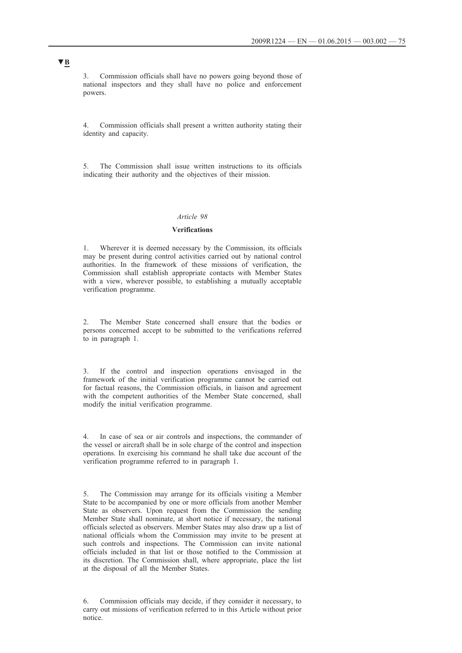3. Commission officials shall have no powers going beyond those of national inspectors and they shall have no police and enforcement powers.

4. Commission officials shall present a written authority stating their identity and capacity.

5. The Commission shall issue written instructions to its officials indicating their authority and the objectives of their mission.

## *Article 98*

#### **Verifications**

1. Wherever it is deemed necessary by the Commission, its officials may be present during control activities carried out by national control authorities. In the framework of these missions of verification, the Commission shall establish appropriate contacts with Member States with a view, wherever possible, to establishing a mutually acceptable verification programme.

2. The Member State concerned shall ensure that the bodies or persons concerned accept to be submitted to the verifications referred to in paragraph 1.

3. If the control and inspection operations envisaged in the framework of the initial verification programme cannot be carried out for factual reasons, the Commission officials, in liaison and agreement with the competent authorities of the Member State concerned, shall modify the initial verification programme.

4. In case of sea or air controls and inspections, the commander of the vessel or aircraft shall be in sole charge of the control and inspection operations. In exercising his command he shall take due account of the verification programme referred to in paragraph 1.

5. The Commission may arrange for its officials visiting a Member State to be accompanied by one or more officials from another Member State as observers. Upon request from the Commission the sending Member State shall nominate, at short notice if necessary, the national officials selected as observers. Member States may also draw up a list of national officials whom the Commission may invite to be present at such controls and inspections. The Commission can invite national officials included in that list or those notified to the Commission at its discretion. The Commission shall, where appropriate, place the list at the disposal of all the Member States.

<sup>6.</sup> Commission officials may decide, if they consider it necessary, to carry out missions of verification referred to in this Article without prior notice.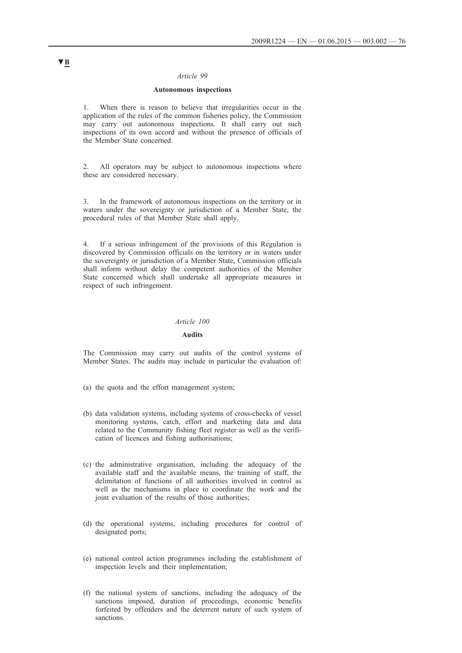#### *Article 99*

### **Autonomous inspections**

1. When there is reason to believe that irregularities occur in the application of the rules of the common fisheries policy, the Commission may carry out autonomous inspections. It shall carry out such inspections of its own accord and without the presence of officials of the Member State concerned.

2. All operators may be subject to autonomous inspections where these are considered necessary.

3. In the framework of autonomous inspections on the territory or in waters under the sovereignty or jurisdiction of a Member State, the procedural rules of that Member State shall apply.

4. If a serious infringement of the provisions of this Regulation is discovered by Commission officials on the territory or in waters under the sovereignty or jurisdiction of a Member State, Commission officials shall inform without delay the competent authorities of the Member State concerned which shall undertake all appropriate measures in respect of such infringement.

### *Article 100*

## **Audits**

The Commission may carry out audits of the control systems of Member States. The audits may include in particular the evaluation of:

- (a) the quota and the effort management system;
- (b) data validation systems, including systems of cross-checks of vessel monitoring systems, catch, effort and marketing data and data related to the Community fishing fleet register as well as the verification of licences and fishing authorisations;
- (c) the administrative organisation, including the adequacy of the available staff and the available means, the training of staff, the delimitation of functions of all authorities involved in control as well as the mechanisms in place to coordinate the work and the joint evaluation of the results of those authorities;
- (d) the operational systems, including procedures for control of designated ports;
- (e) national control action programmes including the establishment of inspection levels and their implementation;
- (f) the national system of sanctions, including the adequacy of the sanctions imposed, duration of proceedings, economic benefits forfeited by offenders and the deterrent nature of such system of sanctions.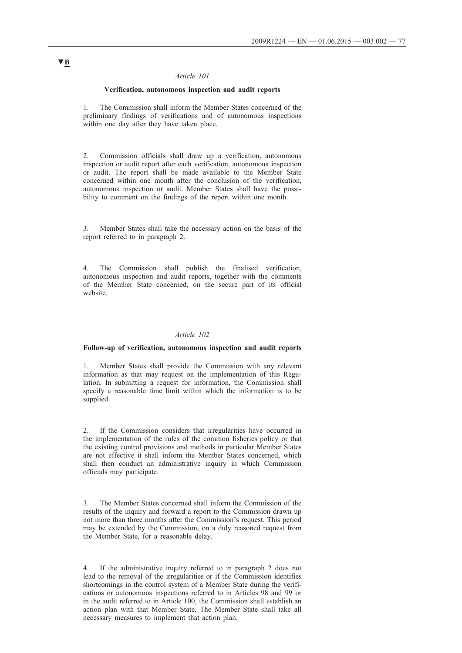### *Article 101*

#### **Verification, autonomous inspection and audit reports**

1. The Commission shall inform the Member States concerned of the preliminary findings of verifications and of autonomous inspections within one day after they have taken place.

2. Commission officials shall draw up a verification, autonomous inspection or audit report after each verification, autonomous inspection or audit. The report shall be made available to the Member State concerned within one month after the conclusion of the verification, autonomous inspection or audit. Member States shall have the possibility to comment on the findings of the report within one month.

3. Member States shall take the necessary action on the basis of the report referred to in paragraph 2.

4. The Commission shall publish the finalised verification, autonomous inspection and audit reports, together with the comments of the Member State concerned, on the secure part of its official website.

### *Article 102*

#### **Follow-up of verification, autonomous inspection and audit reports**

1. Member States shall provide the Commission with any relevant information as that may request on the implementation of this Regulation. In submitting a request for information, the Commission shall specify a reasonable time limit within which the information is to be supplied.

If the Commission considers that irregularities have occurred in the implementation of the rules of the common fisheries policy or that the existing control provisions and methods in particular Member States are not effective it shall inform the Member States concerned, which shall then conduct an administrative inquiry in which Commission officials may participate.

3. The Member States concerned shall inform the Commission of the results of the inquiry and forward a report to the Commission drawn up not more than three months after the Commission's request. This period may be extended by the Commission, on a duly reasoned request from the Member State, for a reasonable delay.

If the administrative inquiry referred to in paragraph 2 does not lead to the removal of the irregularities or if the Commission identifies shortcomings in the control system of a Member State during the verifications or autonomous inspections referred to in Articles 98 and 99 or in the audit referred to in Article 100, the Commission shall establish an action plan with that Member State. The Member State shall take all necessary measures to implement that action plan.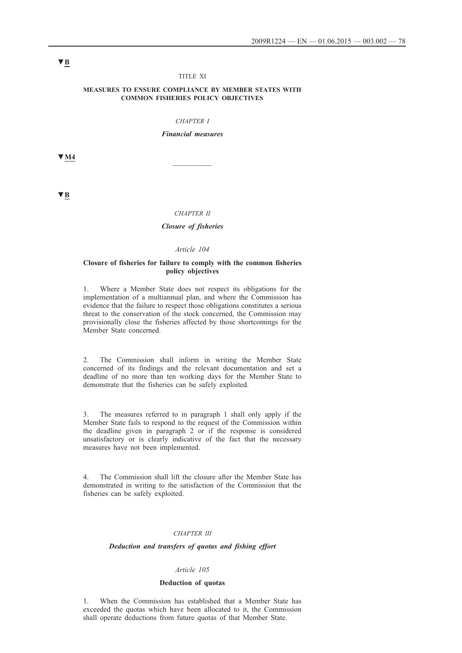#### TITLE XI

#### **MEASURES TO ENSURE COMPLIANCE BY MEMBER STATES WITH COMMON FISHERIES POLICY OBJECTIVES**

### *CHAPTER I*

*Financial measures*

**▼M4** \_\_\_\_\_\_\_\_\_\_

**▼B**

#### *CHAPTER II*

## *Closure of fisheries*

## *Article 104*

#### **Closure of fisheries for failure to comply with the common fisheries policy objectives**

1. Where a Member State does not respect its obligations for the implementation of a multiannual plan, and where the Commission has evidence that the failure to respect those obligations constitutes a serious threat to the conservation of the stock concerned, the Commission may provisionally close the fisheries affected by those shortcomings for the Member State concerned.

2. The Commission shall inform in writing the Member State concerned of its findings and the relevant documentation and set a deadline of no more than ten working days for the Member State to demonstrate that the fisheries can be safely exploited.

3. The measures referred to in paragraph 1 shall only apply if the Member State fails to respond to the request of the Commission within the deadline given in paragraph 2 or if the response is considered unsatisfactory or is clearly indicative of the fact that the necessary measures have not been implemented.

4. The Commission shall lift the closure after the Member State has demonstrated in writing to the satisfaction of the Commission that the fisheries can be safely exploited.

#### *CHAPTER III*

## *Deduction and transfers of quotas and fishing effort*

#### *Article 105*

#### **Deduction of quotas**

1. When the Commission has established that a Member State has exceeded the quotas which have been allocated to it, the Commission shall operate deductions from future quotas of that Member State.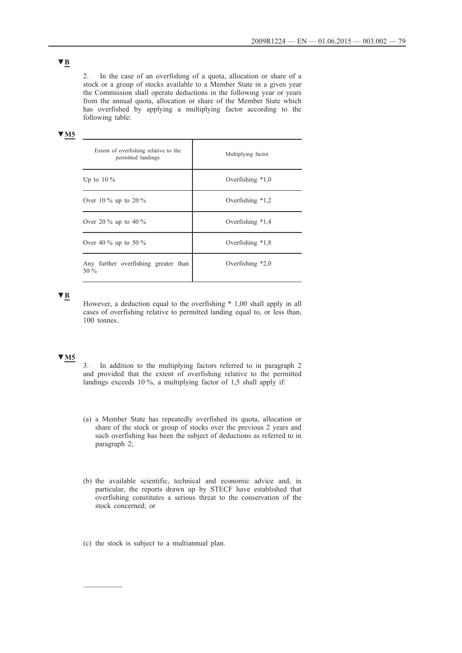2. In the case of an overfishing of a quota, allocation or share of a stock or a group of stocks available to a Member State in a given year the Commission shall operate deductions in the following year or years from the annual quota, allocation or share of the Member State which has overfished by applying a multiplying factor according to the following table:

## **▼M5**

| Extent of overfishing relative to the<br>permitted landings | Multiplying factor |
|-------------------------------------------------------------|--------------------|
| Up to $10\%$                                                | Overfishing $*1,0$ |
| Over 10 % up to 20 %                                        | Overfishing $*1,2$ |
| Over 20 $\%$ up to 40 $\%$                                  | Overfishing $*1,4$ |
| Over 40 % up to 50 %                                        | Overfishing $*1,8$ |
| Any further overfishing greater than<br>50 $%$              | Overfishing $*2,0$ |

**▼B**

However, a deduction equal to the overfishing \* 1,00 shall apply in all cases of overfishing relative to permitted landing equal to, or less than, 100 tonnes.

## **▼M5**

3. In addition to the multiplying factors referred to in paragraph 2 and provided that the extent of overfishing relative to the permitted landings exceeds 10 %, a multiplying factor of 1,5 shall apply if:

- (a) a Member State has repeatedly overfished its quota, allocation or share of the stock or group of stocks over the previous 2 years and such overfishing has been the subject of deductions as referred to in paragraph 2;
- (b) the available scientific, technical and economic advice and, in particular, the reports drawn up by STECF have established that overfishing constitutes a serious threat to the conservation of the stock concerned; or
- (c) the stock is subject to a multiannual plan.

 $\frac{1}{2}$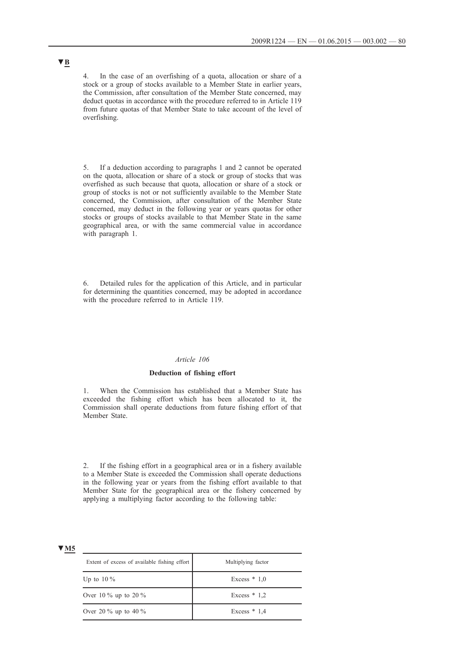4. In the case of an overfishing of a quota, allocation or share of a stock or a group of stocks available to a Member State in earlier years, the Commission, after consultation of the Member State concerned, may deduct quotas in accordance with the procedure referred to in Article 119 from future quotas of that Member State to take account of the level of overfishing.

5. If a deduction according to paragraphs 1 and 2 cannot be operated on the quota, allocation or share of a stock or group of stocks that was overfished as such because that quota, allocation or share of a stock or group of stocks is not or not sufficiently available to the Member State concerned, the Commission, after consultation of the Member State concerned, may deduct in the following year or years quotas for other stocks or groups of stocks available to that Member State in the same geographical area, or with the same commercial value in accordance with paragraph 1.

6. Detailed rules for the application of this Article, and in particular for determining the quantities concerned, may be adopted in accordance with the procedure referred to in Article 119.

#### *Article 106*

## **Deduction of fishing effort**

1. When the Commission has established that a Member State has exceeded the fishing effort which has been allocated to it, the Commission shall operate deductions from future fishing effort of that Member State.

2. If the fishing effort in a geographical area or in a fishery available to a Member State is exceeded the Commission shall operate deductions in the following year or years from the fishing effort available to that Member State for the geographical area or the fishery concerned by applying a multiplying factor according to the following table:

## **▼M5**

| Extent of excess of available fishing effort | Multiplying factor |
|----------------------------------------------|--------------------|
| Up to $10\%$                                 | Excess $* 1.0$     |
| Over 10 % up to 20 %                         | Excess $* 1.2$     |
| Over 20 $\%$ up to 40 $\%$                   | Excess $* 1.4$     |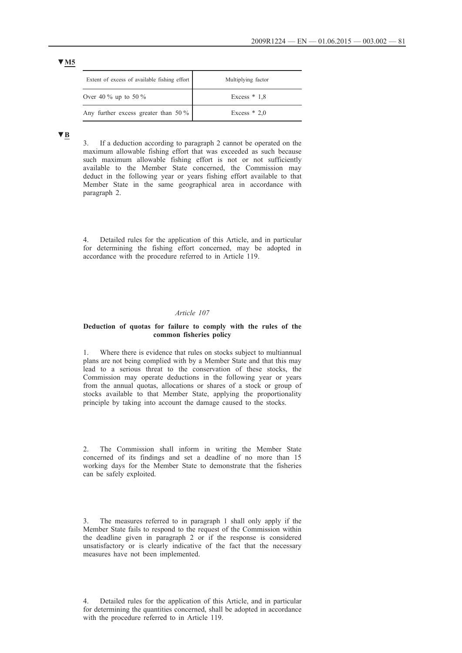| Extent of excess of available fishing effort | Multiplying factor |
|----------------------------------------------|--------------------|
| Over 40 $\%$ up to 50 $\%$                   | Excess $* 1.8$     |
| Any further excess greater than 50 %         | Excess $* 2.0$     |

**▼B**

3. If a deduction according to paragraph 2 cannot be operated on the maximum allowable fishing effort that was exceeded as such because such maximum allowable fishing effort is not or not sufficiently available to the Member State concerned, the Commission may deduct in the following year or years fishing effort available to that Member State in the same geographical area in accordance with paragraph 2.

4. Detailed rules for the application of this Article, and in particular for determining the fishing effort concerned, may be adopted in accordance with the procedure referred to in Article 119.

### *Article 107*

### **Deduction of quotas for failure to comply with the rules of the common fisheries policy**

1. Where there is evidence that rules on stocks subject to multiannual plans are not being complied with by a Member State and that this may lead to a serious threat to the conservation of these stocks, the Commission may operate deductions in the following year or years from the annual quotas, allocations or shares of a stock or group of stocks available to that Member State, applying the proportionality principle by taking into account the damage caused to the stocks.

2. The Commission shall inform in writing the Member State concerned of its findings and set a deadline of no more than 15 working days for the Member State to demonstrate that the fisheries can be safely exploited.

3. The measures referred to in paragraph 1 shall only apply if the Member State fails to respond to the request of the Commission within the deadline given in paragraph 2 or if the response is considered unsatisfactory or is clearly indicative of the fact that the necessary measures have not been implemented.

<sup>4.</sup> Detailed rules for the application of this Article, and in particular for determining the quantities concerned, shall be adopted in accordance with the procedure referred to in Article 119.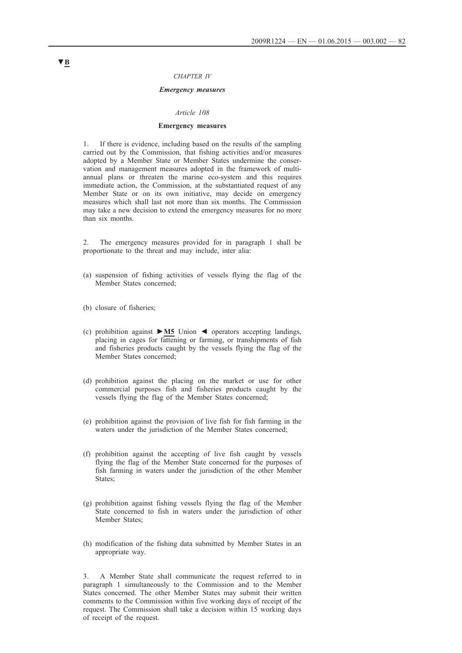#### *CHAPTER IV*

### *Emergency measures*

#### *Article 108*

#### **Emergency measures**

1. If there is evidence, including based on the results of the sampling carried out by the Commission, that fishing activities and/or measures adopted by a Member State or Member States undermine the conservation and management measures adopted in the framework of multiannual plans or threaten the marine eco-system and this requires immediate action, the Commission, at the substantiated request of any Member State or on its own initiative, may decide on emergency measures which shall last not more than six months. The Commission may take a new decision to extend the emergency measures for no more than six months.

2. The emergency measures provided for in paragraph 1 shall be proportionate to the threat and may include, inter alia:

- (a) suspension of fishing activities of vessels flying the flag of the Member States concerned;
- (b) closure of fisheries;
- (c) prohibition against **►M5** Union ◄ operators accepting landings, placing in cages for fattening or farming, or transhipments of fish and fisheries products caught by the vessels flying the flag of the Member States concerned;
- (d) prohibition against the placing on the market or use for other commercial purposes fish and fisheries products caught by the vessels flying the flag of the Member States concerned;
- (e) prohibition against the provision of live fish for fish farming in the waters under the jurisdiction of the Member States concerned;
- (f) prohibition against the accepting of live fish caught by vessels flying the flag of the Member State concerned for the purposes of fish farming in waters under the jurisdiction of the other Member States;
- (g) prohibition against fishing vessels flying the flag of the Member State concerned to fish in waters under the jurisdiction of other Member States;
- (h) modification of the fishing data submitted by Member States in an appropriate way.

3. A Member State shall communicate the request referred to in paragraph 1 simultaneously to the Commission and to the Member States concerned. The other Member States may submit their written comments to the Commission within five working days of receipt of the request. The Commission shall take a decision within 15 working days of receipt of the request.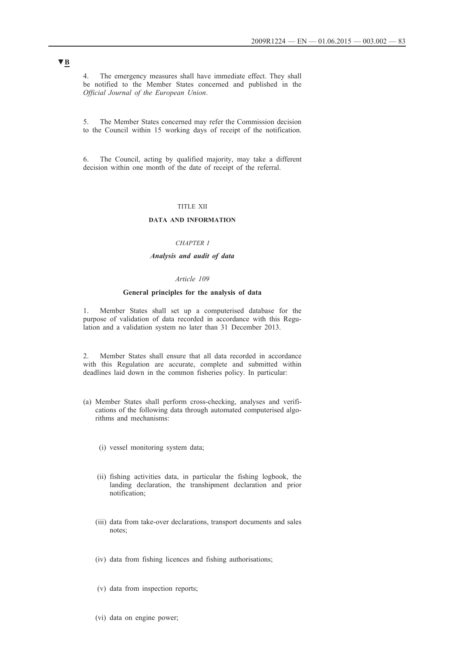4. The emergency measures shall have immediate effect. They shall be notified to the Member States concerned and published in the *Official Journal of the European Union*.

5. The Member States concerned may refer the Commission decision to the Council within 15 working days of receipt of the notification.

6. The Council, acting by qualified majority, may take a different decision within one month of the date of receipt of the referral.

#### TITLE XII

### **DATA AND INFORMATION**

#### *CHAPTER I*

### *Analysis and audit of data*

## *Article 109*

## **General principles for the analysis of data**

1. Member States shall set up a computerised database for the purpose of validation of data recorded in accordance with this Regulation and a validation system no later than 31 December 2013.

2. Member States shall ensure that all data recorded in accordance with this Regulation are accurate, complete and submitted within deadlines laid down in the common fisheries policy. In particular:

- (a) Member States shall perform cross-checking, analyses and verifications of the following data through automated computerised algorithms and mechanisms:
	- (i) vessel monitoring system data;
	- (ii) fishing activities data, in particular the fishing logbook, the landing declaration, the transhipment declaration and prior notification;
	- (iii) data from take-over declarations, transport documents and sales notes;
	- (iv) data from fishing licences and fishing authorisations;
	- (v) data from inspection reports;
	- (vi) data on engine power;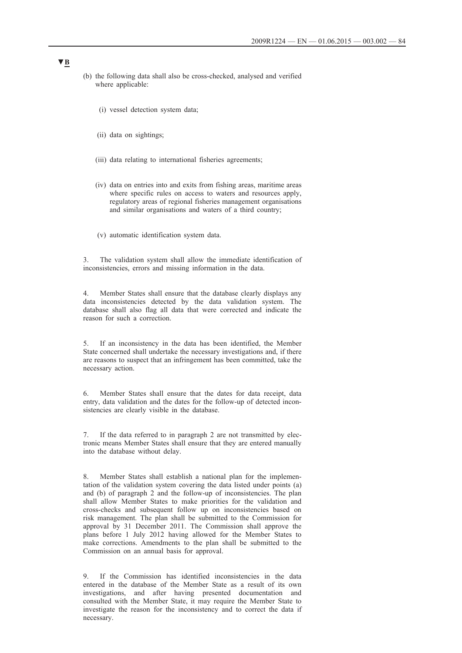- (b) the following data shall also be cross-checked, analysed and verified where applicable:
	- (i) vessel detection system data;
	- (ii) data on sightings;
	- (iii) data relating to international fisheries agreements;
	- (iv) data on entries into and exits from fishing areas, maritime areas where specific rules on access to waters and resources apply, regulatory areas of regional fisheries management organisations and similar organisations and waters of a third country;
	- (v) automatic identification system data.

3. The validation system shall allow the immediate identification of inconsistencies, errors and missing information in the data.

4. Member States shall ensure that the database clearly displays any data inconsistencies detected by the data validation system. The database shall also flag all data that were corrected and indicate the reason for such a correction.

If an inconsistency in the data has been identified, the Member State concerned shall undertake the necessary investigations and, if there are reasons to suspect that an infringement has been committed, take the necessary action.

6. Member States shall ensure that the dates for data receipt, data entry, data validation and the dates for the follow-up of detected inconsistencies are clearly visible in the database.

7. If the data referred to in paragraph 2 are not transmitted by electronic means Member States shall ensure that they are entered manually into the database without delay.

8. Member States shall establish a national plan for the implementation of the validation system covering the data listed under points (a) and (b) of paragraph 2 and the follow-up of inconsistencies. The plan shall allow Member States to make priorities for the validation and cross-checks and subsequent follow up on inconsistencies based on risk management. The plan shall be submitted to the Commission for approval by 31 December 2011. The Commission shall approve the plans before 1 July 2012 having allowed for the Member States to make corrections. Amendments to the plan shall be submitted to the Commission on an annual basis for approval.

9. If the Commission has identified inconsistencies in the data entered in the database of the Member State as a result of its own investigations, and after having presented documentation and consulted with the Member State, it may require the Member State to investigate the reason for the inconsistency and to correct the data if necessary.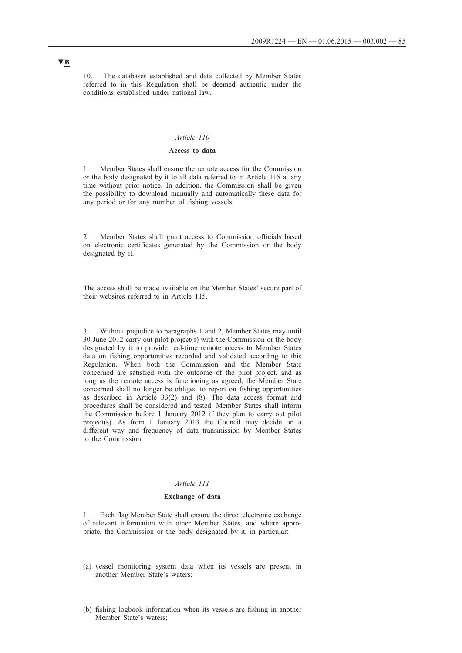10. The databases established and data collected by Member States referred to in this Regulation shall be deemed authentic under the conditions established under national law.

#### *Article 110*

## **Access to data**

1. Member States shall ensure the remote access for the Commission or the body designated by it to all data referred to in Article 115 at any time without prior notice. In addition, the Commission shall be given the possibility to download manually and automatically these data for any period or for any number of fishing vessels.

2. Member States shall grant access to Commission officials based on electronic certificates generated by the Commission or the body designated by it.

The access shall be made available on the Member States' secure part of their websites referred to in Article 115.

3. Without prejudice to paragraphs 1 and 2, Member States may until 30 June 2012 carry out pilot project(s) with the Commission or the body designated by it to provide real-time remote access to Member States data on fishing opportunities recorded and validated according to this Regulation. When both the Commission and the Member State concerned are satisfied with the outcome of the pilot project, and as long as the remote access is functioning as agreed, the Member State concerned shall no longer be obliged to report on fishing opportunities as described in Article 33(2) and (8). The data access format and procedures shall be considered and tested. Member States shall inform the Commission before 1 January 2012 if they plan to carry out pilot project(s). As from 1 January 2013 the Council may decide on a different way and frequency of data transmission by Member States to the Commission.

## *Article 111*

## **Exchange of data**

1. Each flag Member State shall ensure the direct electronic exchange of relevant information with other Member States, and where appropriate, the Commission or the body designated by it, in particular:

- (a) vessel monitoring system data when its vessels are present in another Member State's waters;
- (b) fishing logbook information when its vessels are fishing in another Member State's waters;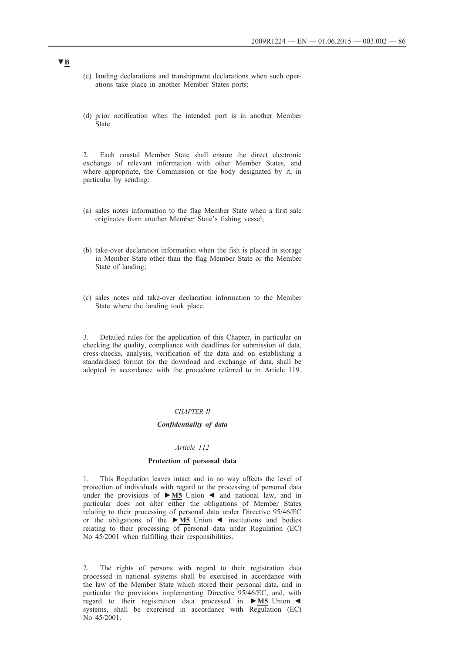- (c) landing declarations and transhipment declarations when such operations take place in another Member States ports;
- (d) prior notification when the intended port is in another Member State.

2. Each coastal Member State shall ensure the direct electronic exchange of relevant information with other Member States, and where appropriate, the Commission or the body designated by it, in particular by sending:

- (a) sales notes information to the flag Member State when a first sale originates from another Member State's fishing vessel;
- (b) take-over declaration information when the fish is placed in storage in Member State other than the flag Member State or the Member State of landing;
- (c) sales notes and take-over declaration information to the Member State where the landing took place.

3. Detailed rules for the application of this Chapter, in particular on checking the quality, compliance with deadlines for submission of data, cross-checks, analysis, verification of the data and on establishing a standardised format for the download and exchange of data, shall be adopted in accordance with the procedure referred to in Article 119.

#### *CHAPTER II*

### *Confidentiality of data*

#### *Article 112*

### **Protection of personal data**

1. This Regulation leaves intact and in no way affects the level of protection of individuals with regard to the processing of personal data under the provisions of **►M5** Union ◄ and national law, and in particular does not alter either the obligations of Member States relating to their processing of personal data under Directive 95/46/EC or the obligations of the **►M5** Union ◄ institutions and bodies relating to their processing of personal data under Regulation (EC) No 45/2001 when fulfilling their responsibilities.

2. The rights of persons with regard to their registration data processed in national systems shall be exercised in accordance with the law of the Member State which stored their personal data, and in particular the provisions implementing Directive 95/46/EC, and, with regard to their registration data processed in **►M5** Union ◄ systems, shall be exercised in accordance with Regulation (EC) No 45/2001.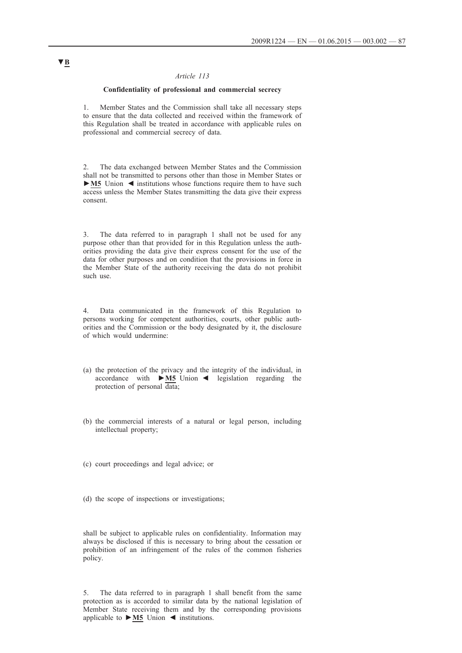### *Article 113*

## **Confidentiality of professional and commercial secrecy**

1. Member States and the Commission shall take all necessary steps to ensure that the data collected and received within the framework of this Regulation shall be treated in accordance with applicable rules on professional and commercial secrecy of data.

2. The data exchanged between Member States and the Commission shall not be transmitted to persons other than those in Member States or **►M5** Union ◄ institutions whose functions require them to have such access unless the Member States transmitting the data give their express consent.

3. The data referred to in paragraph 1 shall not be used for any purpose other than that provided for in this Regulation unless the authorities providing the data give their express consent for the use of the data for other purposes and on condition that the provisions in force in the Member State of the authority receiving the data do not prohibit such use.

4. Data communicated in the framework of this Regulation to persons working for competent authorities, courts, other public authorities and the Commission or the body designated by it, the disclosure of which would undermine:

- (a) the protection of the privacy and the integrity of the individual, in accordance with **►M5** Union ◄ legislation regarding the protection of personal data;
- (b) the commercial interests of a natural or legal person, including intellectual property;
- (c) court proceedings and legal advice; or
- (d) the scope of inspections or investigations;

shall be subject to applicable rules on confidentiality. Information may always be disclosed if this is necessary to bring about the cessation or prohibition of an infringement of the rules of the common fisheries policy.

5. The data referred to in paragraph 1 shall benefit from the same protection as is accorded to similar data by the national legislation of Member State receiving them and by the corresponding provisions applicable to **►M5** Union ◄ institutions.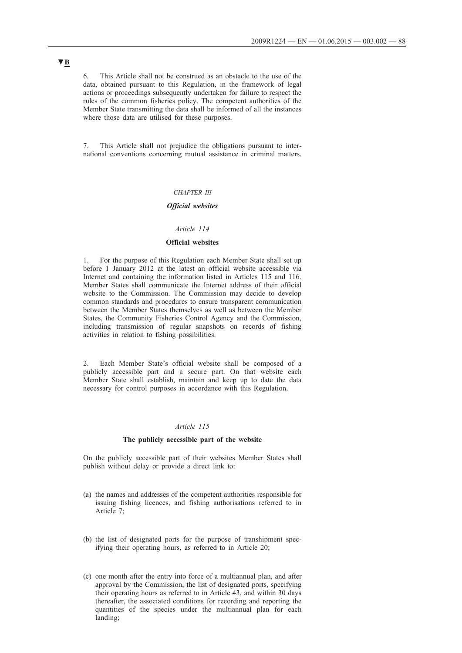6. This Article shall not be construed as an obstacle to the use of the data, obtained pursuant to this Regulation, in the framework of legal actions or proceedings subsequently undertaken for failure to respect the rules of the common fisheries policy. The competent authorities of the Member State transmitting the data shall be informed of all the instances where those data are utilised for these purposes.

7. This Article shall not prejudice the obligations pursuant to international conventions concerning mutual assistance in criminal matters.

## *CHAPTER III*

#### *Official websites*

### *Article 114*

## **Official websites**

1. For the purpose of this Regulation each Member State shall set up before 1 January 2012 at the latest an official website accessible via Internet and containing the information listed in Articles 115 and 116. Member States shall communicate the Internet address of their official website to the Commission. The Commission may decide to develop common standards and procedures to ensure transparent communication between the Member States themselves as well as between the Member States, the Community Fisheries Control Agency and the Commission, including transmission of regular snapshots on records of fishing activities in relation to fishing possibilities.

2. Each Member State's official website shall be composed of a publicly accessible part and a secure part. On that website each Member State shall establish, maintain and keep up to date the data necessary for control purposes in accordance with this Regulation.

## *Article 115*

#### **The publicly accessible part of the website**

On the publicly accessible part of their websites Member States shall publish without delay or provide a direct link to:

- (a) the names and addresses of the competent authorities responsible for issuing fishing licences, and fishing authorisations referred to in Article 7;
- (b) the list of designated ports for the purpose of transhipment specifying their operating hours, as referred to in Article 20;
- (c) one month after the entry into force of a multiannual plan, and after approval by the Commission, the list of designated ports, specifying their operating hours as referred to in Article 43, and within 30 days thereafter, the associated conditions for recording and reporting the quantities of the species under the multiannual plan for each landing;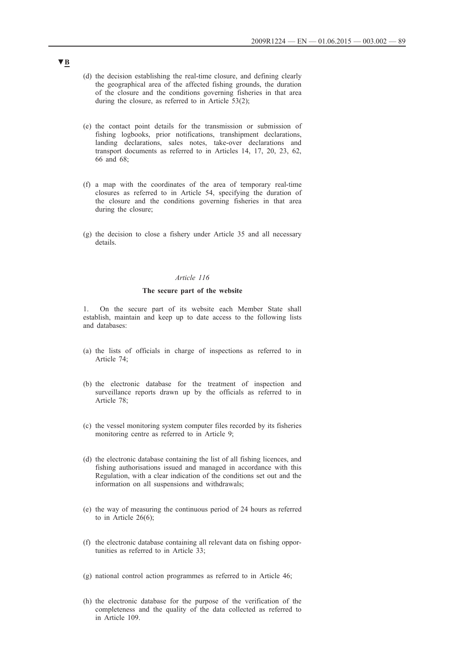- (d) the decision establishing the real-time closure, and defining clearly the geographical area of the affected fishing grounds, the duration of the closure and the conditions governing fisheries in that area during the closure, as referred to in Article 53(2);
- (e) the contact point details for the transmission or submission of fishing logbooks, prior notifications, transhipment declarations, landing declarations, sales notes, take-over declarations and transport documents as referred to in Articles 14, 17, 20, 23, 62, 66 and 68;
- (f) a map with the coordinates of the area of temporary real-time closures as referred to in Article 54, specifying the duration of the closure and the conditions governing fisheries in that area during the closure;
- (g) the decision to close a fishery under Article 35 and all necessary details.

## *Article 116*

### **The secure part of the website**

1. On the secure part of its website each Member State shall establish, maintain and keep up to date access to the following lists and databases:

- (a) the lists of officials in charge of inspections as referred to in Article 74;
- (b) the electronic database for the treatment of inspection and surveillance reports drawn up by the officials as referred to in Article 78;
- (c) the vessel monitoring system computer files recorded by its fisheries monitoring centre as referred to in Article 9;
- (d) the electronic database containing the list of all fishing licences, and fishing authorisations issued and managed in accordance with this Regulation, with a clear indication of the conditions set out and the information on all suspensions and withdrawals;
- (e) the way of measuring the continuous period of 24 hours as referred to in Article 26(6);
- (f) the electronic database containing all relevant data on fishing opportunities as referred to in Article 33;
- (g) national control action programmes as referred to in Article 46;
- (h) the electronic database for the purpose of the verification of the completeness and the quality of the data collected as referred to in Article 109.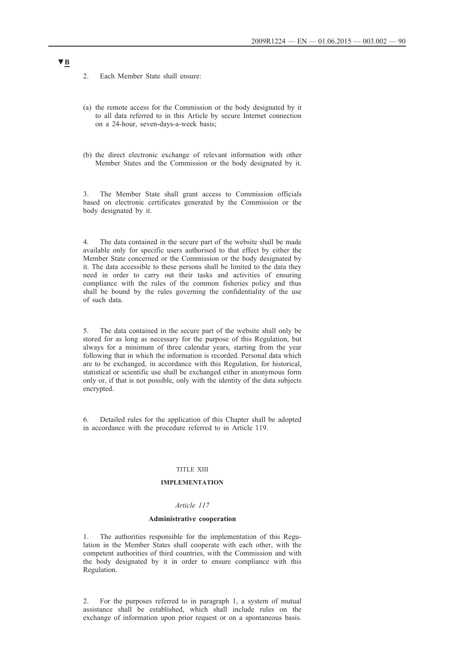2. Each Member State shall ensure:

- (a) the remote access for the Commission or the body designated by it to all data referred to in this Article by secure Internet connection on a 24-hour, seven-days-a-week basis;
- (b) the direct electronic exchange of relevant information with other Member States and the Commission or the body designated by it.

3. The Member State shall grant access to Commission officials based on electronic certificates generated by the Commission or the body designated by it.

4. The data contained in the secure part of the website shall be made available only for specific users authorised to that effect by either the Member State concerned or the Commission or the body designated by it. The data accessible to these persons shall be limited to the data they need in order to carry out their tasks and activities of ensuring compliance with the rules of the common fisheries policy and thus shall be bound by the rules governing the confidentiality of the use of such data.

5. The data contained in the secure part of the website shall only be stored for as long as necessary for the purpose of this Regulation, but always for a minimum of three calendar years, starting from the year following that in which the information is recorded. Personal data which are to be exchanged, in accordance with this Regulation, for historical, statistical or scientific use shall be exchanged either in anonymous form only or, if that is not possible, only with the identity of the data subjects encrypted.

6. Detailed rules for the application of this Chapter shall be adopted in accordance with the procedure referred to in Article 119.

#### TITLE XIII

### **IMPLEMENTATION**

### *Article 117*

#### **Administrative cooperation**

1. The authorities responsible for the implementation of this Regulation in the Member States shall cooperate with each other, with the competent authorities of third countries, with the Commission and with the body designated by it in order to ensure compliance with this Regulation.

2. For the purposes referred to in paragraph 1, a system of mutual assistance shall be established, which shall include rules on the exchange of information upon prior request or on a spontaneous basis.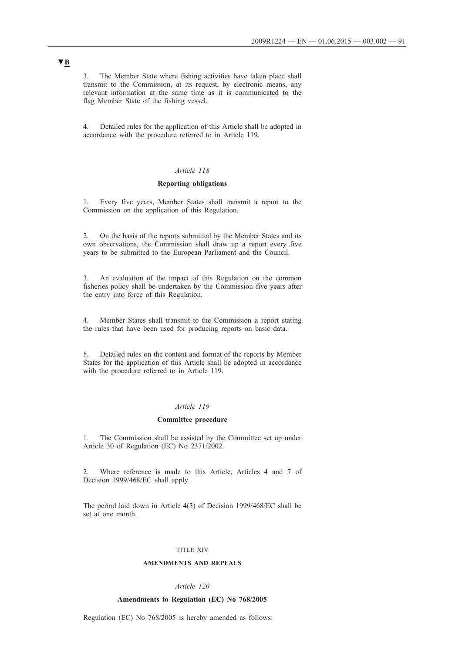3. The Member State where fishing activities have taken place shall transmit to the Commission, at its request, by electronic means, any relevant information at the same time as it is communicated to the flag Member State of the fishing vessel.

4. Detailed rules for the application of this Article shall be adopted in accordance with the procedure referred to in Article 119.

### *Article 118*

## **Reporting obligations**

1. Every five years, Member States shall transmit a report to the Commission on the application of this Regulation.

2. On the basis of the reports submitted by the Member States and its own observations, the Commission shall draw up a report every five years to be submitted to the European Parliament and the Council.

3. An evaluation of the impact of this Regulation on the common fisheries policy shall be undertaken by the Commission five years after the entry into force of this Regulation.

4. Member States shall transmit to the Commission a report stating the rules that have been used for producing reports on basic data.

5. Detailed rules on the content and format of the reports by Member States for the application of this Article shall be adopted in accordance with the procedure referred to in Article 119.

#### *Article 119*

### **Committee procedure**

1. The Commission shall be assisted by the Committee set up under Article 30 of Regulation (EC) No 2371/2002.

2. Where reference is made to this Article, Articles 4 and 7 of Decision 1999/468/EC shall apply.

The period laid down in Article 4(3) of Decision 1999/468/EC shall be set at one month.

### TITLE XIV

#### **AMENDMENTS AND REPEALS**

#### *Article 120*

#### **Amendments to Regulation (EC) No 768/2005**

Regulation (EC) No 768/2005 is hereby amended as follows: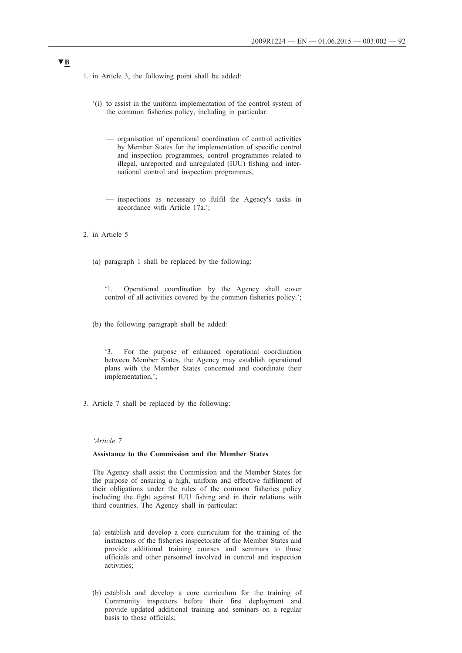- 1. in Article 3, the following point shall be added:
	- '(i) to assist in the uniform implementation of the control system of the common fisheries policy, including in particular:
		- organisation of operational coordination of control activities by Member States for the implementation of specific control and inspection programmes, control programmes related to illegal, unreported and unregulated (IUU) fishing and international control and inspection programmes,
		- inspections as necessary to fulfil the Agency's tasks in accordance with Article 17a.';
- 2. in Article 5
	- (a) paragraph 1 shall be replaced by the following:

'1. Operational coordination by the Agency shall cover control of all activities covered by the common fisheries policy.';

(b) the following paragraph shall be added:

'3. For the purpose of enhanced operational coordination between Member States, the Agency may establish operational plans with the Member States concerned and coordinate their implementation.';

3. Article 7 shall be replaced by the following:

#### *'Article 7*

## **Assistance to the Commission and the Member States**

The Agency shall assist the Commission and the Member States for the purpose of ensuring a high, uniform and effective fulfilment of their obligations under the rules of the common fisheries policy including the fight against IUU fishing and in their relations with third countries. The Agency shall in particular:

- (a) establish and develop a core curriculum for the training of the instructors of the fisheries inspectorate of the Member States and provide additional training courses and seminars to those officials and other personnel involved in control and inspection activities;
- (b) establish and develop a core curriculum for the training of Community inspectors before their first deployment and provide updated additional training and seminars on a regular basis to those officials;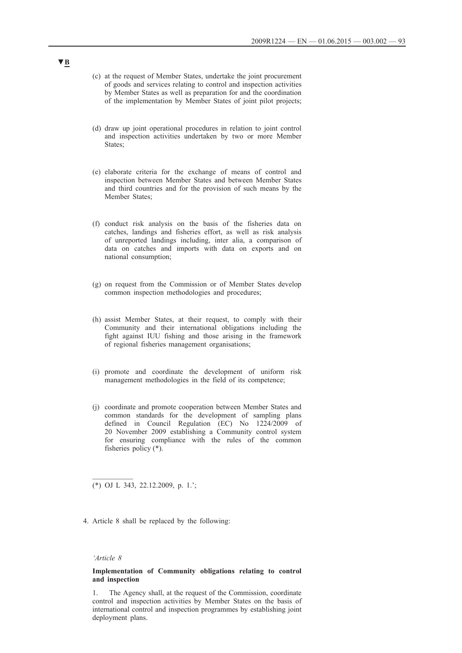- (c) at the request of Member States, undertake the joint procurement of goods and services relating to control and inspection activities by Member States as well as preparation for and the coordination of the implementation by Member States of joint pilot projects;
- (d) draw up joint operational procedures in relation to joint control and inspection activities undertaken by two or more Member States;
- (e) elaborate criteria for the exchange of means of control and inspection between Member States and between Member States and third countries and for the provision of such means by the Member States;
- (f) conduct risk analysis on the basis of the fisheries data on catches, landings and fisheries effort, as well as risk analysis of unreported landings including, inter alia, a comparison of data on catches and imports with data on exports and on national consumption;
- (g) on request from the Commission or of Member States develop common inspection methodologies and procedures;
- (h) assist Member States, at their request, to comply with their Community and their international obligations including the fight against IUU fishing and those arising in the framework of regional fisheries management organisations;
- (i) promote and coordinate the development of uniform risk management methodologies in the field of its competence;
- (j) coordinate and promote cooperation between Member States and common standards for the development of sampling plans defined in Council Regulation (EC) No 1224/2009 of 20 November 2009 establishing a Community control system for ensuring compliance with the rules of the common fisheries policy (\*).

(\*) OJ L 343, 22.12.2009, p. 1.';

4. Article 8 shall be replaced by the following:

#### *'Article 8*

 $\frac{1}{2}$ 

### **Implementation of Community obligations relating to control and inspection**

1. The Agency shall, at the request of the Commission, coordinate control and inspection activities by Member States on the basis of international control and inspection programmes by establishing joint deployment plans.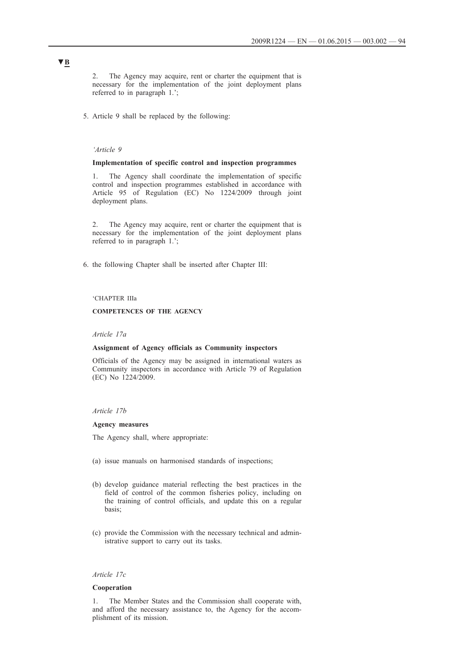2. The Agency may acquire, rent or charter the equipment that is necessary for the implementation of the joint deployment plans referred to in paragraph 1.';

5. Article 9 shall be replaced by the following:

#### *'Article 9*

#### **Implementation of specific control and inspection programmes**

1. The Agency shall coordinate the implementation of specific control and inspection programmes established in accordance with Article 95 of Regulation (EC) No 1224/2009 through joint deployment plans.

2. The Agency may acquire, rent or charter the equipment that is necessary for the implementation of the joint deployment plans referred to in paragraph 1.';

6. the following Chapter shall be inserted after Chapter III:

## 'CHAPTER IIIa

## **COMPETENCES OF THE AGENCY**

*Article 17a*

#### **Assignment of Agency officials as Community inspectors**

Officials of the Agency may be assigned in international waters as Community inspectors in accordance with Article 79 of Regulation (EC) No 1224/2009.

#### *Article 17b*

#### **Agency measures**

The Agency shall, where appropriate:

- (a) issue manuals on harmonised standards of inspections;
- (b) develop guidance material reflecting the best practices in the field of control of the common fisheries policy, including on the training of control officials, and update this on a regular basis;
- (c) provide the Commission with the necessary technical and administrative support to carry out its tasks.

#### *Article 17c*

#### **Cooperation**

1. The Member States and the Commission shall cooperate with, and afford the necessary assistance to, the Agency for the accomplishment of its mission.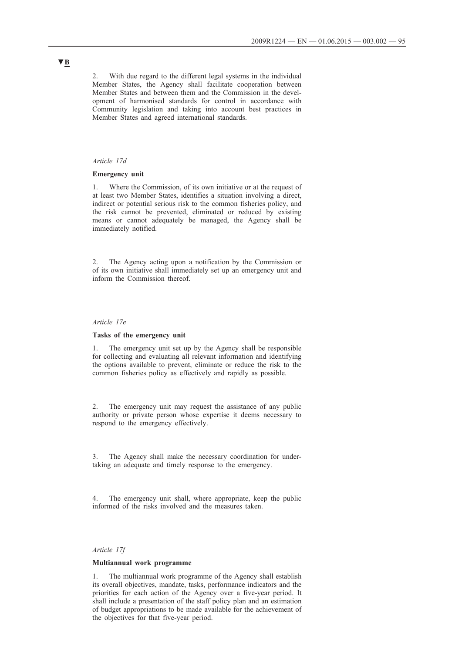2. With due regard to the different legal systems in the individual Member States, the Agency shall facilitate cooperation between Member States and between them and the Commission in the development of harmonised standards for control in accordance with Community legislation and taking into account best practices in Member States and agreed international standards.

#### *Article 17d*

### **Emergency unit**

1. Where the Commission, of its own initiative or at the request of at least two Member States, identifies a situation involving a direct, indirect or potential serious risk to the common fisheries policy, and the risk cannot be prevented, eliminated or reduced by existing means or cannot adequately be managed, the Agency shall be immediately notified.

2. The Agency acting upon a notification by the Commission or of its own initiative shall immediately set up an emergency unit and inform the Commission thereof.

#### *Article 17e*

#### **Tasks of the emergency unit**

1. The emergency unit set up by the Agency shall be responsible for collecting and evaluating all relevant information and identifying the options available to prevent, eliminate or reduce the risk to the common fisheries policy as effectively and rapidly as possible.

2. The emergency unit may request the assistance of any public authority or private person whose expertise it deems necessary to respond to the emergency effectively.

3. The Agency shall make the necessary coordination for undertaking an adequate and timely response to the emergency.

4. The emergency unit shall, where appropriate, keep the public informed of the risks involved and the measures taken.

## *Article 17f*

#### **Multiannual work programme**

1. The multiannual work programme of the Agency shall establish its overall objectives, mandate, tasks, performance indicators and the priorities for each action of the Agency over a five-year period. It shall include a presentation of the staff policy plan and an estimation of budget appropriations to be made available for the achievement of the objectives for that five-year period.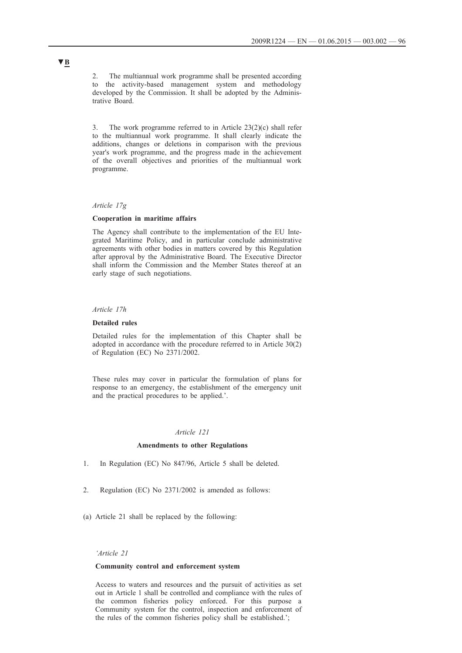2. The multiannual work programme shall be presented according to the activity-based management system and methodology developed by the Commission. It shall be adopted by the Administrative Board.

3. The work programme referred to in Article 23(2)(c) shall refer to the multiannual work programme. It shall clearly indicate the additions, changes or deletions in comparison with the previous year's work programme, and the progress made in the achievement of the overall objectives and priorities of the multiannual work programme.

#### *Article 17g*

#### **Cooperation in maritime affairs**

The Agency shall contribute to the implementation of the EU Integrated Maritime Policy, and in particular conclude administrative agreements with other bodies in matters covered by this Regulation after approval by the Administrative Board. The Executive Director shall inform the Commission and the Member States thereof at an early stage of such negotiations.

### *Article 17h*

#### **Detailed rules**

Detailed rules for the implementation of this Chapter shall be adopted in accordance with the procedure referred to in Article 30(2) of Regulation (EC) No 2371/2002.

These rules may cover in particular the formulation of plans for response to an emergency, the establishment of the emergency unit and the practical procedures to be applied.'.

## *Article 121*

#### **Amendments to other Regulations**

- 1. In Regulation (EC) No 847/96, Article 5 shall be deleted.
- 2. Regulation (EC) No 2371/2002 is amended as follows:
- (a) Article 21 shall be replaced by the following:

## *'Article 21*

## **Community control and enforcement system**

Access to waters and resources and the pursuit of activities as set out in Article 1 shall be controlled and compliance with the rules of the common fisheries policy enforced. For this purpose a Community system for the control, inspection and enforcement of the rules of the common fisheries policy shall be established.';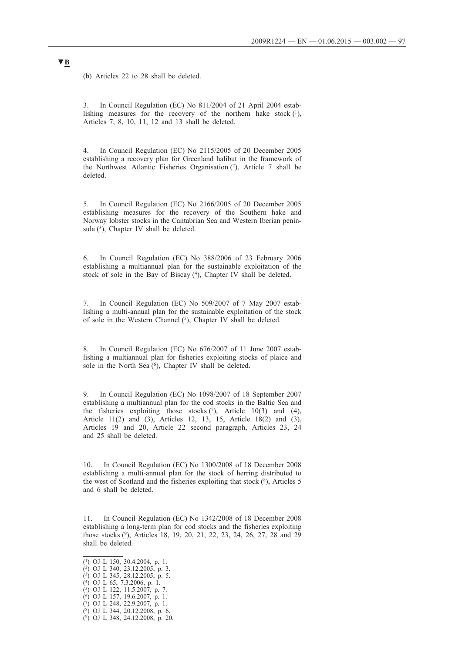(b) Articles 22 to 28 shall be deleted.

3. In Council Regulation (EC) No 811/2004 of 21 April 2004 establishing measures for the recovery of the northern hake stock  $(1)$ , Articles 7, 8, 10, 11, 12 and 13 shall be deleted.

4. In Council Regulation (EC) No 2115/2005 of 20 December 2005 establishing a recovery plan for Greenland halibut in the framework of the Northwest Atlantic Fisheries Organisation (2), Article 7 shall be deleted.

5. In Council Regulation (EC) No 2166/2005 of 20 December 2005 establishing measures for the recovery of the Southern hake and Norway lobster stocks in the Cantabrian Sea and Western Iberian peninsula  $(3)$ , Chapter IV shall be deleted.

6. In Council Regulation (EC) No 388/2006 of 23 February 2006 establishing a multiannual plan for the sustainable exploitation of the stock of sole in the Bay of Biscay (4), Chapter IV shall be deleted.

7. In Council Regulation (EC) No 509/2007 of 7 May 2007 establishing a multi-annual plan for the sustainable exploitation of the stock of sole in the Western Channel (5), Chapter IV shall be deleted.

8. In Council Regulation (EC) No 676/2007 of 11 June 2007 establishing a multiannual plan for fisheries exploiting stocks of plaice and sole in the North Sea  $(6)$ , Chapter IV shall be deleted.

9. In Council Regulation (EC) No 1098/2007 of 18 September 2007 establishing a multiannual plan for the cod stocks in the Baltic Sea and the fisheries exploiting those stocks  $(7)$ , Article 10(3) and (4), Article 11(2) and (3), Articles 12, 13, 15, Article 18(2) and (3), Articles 19 and 20, Article 22 second paragraph, Articles 23, 24 and 25 shall be deleted.

10. In Council Regulation (EC) No 1300/2008 of 18 December 2008 establishing a multi-annual plan for the stock of herring distributed to the west of Scotland and the fisheries exploiting that stock  $(^{8})$ , Articles 5 and 6 shall be deleted.

11. In Council Regulation (EC) No 1342/2008 of 18 December 2008 establishing a long-term plan for cod stocks and the fisheries exploiting those stocks (9), Articles 18, 19, 20, 21, 22, 23, 24, 26, 27, 28 and 29 shall be deleted.

(4) OJ L 65, 7.3.2006, p. 1. (5) OJ L 122, 11.5.2007, p. 7.

 $\overline{(^1)}$  OJ L 150, 30.4.2004, p. 1.

<sup>(2)</sup> OJ L 340, 23.12.2005, p. 3.

<sup>(3)</sup> OJ L 345, 28.12.2005, p. 5.

<sup>(6)</sup> OJ L 157, 19.6.2007, p. 1.

<sup>(7)</sup> OJ L 248, 22.9.2007, p. 1.

<sup>(8)</sup> OJ L 344, 20.12.2008, p. 6.

<sup>(9)</sup> OJ L 348, 24.12.2008, p. 20.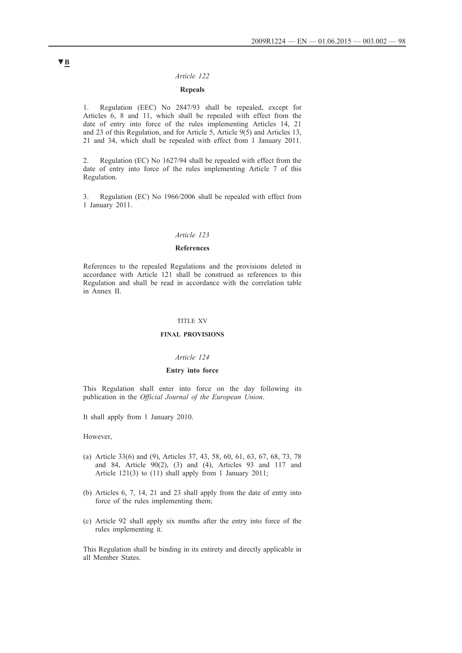#### *Article 122*

## **Repeals**

1. Regulation (EEC) No 2847/93 shall be repealed, except for Articles 6, 8 and 11, which shall be repealed with effect from the date of entry into force of the rules implementing Articles 14, 21 and 23 of this Regulation, and for Article 5, Article 9(5) and Articles 13, 21 and 34, which shall be repealed with effect from 1 January 2011.

2. Regulation (EC) No 1627/94 shall be repealed with effect from the date of entry into force of the rules implementing Article 7 of this Regulation.

3. Regulation (EC) No 1966/2006 shall be repealed with effect from 1 January 2011.

### *Article 123*

### **References**

References to the repealed Regulations and the provisions deleted in accordance with Article 121 shall be construed as references to this Regulation and shall be read in accordance with the correlation table in Annex II.

### TITLE XV

### **FINAL PROVISIONS**

#### *Article 124*

### **Entry into force**

This Regulation shall enter into force on the day following its publication in the *Official Journal of the European Union*.

It shall apply from 1 January 2010.

However,

- (a) Article 33(6) and (9), Articles 37, 43, 58, 60, 61, 63, 67, 68, 73, 78 and 84, Article 90(2), (3) and (4), Articles 93 and 117 and Article 121(3) to (11) shall apply from 1 January 2011;
- (b) Articles 6, 7, 14, 21 and 23 shall apply from the date of entry into force of the rules implementing them;
- (c) Article 92 shall apply six months after the entry into force of the rules implementing it.

This Regulation shall be binding in its entirety and directly applicable in all Member States.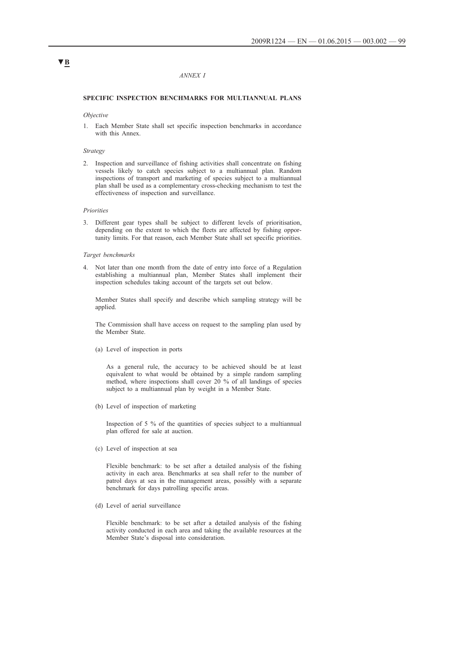#### *ANNEX I*

#### **SPECIFIC INSPECTION BENCHMARKS FOR MULTIANNUAL PLANS**

#### *Objective*

1. Each Member State shall set specific inspection benchmarks in accordance with this Annex.

### *Strategy*

2. Inspection and surveillance of fishing activities shall concentrate on fishing vessels likely to catch species subject to a multiannual plan. Random inspections of transport and marketing of species subject to a multiannual plan shall be used as a complementary cross-checking mechanism to test the effectiveness of inspection and surveillance.

#### *Priorities*

3. Different gear types shall be subject to different levels of prioritisation, depending on the extent to which the fleets are affected by fishing opportunity limits. For that reason, each Member State shall set specific priorities.

#### *Target benchmarks*

4. Not later than one month from the date of entry into force of a Regulation establishing a multiannual plan, Member States shall implement their inspection schedules taking account of the targets set out below.

Member States shall specify and describe which sampling strategy will be applied.

The Commission shall have access on request to the sampling plan used by the Member State.

(a) Level of inspection in ports

As a general rule, the accuracy to be achieved should be at least equivalent to what would be obtained by a simple random sampling method, where inspections shall cover 20 % of all landings of species subject to a multiannual plan by weight in a Member State.

(b) Level of inspection of marketing

Inspection of 5 % of the quantities of species subject to a multiannual plan offered for sale at auction.

(c) Level of inspection at sea

Flexible benchmark: to be set after a detailed analysis of the fishing activity in each area. Benchmarks at sea shall refer to the number of patrol days at sea in the management areas, possibly with a separate benchmark for days patrolling specific areas.

(d) Level of aerial surveillance

Flexible benchmark: to be set after a detailed analysis of the fishing activity conducted in each area and taking the available resources at the Member State's disposal into consideration.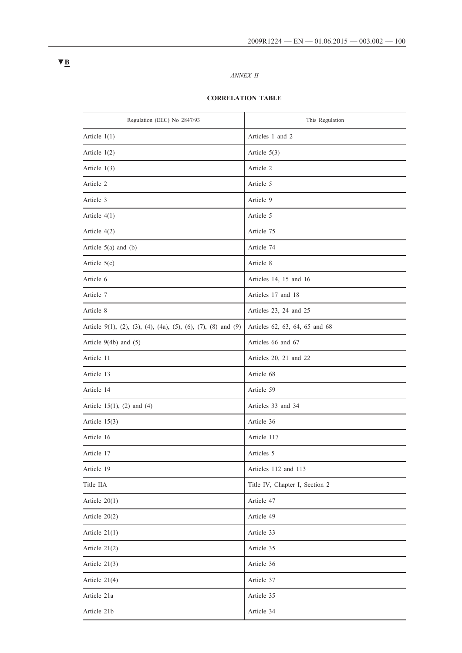## *ANNEX II*

## **CORRELATION TABLE**

| Regulation (EEC) No 2847/93                                   | This Regulation                |
|---------------------------------------------------------------|--------------------------------|
| Article $1(1)$                                                | Articles 1 and 2               |
| Article $1(2)$                                                | Article 5(3)                   |
| Article $1(3)$                                                | Article 2                      |
| Article 2                                                     | Article 5                      |
| Article 3                                                     | Article 9                      |
| Article $4(1)$                                                | Article 5                      |
| Article $4(2)$                                                | Article 75                     |
| Article $5(a)$ and $(b)$                                      | Article 74                     |
| Article $5(c)$                                                | Article 8                      |
| Article 6                                                     | Articles 14, 15 and 16         |
| Article 7                                                     | Articles 17 and 18             |
| Article 8                                                     | Articles 23, 24 and 25         |
| Article 9(1), (2), (3), (4), (4a), (5), (6), (7), (8) and (9) | Articles 62, 63, 64, 65 and 68 |
| Article $9(4b)$ and $(5)$                                     | Articles 66 and 67             |
| Article 11                                                    | Articles 20, 21 and 22         |
| Article 13                                                    | Article 68                     |
| Article 14                                                    | Article 59                     |
| Article 15(1), (2) and (4)                                    | Articles 33 and 34             |
| Article $15(3)$                                               | Article 36                     |
| Article 16                                                    | Article 117                    |
| Article 17                                                    | Articles 5                     |
| Article 19                                                    | Articles 112 and 113           |
| Title IIA                                                     | Title IV, Chapter I, Section 2 |
| Article $20(1)$                                               | Article 47                     |
| Article $20(2)$                                               | Article 49                     |
| Article $21(1)$                                               | Article 33                     |
| Article 21(2)                                                 | Article 35                     |
| Article $21(3)$                                               | Article 36                     |
| Article 21(4)                                                 | Article 37                     |
| Article 21a                                                   | Article 35                     |
| Article 21b                                                   | Article 34                     |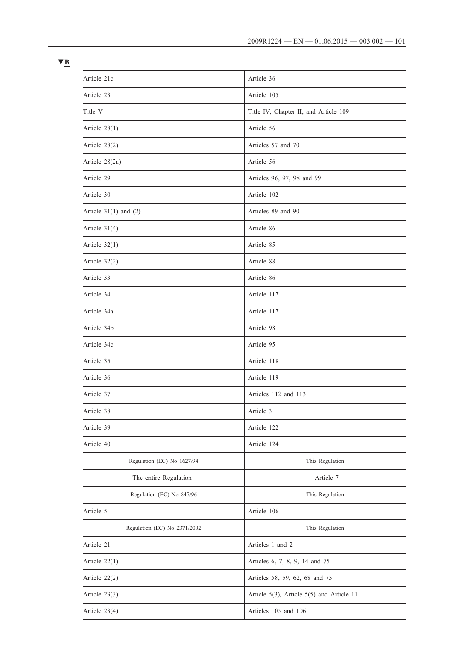| Article 21c                  | Article 36                                     |
|------------------------------|------------------------------------------------|
| Article 23                   | Article 105                                    |
| Title V                      | Title IV, Chapter II, and Article 109          |
| Article $28(1)$              | Article 56                                     |
| Article $28(2)$              | Articles 57 and 70                             |
| Article 28(2a)               | Article 56                                     |
| Article 29                   | Articles 96, 97, 98 and 99                     |
| Article 30                   | Article 102                                    |
| Article $31(1)$ and $(2)$    | Articles 89 and 90                             |
| Article $31(4)$              | Article 86                                     |
| Article $32(1)$              | Article 85                                     |
| Article $32(2)$              | Article 88                                     |
| Article 33                   | Article 86                                     |
| Article 34                   | Article 117                                    |
| Article 34a                  | Article 117                                    |
| Article 34b                  | Article 98                                     |
| Article 34c                  | Article 95                                     |
| Article 35                   | Article 118                                    |
| Article 36                   | Article 119                                    |
| Article 37                   | Articles 112 and 113                           |
| Article 38                   | Article 3                                      |
| Article 39                   | Article 122                                    |
| Article 40                   | Article 124                                    |
| Regulation (EC) No 1627/94   | This Regulation                                |
| The entire Regulation        | Article 7                                      |
| Regulation (EC) No 847/96    | This Regulation                                |
| Article 5                    | Article 106                                    |
| Regulation (EC) No 2371/2002 | This Regulation                                |
| Article 21                   | Articles 1 and 2                               |
| Article $22(1)$              | Articles 6, 7, 8, 9, 14 and 75                 |
| Article 22(2)                | Articles 58, 59, 62, 68 and 75                 |
| Article $23(3)$              | Article $5(3)$ , Article $5(5)$ and Article 11 |
| Article $23(4)$              | Articles 105 and 106                           |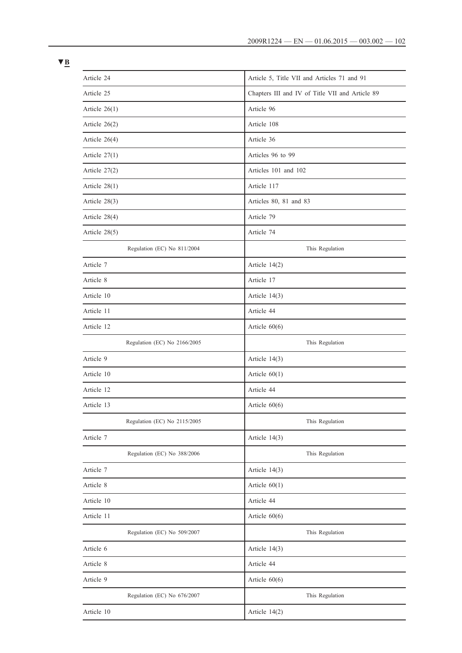| Article 24                   | Article 5, Title VII and Articles 71 and 91     |
|------------------------------|-------------------------------------------------|
| Article 25                   | Chapters III and IV of Title VII and Article 89 |
| Article $26(1)$              | Article 96                                      |
| Article $26(2)$              | Article 108                                     |
| Article 26(4)                | Article 36                                      |
| Article $27(1)$              | Articles 96 to 99                               |
| Article $27(2)$              | Articles 101 and 102                            |
| Article $28(1)$              | Article 117                                     |
| Article $28(3)$              | Articles 80, 81 and 83                          |
| Article $28(4)$              | Article 79                                      |
| Article $28(5)$              | Article 74                                      |
| Regulation (EC) No 811/2004  | This Regulation                                 |
| Article 7                    | Article 14(2)                                   |
| Article 8                    | Article 17                                      |
| Article 10                   | Article $14(3)$                                 |
| Article 11                   | Article 44                                      |
| Article 12                   | Article $60(6)$                                 |
| Regulation (EC) No 2166/2005 | This Regulation                                 |
| Article 9                    | Article 14(3)                                   |
| Article 10                   | Article $60(1)$                                 |
| Article 12                   | Article 44                                      |
| Article 13                   | Article $60(6)$                                 |
| Regulation (EC) No 2115/2005 | This Regulation                                 |
| Article 7                    | Article 14(3)                                   |
| Regulation (EC) No 388/2006  | This Regulation                                 |
| Article 7                    | Article 14(3)                                   |
| Article 8                    | Article $60(1)$                                 |
| Article 10                   | Article 44                                      |
| Article 11                   | Article $60(6)$                                 |
| Regulation (EC) No 509/2007  | This Regulation                                 |
| Article 6                    | Article 14(3)                                   |
| Article 8                    | Article 44                                      |
| Article 9                    | Article $60(6)$                                 |
| Regulation (EC) No 676/2007  | This Regulation                                 |
| Article 10                   | Article 14(2)                                   |